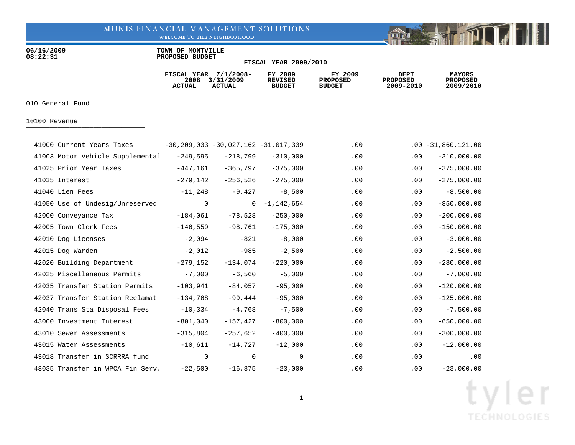WELCOME TO THE NEIGHBORHOOD

06/16/2009 **TOWN OF MONTVILLE**<br>08:22:31 **PROPOSED BUDGET 08:22:31 PROPOSED BUDGET**

|                                  | FISCAL YEAR 7/1/2008-<br>2008<br><b>ACTUAL</b> | 3/31/2009<br><b>ACTUAL</b>                    | FY 2009<br><b>REVISED</b><br><b>BUDGET</b> | FY 2009<br><b>PROPOSED</b><br><b>BUDGET</b> | <b>DEPT</b><br><b>PROPOSED</b><br>2009-2010 | <b>MAYORS</b><br><b>PROPOSED</b><br>2009/2010 |  |
|----------------------------------|------------------------------------------------|-----------------------------------------------|--------------------------------------------|---------------------------------------------|---------------------------------------------|-----------------------------------------------|--|
| 010 General Fund                 |                                                |                                               |                                            |                                             |                                             |                                               |  |
| 10100 Revenue                    |                                                |                                               |                                            |                                             |                                             |                                               |  |
| 41000 Current Years Taxes        |                                                | $-30, 209, 033 - 30, 027, 162 - 31, 017, 339$ |                                            | $.00 \,$                                    |                                             | $.00 - 31,860,121.00$                         |  |
| 41003 Motor Vehicle Supplemental | $-249,595$                                     | $-218,799$                                    | $-310,000$                                 | .00                                         | $.00 \,$                                    | $-310,000.00$                                 |  |
| 41025 Prior Year Taxes           | $-447,161$                                     | $-365,797$                                    | $-375,000$                                 | .00                                         | .00                                         | $-375,000.00$                                 |  |
| 41035 Interest                   | $-279,142$                                     | $-256,526$                                    | $-275,000$                                 | .00                                         | .00                                         | $-275,000.00$                                 |  |
| 41040 Lien Fees                  | $-11,248$                                      | $-9,427$                                      | $-8,500$                                   | .00                                         | .00                                         | $-8,500.00$                                   |  |
| 41050 Use of Undesig/Unreserved  | $\mathbf 0$                                    | 0                                             | $-1,142,654$                               | .00                                         | .00                                         | $-850,000.00$                                 |  |
| 42000 Conveyance Tax             | $-184,061$                                     | $-78,528$                                     | $-250,000$                                 | .00                                         | .00                                         | $-200,000.00$                                 |  |
| 42005 Town Clerk Fees            | $-146,559$                                     | $-98,761$                                     | $-175,000$                                 | .00                                         | .00                                         | $-150,000.00$                                 |  |
| 42010 Dog Licenses               | $-2,094$                                       | $-821$                                        | $-8,000$                                   | .00                                         | .00                                         | $-3,000.00$                                   |  |
| 42015 Dog Warden                 | $-2,012$                                       | $-985$                                        | $-2,500$                                   | .00                                         | .00                                         | $-2,500.00$                                   |  |
|                                  |                                                |                                               |                                            |                                             |                                             |                                               |  |
| 42020 Building Department        | $-279,152$                                     | $-134,074$                                    | $-220,000$                                 | .00                                         | .00                                         | $-280,000.00$                                 |  |
| 42025 Miscellaneous Permits      | $-7,000$                                       | $-6,560$                                      | $-5,000$                                   | .00                                         | .00                                         | $-7,000.00$                                   |  |
| 42035 Transfer Station Permits   | $-103,941$                                     | $-84,057$                                     | $-95,000$                                  | .00                                         | .00                                         | $-120,000.00$                                 |  |
| 42037 Transfer Station Reclamat  | $-134,768$                                     | -99,444                                       | $-95,000$                                  | .00                                         | .00                                         | $-125,000.00$                                 |  |
| 42040 Trans Sta Disposal Fees    | $-10,334$                                      | $-4,768$                                      | $-7,500$                                   | .00                                         | .00                                         | $-7,500.00$                                   |  |
| 43000 Investment Interest        | $-801,040$                                     | $-157, 427$                                   | $-800,000$                                 | .00                                         | .00                                         | $-650,000.00$                                 |  |
| 43010 Sewer Assessments          | $-315,804$                                     | $-257,652$                                    | $-400,000$                                 | .00                                         | $.00 \,$                                    | $-300,000.00$                                 |  |
| 43015 Water Assessments          | $-10,611$                                      | $-14,727$                                     | $-12,000$                                  | .00                                         | .00                                         | $-12,000.00$                                  |  |
| 43018 Transfer in SCRRRA fund    | 0                                              | 0                                             | $\mathbf 0$                                | .00                                         | .00                                         | .00                                           |  |
| 43035 Transfer in WPCA Fin Serv. | $-22,500$                                      | $-16,875$                                     | $-23,000$                                  | .00                                         | .00                                         | $-23,000.00$                                  |  |

**FISCAL YEAR 2009/2010**

Fill

**DREAM**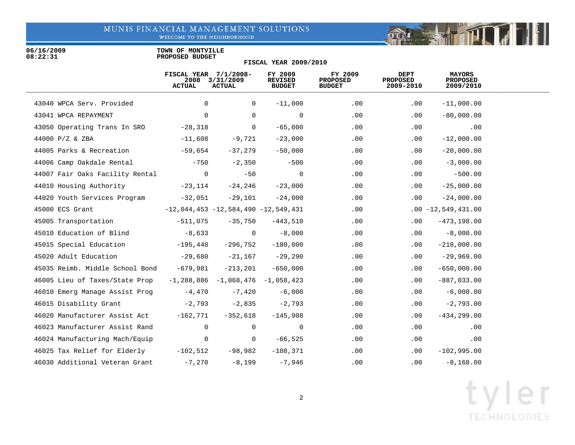WELCOME TO THE NEIGHBORHOOD

06/16/2009 **TOWN OF MONTVILLE**<br>08:22:31 **PROPOSED BUDGET 08:22:31 PROPOSED BUDGET**

|                                        | FISCAL YEAR $7/1/2008-$<br>2008<br><b>ACTUAL</b> | 3/31/2009<br><b>ACTUAL</b>               | FY 2009<br><b>REVISED</b><br><b>BUDGET</b> | FY 2009<br><b>PROPOSED</b><br><b>BUDGET</b> | DEPT<br><b>PROPOSED</b><br>2009-2010 | <b>MAYORS</b><br><b>PROPOSED</b><br>2009/2010 |  |
|----------------------------------------|--------------------------------------------------|------------------------------------------|--------------------------------------------|---------------------------------------------|--------------------------------------|-----------------------------------------------|--|
| 43040 WPCA Serv. Provided              | $\Omega$                                         | 0                                        | $-11,000$                                  | .00                                         | .00                                  | $-11,000.00$                                  |  |
| 43041 WPCA REPAYMENT                   | $\mathbf 0$                                      | 0                                        | $\overline{0}$                             | .00                                         | .00                                  | $-80,000.00$                                  |  |
| 43050 Operating Trans In SRO           | $-28,318$                                        | 0                                        | $-65,000$                                  | .00                                         | .00                                  | .00                                           |  |
| 44000 P/Z & ZBA                        | $-11,608$                                        | $-9,721$                                 | $-23,000$                                  | .00                                         | .00                                  | $-12,000.00$                                  |  |
| 44005 Parks & Recreation               | -59,654                                          | $-37,279$                                | $-50,000$                                  | .00                                         | $.00 \,$                             | $-20,000.00$                                  |  |
| 44006 Camp Oakdale Rental              | $-750$                                           | $-2,350$                                 | $-500$                                     | .00                                         | $.00 \,$                             | $-3,000.00$                                   |  |
| 44007 Fair Oaks Facility Rental        | $\overline{0}$                                   | $-50$                                    | $\mathsf{O}$                               | .00                                         | .00                                  | $-500.00$                                     |  |
| 44010 Housing Authority                | -23,114                                          | -24,246                                  | $-23,000$                                  | .00                                         | .00                                  | $-25,000.00$                                  |  |
| 44020 Youth Services Program           | -32,051                                          | -29,101                                  | $-24,000$                                  | .00                                         | .00                                  | $-24,000.00$                                  |  |
| 45000 ECS Grant                        |                                                  | $-12,044,453 -12,584,490 -12,549,431$    |                                            | .00                                         |                                      | $.00 - 12,549,431.00$                         |  |
| 45005 Transportation                   | -511,075                                         | -35,750                                  | -443,510                                   | .00                                         | $.00 \,$                             | $-473,198.00$                                 |  |
| 45010 Education of Blind               | $-8,633$                                         | $\overline{0}$                           | $-8,000$                                   | .00                                         | .00                                  | $-8,000.00$                                   |  |
| 45015 Special Education -195,448       |                                                  | -296,752                                 | $-180,000$                                 | .00                                         | $.00 \,$                             | $-218,000.00$                                 |  |
| 45020 Adult Education -29,680          |                                                  | $-21,167$                                | $-29,290$                                  | .00                                         | .00                                  | $-29,969.00$                                  |  |
| 45035 Reimb. Middle School Bond        | -679,981                                         | $-213,201$                               | $-650,000$                                 | .00                                         | $.00 \,$                             | $-650,000.00$                                 |  |
| 46005 Lieu of Taxes/State Prop         |                                                  | $-1, 288, 886 -1, 068, 476 -1, 058, 423$ |                                            | .00                                         | $.00 \,$                             | $-887,033.00$                                 |  |
| 46010 Emerg Manage Assist Prog         | $-4,470$                                         | $-7,420$                                 | $-6,000$                                   | .00                                         | $.00\,$                              | $-6,000.00$                                   |  |
| 46015 Disability Grant                 | $-2,793$                                         | $-2,835$                                 | $-2,793$                                   | .00                                         | .00                                  | $-2,793.00$                                   |  |
| 46020 Manufacturer Assist Act -162,771 |                                                  | $-352,618$                               | $-145,908$                                 | .00                                         | $.00 \,$                             | $-434, 299.00$                                |  |
| 46023 Manufacturer Assist Rand         | $\overline{0}$                                   | $\mathbf 0$                              | $\overline{0}$                             | .00                                         | .00                                  | .00                                           |  |
| 46024 Manufacturing Mach/Equip         | $\overline{0}$                                   | $\mathbf 0$                              | -66,525                                    | .00                                         | .00                                  | .00                                           |  |
| 46025 Tax Relief for Elderly           | $-102,512$                                       | -98,982                                  | $-108,371$                                 | .00                                         | $.00 \,$                             | $-102,995.00$                                 |  |
| 46030 Additional Veteran Grant         | $-7,270$                                         | $-8,199$                                 | $-7,946$                                   | .00                                         | .00                                  | $-8, 168.00$                                  |  |

**FISCAL YEAR 2009/2010**

# tyler **TECHNOLOGIES**

Fill

**DREAM**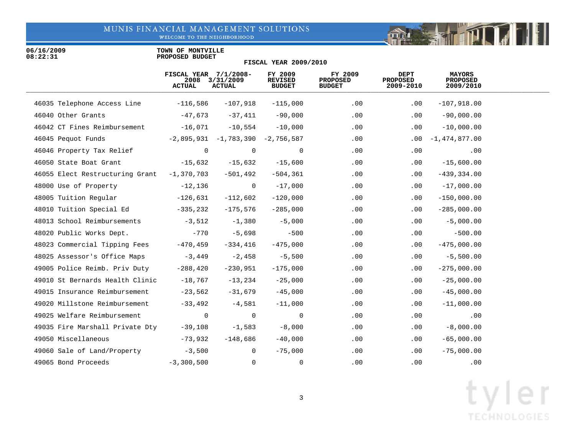WELCOME TO THE NEIGHBORHOOD

06/16/2009 **TOWN OF MONTVILLE**<br>08:22:31 **PROPOSED BUDGET 08:22:31 PROPOSED BUDGET**

### **FISCAL YEAR 2009/2010**

|                                 | FISCAL YEAR 7/1/2008-<br>2008<br><b>ACTUAL</b> | 3/31/2009<br><b>ACTUAL</b>         | FY 2009<br><b>REVISED</b><br><b>BUDGET</b> | FY 2009<br><b>PROPOSED</b><br><b>BUDGET</b> | <b>DEPT</b><br><b>PROPOSED</b><br>2009-2010 | <b>MAYORS</b><br><b>PROPOSED</b><br>2009/2010 |  |
|---------------------------------|------------------------------------------------|------------------------------------|--------------------------------------------|---------------------------------------------|---------------------------------------------|-----------------------------------------------|--|
| 46035 Telephone Access Line     | -116,586                                       | $-107,918$                         | $-115,000$                                 | .00                                         | $.00 \,$                                    | $-107,918.00$                                 |  |
| 46040 Other Grants              | -47,673                                        | $-37,411$                          | $-90,000$                                  | .00                                         | .00                                         | $-90,000.00$                                  |  |
| 46042 CT Fines Reimbursement    | $-16,071$                                      | $-10,554$                          | $-10,000$                                  | .00                                         | .00                                         | $-10,000.00$                                  |  |
| 46045 Pequot Funds              |                                                | $-2,895,931 -1,783,390 -2,756,587$ |                                            | .00                                         |                                             | $.00 - 1,474,877.00$                          |  |
| 46046 Property Tax Relief       | $\overline{0}$                                 | 0                                  | $\overline{0}$                             | .00                                         | .00                                         | .00                                           |  |
| 46050 State Boat Grant          | -15,632                                        | $-15,632$                          | $-15,600$                                  | .00                                         | .00                                         | $-15,600.00$                                  |  |
| 46055 Elect Restructuring Grant | $-1,370,703$                                   | $-501,492$                         | -504,361                                   | .00                                         | $.00 \,$                                    | $-439, 334.00$                                |  |
| 48000 Use of Property           | $-12,136$                                      | $\overline{0}$                     | $-17,000$                                  | .00                                         | $.00 \,$                                    | $-17,000.00$                                  |  |
| 48005 Tuition Regular           | $-126,631$                                     | $-112,602$                         | $-120,000$                                 | .00                                         | $.00 \,$                                    | $-150,000.00$                                 |  |
| 48010 Tuition Special Ed        | $-335,232$                                     | $-175,576$                         | $-285,000$                                 | $.00 \,$                                    | $.00 \,$                                    | $-285,000.00$                                 |  |
| 48013 School Reimbursements     | $-3,512$                                       | $-1,380$                           | $-5,000$                                   | .00                                         | $.00 \,$                                    | $-5,000.00$                                   |  |
| 48020 Public Works Dept.        | -770                                           | $-5,698$                           | $-500$                                     | .00                                         | $.00 \,$                                    | $-500.00$                                     |  |
| 48023 Commercial Tipping Fees   | -470,459                                       | $-334,416$                         | $-475,000$                                 | .00                                         | $.00 \,$                                    | $-475,000.00$                                 |  |
| 48025 Assessor's Office Maps    | $-3,449$                                       | $-2,458$                           | $-5,500$                                   | .00                                         | $.00 \,$                                    | $-5,500.00$                                   |  |
| 49005 Police Reimb. Priv Duty   | $-288,420$                                     | $-230,951$                         | $-175,000$                                 | .00                                         | $.00 \,$                                    | $-275,000.00$                                 |  |
| 49010 St Bernards Health Clinic | $-18,767$                                      | $-13,234$                          | $-25,000$                                  | .00                                         | $.00 \,$                                    | $-25,000.00$                                  |  |
| 49015 Insurance Reimbursement   | $-23,562$                                      | $-31,679$                          | $-45,000$                                  | .00                                         | $.00 \,$                                    | $-45,000.00$                                  |  |
| 49020 Millstone Reimbursement   | $-33,492$                                      | $-4,581$                           | $-11,000$                                  | .00                                         | $.00 \,$                                    | $-11,000.00$                                  |  |
| 49025 Welfare Reimbursement     | $\overline{0}$                                 | 0                                  | $\overline{0}$                             | .00                                         | .00                                         | .00                                           |  |
| 49035 Fire Marshall Private Dty | $-39,108$                                      | $-1,583$                           | $-8$ , $000$                               | .00                                         | $.00 \ \rm$                                 | $-8,000.00$                                   |  |
| 49050 Miscellaneous             | -73,932                                        | $-148,686$                         | $-40,000$                                  | .00                                         | $.00 \,$                                    | $-65,000.00$                                  |  |
| 49060 Sale of Land/Property     | $-3,500$                                       | $\mathbf{0}$                       | $-75,000$                                  | .00                                         | $.00 \,$                                    | $-75,000.00$                                  |  |
| 49065 Bond Proceeds             | $-3,300,500$                                   | $\mathbf 0$                        | 0                                          | .00                                         | .00                                         | .00                                           |  |

Fill

mar is the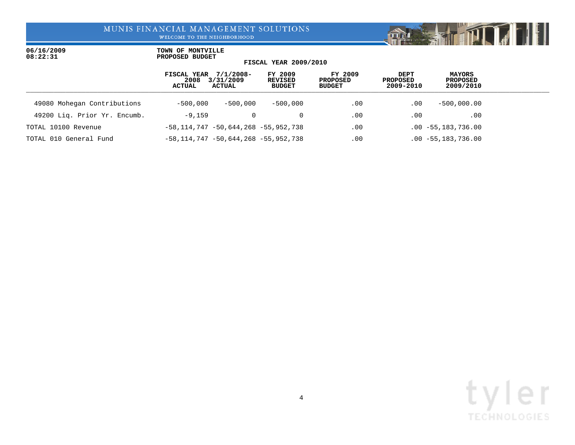WELCOME TO THE NEIGHBORHOOD

06/16/2009 **TOWN OF MONTVILLE**<br>08:22:31 **PROPOSED BUDGET 08:22:31 PROPOSED BUDGET**

### **FISCAL YEAR 2009/2010**

|                              | FISCAL YEAR 7/1/2008-<br>2008<br><b>ACTUAL</b>  | 3/31/2009<br><b>ACTUAL</b> | FY 2009<br>REVISED<br><b>BUDGET</b> | FY 2009<br>PROPOSED<br><b>BUDGET</b> | <b>DEPT</b><br>PROPOSED<br>2009-2010 | <b>MAYORS</b><br>PROPOSED<br>2009/2010 |  |
|------------------------------|-------------------------------------------------|----------------------------|-------------------------------------|--------------------------------------|--------------------------------------|----------------------------------------|--|
| 49080 Mohegan Contributions  | $-500.000$                                      | $-500,000$                 | $-500.000$                          | .00                                  | .00                                  | $-500,000.00$                          |  |
| 49200 Lig. Prior Yr. Encumb. | $-9,159$                                        |                            |                                     | .00                                  | .00                                  | .00                                    |  |
| TOTAL 10100 Revenue          | $-58, 114, 747$ $-50, 644, 268$ $-55, 952, 738$ |                            |                                     | .00                                  |                                      | $.00 - 55, 183, 736.00$                |  |
| TOTAL 010 General Fund       | $-58, 114, 747 - 50, 644, 268 - 55, 952, 738$   |                            |                                     | .00                                  |                                      | $.00 - 55, 183, 736.00$                |  |



**Report of the Time** 

 $\mathbb{E} \left[ \begin{array}{c} \mathbb{E} \mathbb{E} \mathbb{E} \mathbb{E} \mathbb{E} \mathbb{E} \mathbb{E} \mathbb{E} \mathbb{E} \mathbb{E} \mathbb{E} \mathbb{E} \mathbb{E} \mathbb{E} \mathbb{E} \mathbb{E} \mathbb{E} \mathbb{E} \mathbb{E} \mathbb{E} \mathbb{E} \mathbb{E} \mathbb{E} \mathbb{E} \mathbb{E} \mathbb{E} \mathbb{E} \mathbb{E} \mathbb{E} \mathbb{E} \mathbb{E} \mathbb{E} \mathbb{E} \mathbb{E}$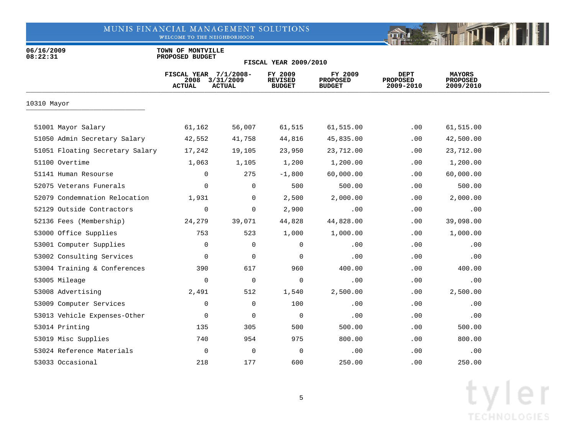WELCOME TO THE NEIGHBORHOOD



06/16/2009 **TOWN OF MONTVILLE**<br>08:22:31 **PROPOSED BUDGET 08:22:31 PROPOSED BUDGET**

|                                 | FISCAL YEAR 7/1/2008-<br>2008<br><b>ACTUAL</b> | 3/31/2009<br><b>ACTUAL</b> | FY 2009<br><b>REVISED</b><br><b>BUDGET</b> | FY 2009<br><b>PROPOSED</b><br><b>BUDGET</b> | <b>DEPT</b><br><b>PROPOSED</b><br>2009-2010 | <b>MAYORS</b><br><b>PROPOSED</b><br>2009/2010 |  |
|---------------------------------|------------------------------------------------|----------------------------|--------------------------------------------|---------------------------------------------|---------------------------------------------|-----------------------------------------------|--|
| 10310 Mayor                     |                                                |                            |                                            |                                             |                                             |                                               |  |
| 51001 Mayor Salary              | 61,162                                         | 56,007                     | 61,515                                     | 61,515.00                                   | .00                                         | 61,515.00                                     |  |
| 51050 Admin Secretary Salary    | 42,552                                         | 41,758                     | 44,816                                     | 45,835.00                                   | .00                                         | 42,500.00                                     |  |
| 51051 Floating Secretary Salary | 17,242                                         | 19,105                     | 23,950                                     | 23,712.00                                   | .00                                         | 23,712.00                                     |  |
| 51100 Overtime                  | 1,063                                          | 1,105                      | 1,200                                      | 1,200.00                                    | .00                                         | 1,200.00                                      |  |
| 51141 Human Resourse            | 0                                              | 275                        | $-1,800$                                   | 60,000.00                                   | .00                                         | 60,000.00                                     |  |
| 52075 Veterans Funerals         | $\Omega$                                       | $\mathbf 0$                | 500                                        | 500.00                                      | .00                                         | 500.00                                        |  |
| 52079 Condemnation Relocation   | 1,931                                          | 0                          | 2,500                                      | 2,000.00                                    | .00                                         | 2,000.00                                      |  |
| 52129 Outside Contractors       | 0                                              | 0                          | 2,900                                      | .00                                         | .00                                         | .00                                           |  |
| 52136 Fees (Membership)         | 24,279                                         | 39,071                     | 44,828                                     | 44,828.00                                   | .00                                         | 39,098.00                                     |  |
| 53000 Office Supplies           | 753                                            | 523                        | 1,000                                      | 1,000.00                                    | .00                                         | 1,000.00                                      |  |
| 53001 Computer Supplies         | $\mathbf 0$                                    | 0                          | 0                                          | .00                                         | .00                                         | .00                                           |  |
| 53002 Consulting Services       | $\mathbf 0$                                    | 0                          | 0                                          | .00                                         | .00                                         | .00                                           |  |
| 53004 Training & Conferences    | 390                                            | 617                        | 960                                        | 400.00                                      | .00                                         | 400.00                                        |  |
| 53005 Mileage                   | $\mathbf 0$                                    | 0                          | 0                                          | .00                                         | .00                                         | .00                                           |  |
| 53008 Advertising               | 2,491                                          | 512                        | 1,540                                      | 2,500.00                                    | .00                                         | 2,500.00                                      |  |
| 53009 Computer Services         | 0                                              | $\mathbf 0$                | 100                                        | .00                                         | .00                                         | .00                                           |  |
| 53013 Vehicle Expenses-Other    | 0                                              | $\mathbf 0$                | $\mathbf 0$                                | .00                                         | .00                                         | .00                                           |  |
| 53014 Printing                  | 135                                            | 305                        | 500                                        | 500.00                                      | .00                                         | 500.00                                        |  |
| 53019 Misc Supplies             | 740                                            | 954                        | 975                                        | 800.00                                      | .00                                         | 800.00                                        |  |
| 53024 Reference Materials       | $\mathbf 0$                                    | $\mathbf 0$                | 0                                          | .00                                         | .00                                         | .00                                           |  |
| 53033 Occasional                | 218                                            | 177                        | 600                                        | 250.00                                      | .00                                         | 250.00                                        |  |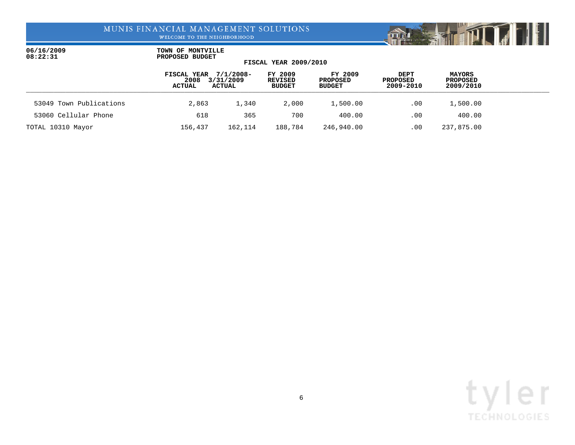WELCOME TO THE NEIGHBORHOOD



|                         | FISCAL YEAR<br>2008<br><b>ACTUAL</b> | 7/1/2008-<br>3/31/2009<br><b>ACTUAL</b> | FY 2009<br>REVISED<br><b>BUDGET</b> | FY 2009<br>PROPOSED<br><b>BUDGET</b> | <b>DEPT</b><br><b>PROPOSED</b><br>2009-2010 | <b>MAYORS</b><br><b>PROPOSED</b><br>2009/2010 |  |
|-------------------------|--------------------------------------|-----------------------------------------|-------------------------------------|--------------------------------------|---------------------------------------------|-----------------------------------------------|--|
| 53049 Town Publications | 2,863                                | 1,340                                   | 2,000                               | 1,500.00                             | .00                                         | 1,500.00                                      |  |
| 53060 Cellular Phone    | 618                                  | 365                                     | 700                                 | 400.00                               | .00                                         | 400.00                                        |  |
| TOTAL 10310 Mayor       | 156,437                              | 162,114                                 | 188,784                             | 246,940.00                           | .00.                                        | 237,875.00                                    |  |

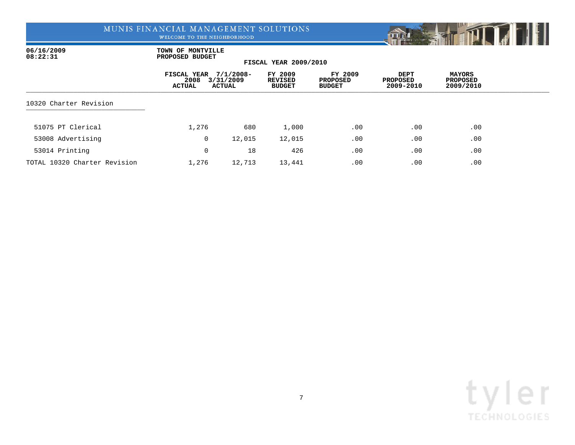WELCOME TO THE NEIGHBORHOOD



06/16/2009 **TOWN OF MONTVILLE**<br>08:22:31 **PROPOSED BUDGET 08:22:31 PROPOSED BUDGET**

|                              | FISCAL YEAR<br>2008<br><b>ACTUAL</b> | $7/1/2008 -$<br>3/31/2009<br>ACTUAL | FY 2009<br><b>REVISED</b><br><b>BUDGET</b> | FY 2009<br><b>PROPOSED</b><br><b>BUDGET</b> | DEPT<br>PROPOSED<br>2009-2010 | MAYORS<br><b>PROPOSED</b><br>2009/2010 |  |
|------------------------------|--------------------------------------|-------------------------------------|--------------------------------------------|---------------------------------------------|-------------------------------|----------------------------------------|--|
| 10320 Charter Revision       |                                      |                                     |                                            |                                             |                               |                                        |  |
| 51075 PT Clerical            | 1,276                                | 680                                 | 1,000                                      | .00                                         | .00                           | .00                                    |  |
| 53008 Advertising            | 0                                    | 12,015                              | 12,015                                     | .00                                         | .00                           | .00                                    |  |
| 53014 Printing               | 0                                    | 18                                  | 426                                        | .00                                         | .00                           | .00                                    |  |
| TOTAL 10320 Charter Revision | 1,276                                | 12,713                              | 13,441                                     | .00                                         | .00                           | .00                                    |  |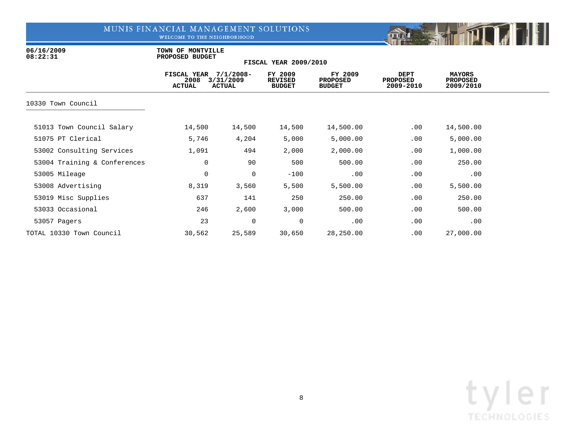WELCOME TO THE NEIGHBORHOOD



06/16/2009 **TOWN OF MONTVILLE**<br>08:22:31 **PROPOSED BUDGET 08:22:31 PROPOSED BUDGET**

|                              | FISCAL YEAR<br>2008<br><b>ACTUAL</b> | $7/1/2008 -$<br>3/31/2009<br><b>ACTUAL</b> | FY 2009<br><b>REVISED</b><br><b>BUDGET</b> | FY 2009<br><b>PROPOSED</b><br><b>BUDGET</b> | <b>DEPT</b><br>PROPOSED<br>2009-2010 | <b>MAYORS</b><br>PROPOSED<br>2009/2010 |  |
|------------------------------|--------------------------------------|--------------------------------------------|--------------------------------------------|---------------------------------------------|--------------------------------------|----------------------------------------|--|
| 10330 Town Council           |                                      |                                            |                                            |                                             |                                      |                                        |  |
| 51013 Town Council Salary    | 14,500                               | 14,500                                     | 14,500                                     | 14,500.00                                   | .00                                  | 14,500.00                              |  |
| 51075 PT Clerical            | 5,746                                | 4,204                                      | 5,000                                      | 5,000.00                                    | .00                                  | 5,000.00                               |  |
| 53002 Consulting Services    | 1,091                                | 494                                        | 2,000                                      | 2,000.00                                    | .00                                  | 1,000.00                               |  |
| 53004 Training & Conferences | 0                                    | 90                                         | 500                                        | 500.00                                      | .00                                  | 250.00                                 |  |
| 53005 Mileage                | 0                                    | 0                                          | $-100$                                     | .00                                         | .00                                  | .00                                    |  |
| 53008 Advertising            | 8,319                                | 3,560                                      | 5,500                                      | 5,500.00                                    | .00                                  | 5,500.00                               |  |
| 53019 Misc Supplies          | 637                                  | 141                                        | 250                                        | 250.00                                      | .00                                  | 250.00                                 |  |
| 53033 Occasional             | 246                                  | 2,600                                      | 3,000                                      | 500.00                                      | .00                                  | 500.00                                 |  |
| 53057 Pagers                 | 23                                   | $\mathbf 0$                                | $\mathbf 0$                                | .00                                         | .00                                  | .00                                    |  |
| TOTAL 10330 Town Council     | 30,562                               | 25,589                                     | 30,650                                     | 28,250.00                                   | .00                                  | 27,000.00                              |  |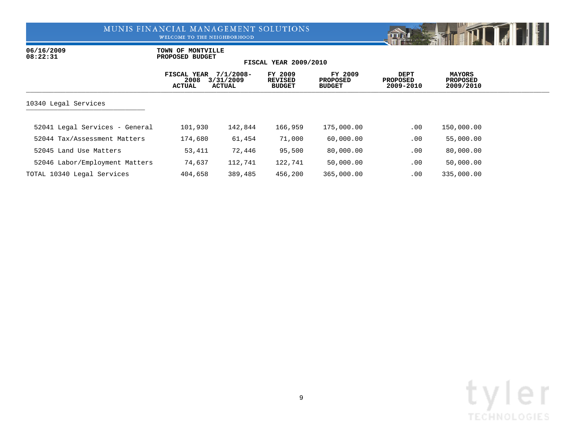WELCOME TO THE NEIGHBORHOOD



06/16/2009 **TOWN OF MONTVILLE**<br>08:22:31 **PROPOSED BUDGET 08:22:31 PROPOSED BUDGET**

|                                | FISCAL YEAR<br>2008<br>ACTUAL | $7/1/2008 -$<br>3/31/2009<br><b>ACTUAL</b> | FY 2009<br><b>REVISED</b><br><b>BUDGET</b> | FY 2009<br><b>PROPOSED</b><br><b>BUDGET</b> | <b>DEPT</b><br><b>PROPOSED</b><br>2009-2010 | <b>MAYORS</b><br><b>PROPOSED</b><br>2009/2010 |  |
|--------------------------------|-------------------------------|--------------------------------------------|--------------------------------------------|---------------------------------------------|---------------------------------------------|-----------------------------------------------|--|
| 10340 Legal Services           |                               |                                            |                                            |                                             |                                             |                                               |  |
| 52041 Legal Services - General | 101,930                       | 142,844                                    | 166,959                                    | 175,000.00                                  | $.00 \,$                                    | 150,000.00                                    |  |
| 52044 Tax/Assessment Matters   | 174,680                       | 61,454                                     | 71,000                                     | 60,000.00                                   | .00                                         | 55,000.00                                     |  |
| 52045 Land Use Matters         | 53,411                        | 72,446                                     | 95,500                                     | 80,000.00                                   | .00                                         | 80,000.00                                     |  |
| 52046 Labor/Employment Matters | 74,637                        | 112,741                                    | 122,741                                    | 50,000.00                                   | .00                                         | 50,000.00                                     |  |
| TOTAL 10340 Legal Services     | 404,658                       | 389,485                                    | 456,200                                    | 365,000.00                                  | .00                                         | 335,000.00                                    |  |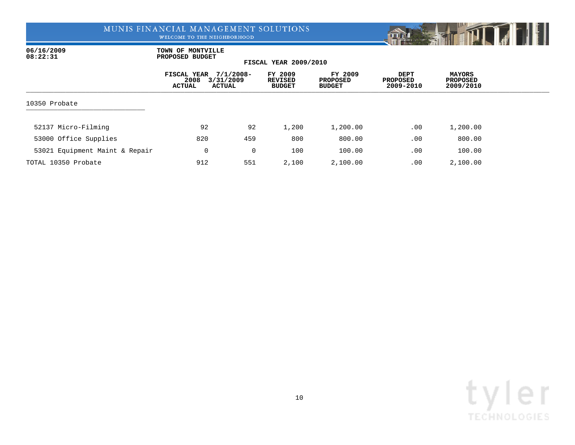WELCOME TO THE NEIGHBORHOOD



06/16/2009 **TOWN OF MONTVILLE**<br>08:22:31 **PROPOSED BUDGET 08:22:31 PROPOSED BUDGET**

|                                | FISCAL YEAR<br>2008<br>3/31/2009<br><b>ACTUAL</b><br>ACTUAL | $7/1/2008 -$ | FY 2009<br>REVISED<br><b>BUDGET</b> | FY 2009<br>PROPOSED<br><b>BUDGET</b> | DEPT<br><b>PROPOSED</b><br>2009-2010 | MAYORS<br><b>PROPOSED</b><br>2009/2010 |  |
|--------------------------------|-------------------------------------------------------------|--------------|-------------------------------------|--------------------------------------|--------------------------------------|----------------------------------------|--|
| 10350 Probate                  |                                                             |              |                                     |                                      |                                      |                                        |  |
| 52137 Micro-Filming            | 92                                                          | 92           | 1,200                               | 1,200.00                             | .00                                  | 1,200.00                               |  |
| 53000 Office Supplies          | 820                                                         | 459          | 800                                 | 800.00                               | .00                                  | 800.00                                 |  |
| 53021 Equipment Maint & Repair | 0                                                           | 0            | 100                                 | 100.00                               | .00                                  | 100.00                                 |  |
| TOTAL 10350 Probate            | 912                                                         | 551          | 2,100                               | 2,100.00                             | .00                                  | 2,100.00                               |  |

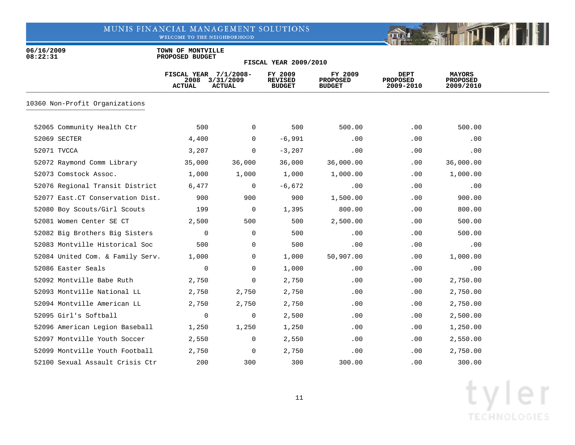WELCOME TO THE NEIGHBORHOOD



06/16/2009 **TOWN OF MONTVILLE**<br>08:22:31 **PROPOSED BUDGET 08:22:31 PROPOSED BUDGET**

|                                   | FISCAL YEAR 7/1/2008-<br>2008<br><b>ACTUAL</b> | 3/31/2009<br><b>ACTUAL</b> | FY 2009<br><b>REVISED</b><br><b>BUDGET</b> | FY 2009<br><b>PROPOSED</b><br><b>BUDGET</b> | <b>DEPT</b><br><b>PROPOSED</b><br>2009-2010 | <b>MAYORS</b><br><b>PROPOSED</b><br>2009/2010 |  |
|-----------------------------------|------------------------------------------------|----------------------------|--------------------------------------------|---------------------------------------------|---------------------------------------------|-----------------------------------------------|--|
| 10360 Non-Profit Organizations    |                                                |                            |                                            |                                             |                                             |                                               |  |
| 52065 Community Health Ctr        | 500                                            | $\mathbf 0$                | 500                                        | 500.00                                      | .00                                         | 500.00                                        |  |
| 52069 SECTER                      | 4,400                                          | 0                          | $-6,991$                                   | .00                                         | .00                                         | .00                                           |  |
| 52071 TVCCA                       | 3,207                                          | 0                          | $-3,207$                                   | .00                                         | .00                                         | .00                                           |  |
| 52072 Raymond Comm Library        | 35,000                                         | 36,000                     | 36,000                                     | 36,000.00                                   | .00                                         | 36,000.00                                     |  |
| 52073 Comstock Assoc.             | 1,000                                          | 1,000                      | 1,000                                      | 1,000.00                                    | .00                                         | 1,000.00                                      |  |
| 52076 Regional Transit District   | 6,477                                          | $\overline{0}$             | $-6,672$                                   | .00                                         | .00                                         | .00                                           |  |
| 52077 East. CT Conservation Dist. | 900                                            | 900                        | 900                                        | 1,500.00                                    | .00                                         | 900.00                                        |  |
| 52080 Boy Scouts/Girl Scouts      | 199                                            | $\overline{0}$             | 1,395                                      | 800.00                                      | .00                                         | 800.00                                        |  |
| 52081 Women Center SE CT          | 2,500                                          | 500                        | 500                                        | 2,500.00                                    | .00                                         | 500.00                                        |  |
| 52082 Big Brothers Big Sisters    | 0                                              | 0                          | 500                                        | .00                                         | .00                                         | 500.00                                        |  |
| 52083 Montville Historical Soc    | 500                                            | 0                          | 500                                        | .00                                         | .00                                         | .00                                           |  |
| 52084 United Com. & Family Serv.  | 1,000                                          | 0                          | 1,000                                      | 50,907.00                                   | .00                                         | 1,000.00                                      |  |
| 52086 Easter Seals                | 0                                              | 0                          | 1,000                                      | .00                                         | .00                                         | .00                                           |  |
| 52092 Montville Babe Ruth         | 2,750                                          | 0                          | 2,750                                      | .00                                         | .00                                         | 2,750.00                                      |  |
| 52093 Montville National LL       | 2,750                                          | 2,750                      | 2,750                                      | .00                                         | .00                                         | 2,750.00                                      |  |
| 52094 Montville American LL       | 2,750                                          | 2,750                      | 2,750                                      | .00                                         | .00                                         | 2,750.00                                      |  |
| 52095 Girl's Softball             | $\mathbf 0$                                    | 0                          | 2,500                                      | .00                                         | .00                                         | 2,500.00                                      |  |
| 52096 American Legion Baseball    | 1,250                                          | 1,250                      | 1,250                                      | .00                                         | .00                                         | 1,250.00                                      |  |
| 52097 Montville Youth Soccer      | 2,550                                          | 0                          | 2,550                                      | .00                                         | .00                                         | 2,550.00                                      |  |
| 52099 Montville Youth Football    | 2,750                                          | $\overline{0}$             | 2,750                                      | .00                                         | $.00 \,$                                    | 2,750.00                                      |  |
| 52100 Sexual Assault Crisis Ctr   | 200                                            | 300                        | 300                                        | 300.00                                      | .00                                         | 300.00                                        |  |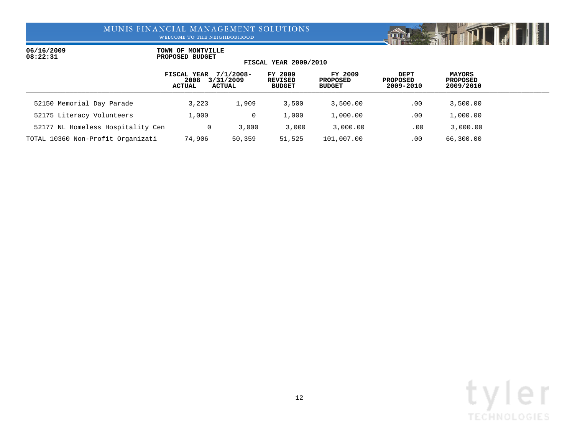WELCOME TO THE NEIGHBORHOOD



|                                   | FISCAL YEAR<br>2008<br><b>ACTUAL</b> | 7/1/2008-<br>3/31/2009<br>ACTUAL | FY 2009<br>REVISED<br><b>BUDGET</b> | FY 2009<br>PROPOSED<br><b>BUDGET</b> | DEPT<br>PROPOSED<br>2009-2010 | MAYORS<br>PROPOSED<br>2009/2010 |  |
|-----------------------------------|--------------------------------------|----------------------------------|-------------------------------------|--------------------------------------|-------------------------------|---------------------------------|--|
| 52150 Memorial Day Parade         | 3,223                                | 1,909                            | 3,500                               | 3,500.00                             | .00                           | 3,500.00                        |  |
| 52175 Literacy Volunteers         | 1,000                                |                                  | 1,000                               | 1,000.00                             | .00                           | 1,000.00                        |  |
| 52177 NL Homeless Hospitality Cen | 0                                    | 3,000                            | 3.000                               | 3,000.00                             | $.00 \,$                      | 3,000.00                        |  |
| TOTAL 10360 Non-Profit Organizati | 74,906                               | 50,359                           | 51,525                              | 101,007.00                           | $.00 \,$                      | 66,300.00                       |  |

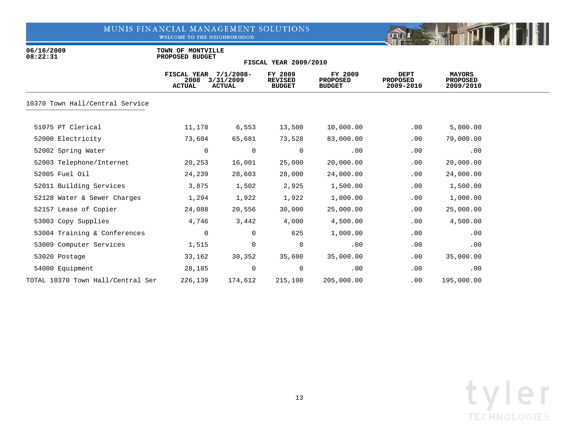WELCOME TO THE NEIGHBORHOOD



06/16/2009 **TOWN OF MONTVILLE**<br>08:22:31 **PROPOSED BUDGET 08:22:31 PROPOSED BUDGET**

|                                   | <b>FISCAL YEAR</b><br>2008<br>ACTUAL | $7/1/2008 -$<br>3/31/2009<br><b>ACTUAL</b> | FY 2009<br><b>REVISED</b><br><b>BUDGET</b> | FY 2009<br><b>PROPOSED</b><br><b>BUDGET</b> | <b>DEPT</b><br>PROPOSED<br>2009-2010 | <b>MAYORS</b><br>PROPOSED<br>2009/2010 |  |
|-----------------------------------|--------------------------------------|--------------------------------------------|--------------------------------------------|---------------------------------------------|--------------------------------------|----------------------------------------|--|
| 10370 Town Hall/Central Service   |                                      |                                            |                                            |                                             |                                      |                                        |  |
| 51075 PT Clerical                 | 11,178                               | 6,553                                      | 13,500                                     | 10,000.00                                   | .00                                  | 5,000.00                               |  |
| 52000 Electricity                 | 73,604                               | 65,681                                     | 73,528                                     | 83,000.00                                   | .00                                  | 79,000.00                              |  |
| 52002 Spring Water                | 0                                    | $\mathbf 0$                                | 0                                          | .00                                         | .00                                  | .00                                    |  |
| 52003 Telephone/Internet          | 20,253                               | 16,001                                     | 25,000                                     | 20,000.00                                   | .00                                  | 20,000.00                              |  |
| 52005 Fuel Oil                    | 24,239                               | 28,603                                     | 28,000                                     | 24,000.00                                   | .00                                  | 24,000.00                              |  |
| 52011 Building Services           | 3,875                                | 1,502                                      | 2,925                                      | 1,500.00                                    | .00                                  | 1,500.00                               |  |
| 52128 Water & Sewer Charges       | 1,294                                | 1,922                                      | 1,922                                      | 1,000.00                                    | .00                                  | 1,000.00                               |  |
| 52157 Lease of Copier             | 24,088                               | 20,556                                     | 30,000                                     | 25,000.00                                   | .00                                  | 25,000.00                              |  |
| 53003 Copy Supplies               | 4,746                                | 3,442                                      | 4,000                                      | 4,500.00                                    | .00                                  | 4,500.00                               |  |
| 53004 Training & Conferences      | 0                                    | $\mathbf{0}$                               | 625                                        | 1,000.00                                    | .00                                  | .00                                    |  |
| 53009 Computer Services           | 1,515                                | $\mathbf 0$                                | $\mathbf 0$                                | .00                                         | .00                                  | .00                                    |  |
| 53020 Postage                     | 33,162                               | 30,352                                     | 35,600                                     | 35,000.00                                   | .00                                  | 35,000.00                              |  |
| 54000 Equipment                   | 28,185                               | 0                                          | 0                                          | .00                                         | .00                                  | .00                                    |  |
| TOTAL 10370 Town Hall/Central Ser | 226,139                              | 174,612                                    | 215,100                                    | 205,000.00                                  | .00                                  | 195,000.00                             |  |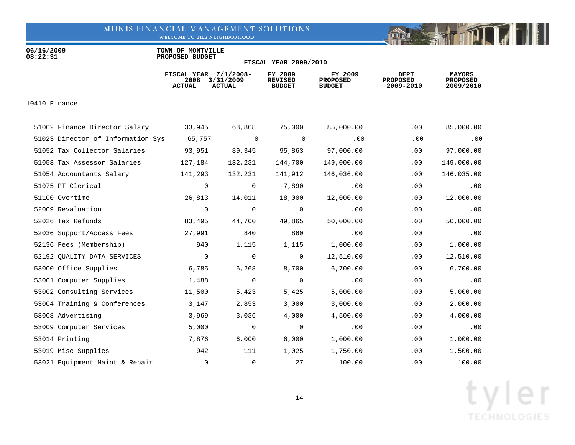WELCOME TO THE NEIGHBORHOOD



06/16/2009 **TOWN OF MONTVILLE**<br>08:22:31 **PROPOSED BUDGET 08:22:31 PROPOSED BUDGET**

|                                   | FISCAL YEAR 7/1/2008-<br>2008<br><b>ACTUAL</b> | 3/31/2009<br><b>ACTUAL</b> | FY 2009<br><b>REVISED</b><br><b>BUDGET</b> | FY 2009<br><b>PROPOSED</b><br><b>BUDGET</b> | DEPT<br><b>PROPOSED</b><br>2009-2010 | <b>MAYORS</b><br><b>PROPOSED</b><br>2009/2010 |  |
|-----------------------------------|------------------------------------------------|----------------------------|--------------------------------------------|---------------------------------------------|--------------------------------------|-----------------------------------------------|--|
| 10410 Finance                     |                                                |                            |                                            |                                             |                                      |                                               |  |
| 51002 Finance Director Salary     | 33,945                                         | 68,808                     | 75,000                                     | 85,000.00                                   | .00                                  | 85,000.00                                     |  |
| 51023 Director of Information Sys | 65,757                                         | $\mathbf 0$                | $\Omega$                                   | .00                                         | .00                                  | .00                                           |  |
| 51052 Tax Collector Salaries      | 93,951                                         | 89,345                     | 95,863                                     | 97,000.00                                   | .00                                  | 97,000.00                                     |  |
| 51053 Tax Assessor Salaries       | 127,184                                        | 132,231                    | 144,700                                    | 149,000.00                                  | .00                                  | 149,000.00                                    |  |
| 51054 Accountants Salary          | 141,293                                        | 132,231                    | 141,912                                    | 146,036.00                                  | .00                                  | 146,035.00                                    |  |
| 51075 PT Clerical                 | 0                                              | 0                          | $-7,890$                                   | .00                                         | .00                                  | .00                                           |  |
| 51100 Overtime                    | 26,813                                         | 14,011                     | 18,000                                     | 12,000.00                                   | .00                                  | 12,000.00                                     |  |
| 52009 Revaluation                 | 0                                              | $\mathbf 0$                | $\overline{0}$                             | .00                                         | .00                                  | .00                                           |  |
| 52026 Tax Refunds                 | 83,495                                         | 44,700                     | 49,865                                     | 50,000.00                                   | .00                                  | 50,000.00                                     |  |
| 52036 Support/Access Fees         | 27,991                                         | 840                        | 860                                        | .00                                         | .00                                  | .00                                           |  |
| 52136 Fees (Membership)           | 940                                            | 1,115                      | 1,115                                      | 1,000.00                                    | .00                                  | 1,000.00                                      |  |
| 52192 QUALITY DATA SERVICES       | 0                                              | $\mathbf 0$                | 0                                          | 12,510.00                                   | .00                                  | 12,510.00                                     |  |
| 53000 Office Supplies             | 6,785                                          | 6,268                      | 8,700                                      | 6,700.00                                    | .00                                  | 6,700.00                                      |  |
| 53001 Computer Supplies           | 1,488                                          | 0                          | 0                                          | .00                                         | .00                                  | .00                                           |  |
| 53002 Consulting Services         | 11,500                                         | 5,423                      | 5,425                                      | 5,000.00                                    | .00                                  | 5,000.00                                      |  |
| 53004 Training & Conferences      | 3,147                                          | 2,853                      | 3,000                                      | 3,000.00                                    | .00                                  | 2,000.00                                      |  |
| 53008 Advertising                 | 3,969                                          | 3,036                      | 4,000                                      | 4,500.00                                    | .00                                  | 4,000.00                                      |  |
| 53009 Computer Services           | 5,000                                          | 0                          | $\mathbf 0$                                | .00                                         | .00                                  | .00                                           |  |
| 53014 Printing                    | 7,876                                          | 6,000                      | 6,000                                      | 1,000.00                                    | .00                                  | 1,000.00                                      |  |
| 53019 Misc Supplies               | 942                                            | 111                        | 1,025                                      | 1,750.00                                    | .00                                  | 1,500.00                                      |  |
| 53021 Equipment Maint & Repair    | $\Omega$                                       | 0                          | 27                                         | 100.00                                      | $.00 \,$                             | 100.00                                        |  |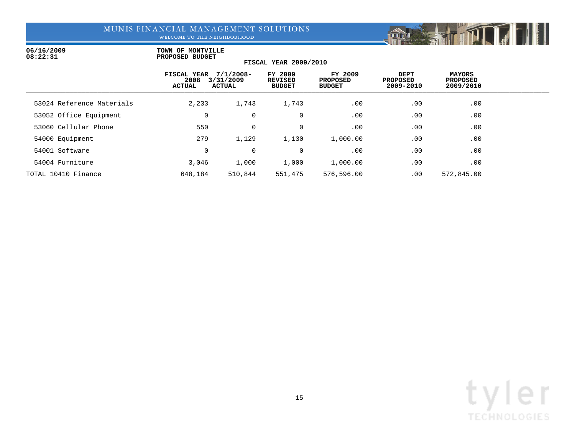WELCOME TO THE NEIGHBORHOOD



### 06/16/2009 **TOWN OF MONTVILLE**<br>08:22:31 **PROPOSED BUDGET 08:22:31 PROPOSED BUDGET**

|                           | FISCAL YEAR<br>2008<br><b>ACTUAL</b> | $7/1/2008 -$<br>3/31/2009<br><b>ACTUAL</b> | FY 2009<br><b>REVISED</b><br><b>BUDGET</b> | FY 2009<br><b>PROPOSED</b><br><b>BUDGET</b> | <b>DEPT</b><br><b>PROPOSED</b><br>2009-2010 | MAYORS<br><b>PROPOSED</b><br>2009/2010 |  |
|---------------------------|--------------------------------------|--------------------------------------------|--------------------------------------------|---------------------------------------------|---------------------------------------------|----------------------------------------|--|
| 53024 Reference Materials | 2,233                                | 1,743                                      | 1,743                                      | .00                                         | .00                                         | .00                                    |  |
| 53052 Office Equipment    | $\mathbf 0$                          | 0                                          | $\mathbf 0$                                | .00                                         | .00                                         | .00                                    |  |
| 53060 Cellular Phone      | 550                                  | $\mathbf 0$                                | $\mathbf 0$                                | .00                                         | .00                                         | .00                                    |  |
| 54000 Equipment           | 279                                  | 1,129                                      | 1,130                                      | 1,000.00                                    | .00                                         | .00                                    |  |
| 54001 Software            | 0                                    | $\mathbf 0$                                | $\mathbf 0$                                | .00                                         | .00                                         | .00                                    |  |
| 54004 Furniture           | 3,046                                | 1,000                                      | 1,000                                      | 1,000.00                                    | .00                                         | .00                                    |  |
| TOTAL 10410 Finance       | 648,184                              | 510,844                                    | 551,475                                    | 576,596.00                                  | .00                                         | 572,845.00                             |  |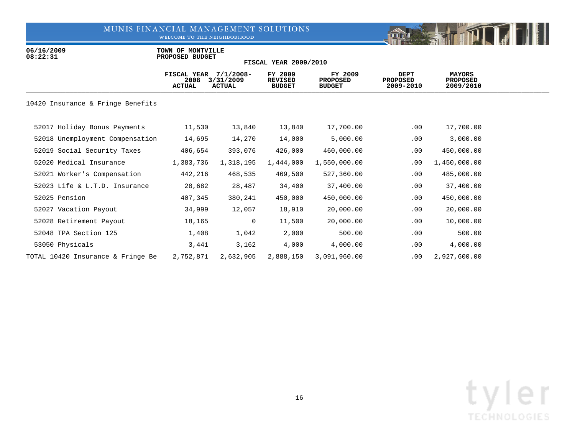WELCOME TO THE NEIGHBORHOOD



06/16/2009 **TOWN OF MONTVILLE**<br>08:22:31 **PROPOSED BUDGET 08:22:31 PROPOSED BUDGET**

|                                   | <b>FISCAL YEAR</b><br>2008<br><b>ACTUAL</b> | $7/1/2008 -$<br>3/31/2009<br><b>ACTUAL</b> | FY 2009<br><b>REVISED</b><br><b>BUDGET</b> | FY 2009<br><b>PROPOSED</b><br><b>BUDGET</b> | <b>DEPT</b><br><b>PROPOSED</b><br>2009-2010 | <b>MAYORS</b><br><b>PROPOSED</b><br>2009/2010 |  |
|-----------------------------------|---------------------------------------------|--------------------------------------------|--------------------------------------------|---------------------------------------------|---------------------------------------------|-----------------------------------------------|--|
| 10420 Insurance & Fringe Benefits |                                             |                                            |                                            |                                             |                                             |                                               |  |
| 52017 Holiday Bonus Payments      | 11,530                                      | 13,840                                     | 13,840                                     | 17,700.00                                   | .00                                         | 17,700.00                                     |  |
| 52018 Unemployment Compensation   | 14,695                                      | 14,270                                     | 14,000                                     | 5,000.00                                    | .00                                         | 3,000.00                                      |  |
| 52019 Social Security Taxes       | 406,654                                     | 393,076                                    | 426,000                                    | 460,000.00                                  | .00                                         | 450,000.00                                    |  |
| 52020 Medical Insurance           | 1,383,736                                   | 1,318,195                                  | 1,444,000                                  | 1,550,000.00                                | .00                                         | 1,450,000.00                                  |  |
| 52021 Worker's Compensation       | 442,216                                     | 468,535                                    | 469,500                                    | 527,360.00                                  | .00                                         | 485,000.00                                    |  |
| 52023 Life & L.T.D. Insurance     | 28,682                                      | 28,487                                     | 34,400                                     | 37,400.00                                   | $.00 \,$                                    | 37,400.00                                     |  |
| 52025 Pension                     | 407,345                                     | 380,241                                    | 450,000                                    | 450,000.00                                  | .00                                         | 450,000.00                                    |  |
| 52027 Vacation Payout             | 34,999                                      | 12,057                                     | 18,910                                     | 20,000.00                                   | $.00 \,$                                    | 20,000.00                                     |  |
| 52028 Retirement Payout           | 18,165                                      | $\overline{0}$                             | 11,500                                     | 20,000.00                                   | .00                                         | 10,000.00                                     |  |
| 52048 TPA Section 125             | 1,408                                       | 1,042                                      | 2,000                                      | 500.00                                      | .00                                         | 500.00                                        |  |
| 53050 Physicals                   | 3,441                                       | 3,162                                      | 4,000                                      | 4,000.00                                    | .00                                         | 4,000.00                                      |  |
| TOTAL 10420 Insurance & Fringe Be | 2,752,871                                   | 2,632,905                                  | 2,888,150                                  | 3,091,960.00                                | $.00 \ \rm$                                 | 2,927,600.00                                  |  |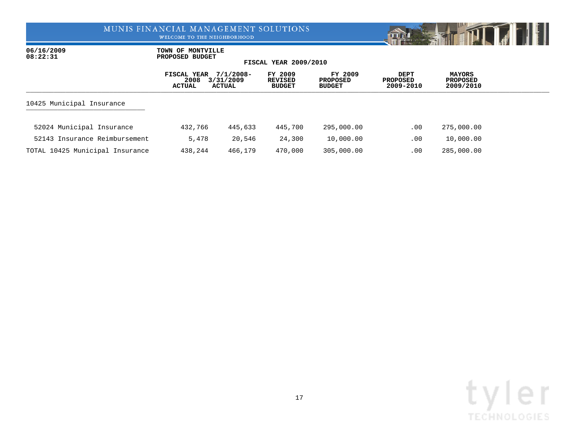WELCOME TO THE NEIGHBORHOOD



06/16/2009 **TOWN OF MONTVILLE**<br>08:22:31 **PROPOSED BUDGET 08:22:31 PROPOSED BUDGET**

|                                 | FISCAL YEAR<br>2008<br>ACTUAL | $7/1/2008 -$<br>3/31/2009<br>ACTUAL | FY 2009<br>REVISED<br><b>BUDGET</b> | FY 2009<br><b>PROPOSED</b><br><b>BUDGET</b> | DEPT<br><b>PROPOSED</b><br>2009-2010 | <b>MAYORS</b><br><b>PROPOSED</b><br>2009/2010 |  |
|---------------------------------|-------------------------------|-------------------------------------|-------------------------------------|---------------------------------------------|--------------------------------------|-----------------------------------------------|--|
| 10425 Municipal Insurance       |                               |                                     |                                     |                                             |                                      |                                               |  |
| 52024 Municipal Insurance       | 432,766                       | 445,633                             | 445,700                             | 295,000.00                                  | .00                                  | 275,000.00                                    |  |
| 52143 Insurance Reimbursement   | 5,478                         | 20,546                              | 24,300                              | 10,000.00                                   | .00                                  | 10,000.00                                     |  |
| TOTAL 10425 Municipal Insurance | 438,244                       | 466,179                             | 470,000                             | 305,000.00                                  | $.00 \,$                             | 285,000.00                                    |  |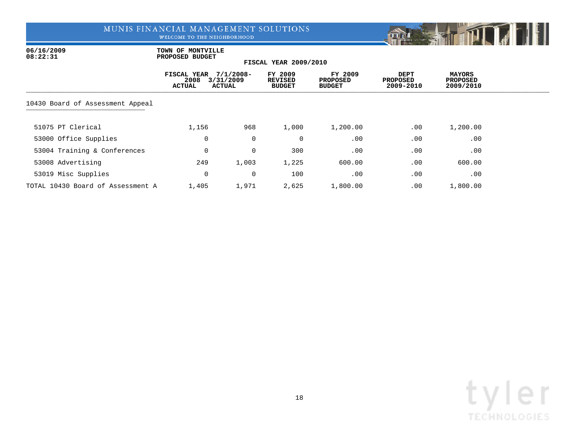WELCOME TO THE NEIGHBORHOOD



06/16/2009 **TOWN OF MONTVILLE**<br>08:22:31 **PROPOSED BUDGET 08:22:31 PROPOSED BUDGET**

|                                   | FISCAL YEAR<br>2008<br><b>ACTUAL</b> | $7/1/2008 -$<br>3/31/2009<br><b>ACTUAL</b> | FY 2009<br><b>REVISED</b><br><b>BUDGET</b> | FY 2009<br><b>PROPOSED</b><br><b>BUDGET</b> | DEPT<br><b>PROPOSED</b><br>2009-2010 | <b>MAYORS</b><br><b>PROPOSED</b><br>2009/2010 |  |
|-----------------------------------|--------------------------------------|--------------------------------------------|--------------------------------------------|---------------------------------------------|--------------------------------------|-----------------------------------------------|--|
| 10430 Board of Assessment Appeal  |                                      |                                            |                                            |                                             |                                      |                                               |  |
| 51075 PT Clerical                 | 1,156                                | 968                                        | 1,000                                      | 1,200.00                                    | .00                                  | 1,200.00                                      |  |
| 53000 Office Supplies             | 0                                    | 0                                          | 0                                          | .00                                         | .00                                  | .00                                           |  |
| 53004 Training & Conferences      | 0                                    | 0                                          | 300                                        | .00                                         | .00                                  | .00                                           |  |
| 53008 Advertising                 | 249                                  | 1,003                                      | 1,225                                      | 600.00                                      | .00                                  | 600.00                                        |  |
| 53019 Misc Supplies               | 0                                    | 0                                          | 100                                        | .00                                         | .00                                  | .00                                           |  |
| TOTAL 10430 Board of Assessment A | 1,405                                | 1,971                                      | 2,625                                      | 1,800.00                                    | .00                                  | 1,800.00                                      |  |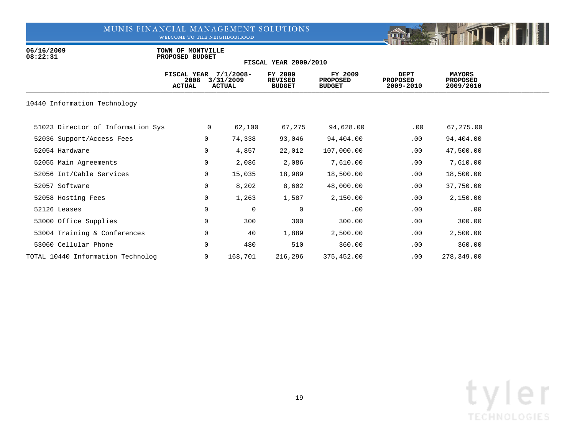WELCOME TO THE NEIGHBORHOOD



06/16/2009 **TOWN OF MONTVILLE**<br>08:22:31 **PROPOSED BUDGET 08:22:31 PROPOSED BUDGET**

|                                   | <b>FISCAL YEAR</b><br>2008<br><b>ACTUAL</b> |   | $7/1/2008 -$<br>3/31/2009<br>ACTUAL | FY 2009<br><b>REVISED</b><br><b>BUDGET</b> | FY 2009<br><b>PROPOSED</b><br><b>BUDGET</b> | <b>DEPT</b><br><b>PROPOSED</b><br>2009-2010 | <b>MAYORS</b><br><b>PROPOSED</b><br>2009/2010 |  |
|-----------------------------------|---------------------------------------------|---|-------------------------------------|--------------------------------------------|---------------------------------------------|---------------------------------------------|-----------------------------------------------|--|
| 10440 Information Technology      |                                             |   |                                     |                                            |                                             |                                             |                                               |  |
| 51023 Director of Information Sys |                                             | 0 | 62,100                              | 67,275                                     | 94,628.00                                   | $.00 \,$                                    | 67,275.00                                     |  |
| 52036 Support/Access Fees         |                                             | 0 | 74,338                              | 93,046                                     | 94,404.00                                   | .00                                         | 94,404.00                                     |  |
| 52054 Hardware                    |                                             | 0 | 4,857                               | 22,012                                     | 107,000.00                                  | .00                                         | 47,500.00                                     |  |
| 52055 Main Agreements             |                                             | 0 | 2,086                               | 2,086                                      | 7,610.00                                    | .00                                         | 7,610.00                                      |  |
| 52056 Int/Cable Services          |                                             | 0 | 15,035                              | 18,989                                     | 18,500.00                                   | .00                                         | 18,500.00                                     |  |
| 52057 Software                    |                                             | 0 | 8,202                               | 8,602                                      | 48,000.00                                   | .00                                         | 37,750.00                                     |  |
| 52058 Hosting Fees                |                                             | 0 | 1,263                               | 1,587                                      | 2,150.00                                    | .00                                         | 2,150.00                                      |  |
| 52126 Leases                      |                                             | 0 | $\overline{0}$                      | $\mathbf 0$                                | .00                                         | .00                                         | .00                                           |  |
| 53000 Office Supplies             |                                             | 0 | 300                                 | 300                                        | 300.00                                      | .00                                         | 300.00                                        |  |
| 53004 Training & Conferences      |                                             | 0 | 40                                  | 1,889                                      | 2,500.00                                    | .00                                         | 2,500.00                                      |  |
| 53060 Cellular Phone              |                                             | 0 | 480                                 | 510                                        | 360.00                                      | .00                                         | 360.00                                        |  |
| TOTAL 10440 Information Technolog |                                             | 0 | 168,701                             | 216,296                                    | 375,452.00                                  | .00                                         | 278,349.00                                    |  |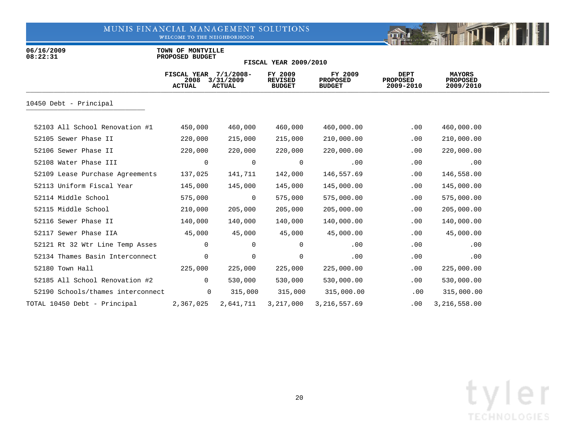WELCOME TO THE NEIGHBORHOOD



06/16/2009 **TOWN OF MONTVILLE**<br>08:22:31 **PROPOSED BUDGET 08:22:31 PROPOSED BUDGET**

|                                   | FISCAL YEAR<br>2008<br><b>ACTUAL</b> | $7/1/2008 -$<br>3/31/2009<br><b>ACTUAL</b> | FY 2009<br><b>REVISED</b><br><b>BUDGET</b> | FY 2009<br><b>PROPOSED</b><br><b>BUDGET</b> | <b>DEPT</b><br><b>PROPOSED</b><br>2009-2010 | <b>MAYORS</b><br><b>PROPOSED</b><br>2009/2010 |  |
|-----------------------------------|--------------------------------------|--------------------------------------------|--------------------------------------------|---------------------------------------------|---------------------------------------------|-----------------------------------------------|--|
| 10450 Debt - Principal            |                                      |                                            |                                            |                                             |                                             |                                               |  |
| 52103 All School Renovation #1    | 450,000                              | 460,000                                    | 460,000                                    | 460,000.00                                  | .00                                         | 460,000.00                                    |  |
| 52105 Sewer Phase II              | 220,000                              | 215,000                                    | 215,000                                    | 210,000.00                                  | $.00 \,$                                    | 210,000.00                                    |  |
| 52106 Sewer Phase II              | 220,000                              | 220,000                                    | 220,000                                    | 220,000.00                                  | .00                                         | 220,000.00                                    |  |
| 52108 Water Phase III             | $\mathbf 0$                          | $\overline{0}$                             | $\overline{0}$                             | .00                                         | .00                                         | .00                                           |  |
| 52109 Lease Purchase Agreements   | 137,025                              | 141,711                                    | 142,000                                    | 146,557.69                                  | .00                                         | 146,558.00                                    |  |
| 52113 Uniform Fiscal Year         | 145,000                              | 145,000                                    | 145,000                                    | 145,000.00                                  | $.00 \,$                                    | 145,000.00                                    |  |
| 52114 Middle School               | 575,000                              | $\overline{0}$                             | 575,000                                    | 575,000.00                                  | .00                                         | 575,000.00                                    |  |
| 52115 Middle School               | 210,000                              | 205,000                                    | 205,000                                    | 205,000.00                                  | .00                                         | 205,000.00                                    |  |
| 52116 Sewer Phase II              | 140,000                              | 140,000                                    | 140,000                                    | 140,000.00                                  | $.00 \,$                                    | 140,000.00                                    |  |
| 52117 Sewer Phase IIA             | 45,000                               | 45,000                                     | 45,000                                     | 45,000.00                                   | .00                                         | 45,000.00                                     |  |
| 52121 Rt 32 Wtr Line Temp Asses   | 0                                    | $\Omega$                                   | $\Omega$                                   | .00                                         | .00                                         | .00                                           |  |
| 52134 Thames Basin Interconnect   | $\mathbf 0$                          | $\mathbf 0$                                | $\overline{0}$                             | .00                                         | .00                                         | .00                                           |  |
| 52180 Town Hall                   | 225,000                              | 225,000                                    | 225,000                                    | 225,000.00                                  | $.00 \,$                                    | 225,000.00                                    |  |
| 52185 All School Renovation #2    | $\Omega$                             | 530,000                                    | 530,000                                    | 530,000.00                                  | .00                                         | 530,000.00                                    |  |
| 52190 Schools/thames interconnect | $\overline{0}$                       | 315,000                                    | 315,000                                    | 315,000.00                                  | $.00 \,$                                    | 315,000.00                                    |  |
| TOTAL 10450 Debt - Principal      | 2,367,025                            | 2,641,711                                  | 3,217,000                                  | 3, 216, 557.69                              | .00                                         | 3,216,558.00                                  |  |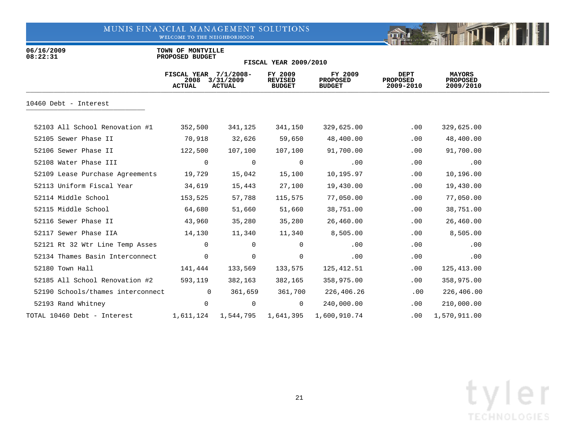WELCOME TO THE NEIGHBORHOOD



06/16/2009 **TOWN OF MONTVILLE**<br>08:22:31 **PROPOSED BUDGET 08:22:31 PROPOSED BUDGET**

|                                   | FISCAL YEAR $7/1/2008$ -<br>2008<br><b>ACTUAL</b> | 3/31/2009<br><b>ACTUAL</b> | FY 2009<br><b>REVISED</b><br><b>BUDGET</b> | FY 2009<br><b>PROPOSED</b><br><b>BUDGET</b> | DEPT<br><b>PROPOSED</b><br>2009-2010 | <b>MAYORS</b><br><b>PROPOSED</b><br>2009/2010 |  |
|-----------------------------------|---------------------------------------------------|----------------------------|--------------------------------------------|---------------------------------------------|--------------------------------------|-----------------------------------------------|--|
| 10460 Debt - Interest             |                                                   |                            |                                            |                                             |                                      |                                               |  |
| 52103 All School Renovation #1    | 352,500                                           | 341,125                    | 341,150                                    | 329,625.00                                  | .00                                  | 329,625.00                                    |  |
| 52105 Sewer Phase II              | 70,918                                            | 32,626                     | 59,650                                     | 48,400.00                                   | $.00 \,$                             | 48,400.00                                     |  |
| 52106 Sewer Phase II              | 122,500                                           | 107,100                    | 107,100                                    | 91,700.00                                   | .00                                  | 91,700.00                                     |  |
| 52108 Water Phase III             | $\overline{0}$                                    | $\overline{0}$             | $\overline{0}$                             | .00                                         | .00                                  | .00                                           |  |
| 52109 Lease Purchase Agreements   | 19,729                                            | 15,042                     | 15,100                                     | 10,195.97                                   | .00                                  | 10,196.00                                     |  |
| 52113 Uniform Fiscal Year         | 34,619                                            | 15,443                     | 27,100                                     | 19,430.00                                   | .00                                  | 19,430.00                                     |  |
| 52114 Middle School               | 153,525                                           | 57,788                     | 115,575                                    | 77,050.00                                   | .00                                  | 77,050.00                                     |  |
| 52115 Middle School               | 64,680                                            | 51,660                     | 51,660                                     | 38,751.00                                   | .00                                  | 38,751.00                                     |  |
| 52116 Sewer Phase II              | 43,960                                            | 35,280                     | 35,280                                     | 26,460.00                                   | .00                                  | 26,460.00                                     |  |
| 52117 Sewer Phase IIA             | 14,130                                            | 11,340                     | 11,340                                     | 8,505.00                                    | .00                                  | 8,505.00                                      |  |
| 52121 Rt 32 Wtr Line Temp Asses   | $\mathbf{0}$                                      | $\overline{0}$             | 0                                          | .00                                         | $.00 \,$                             | .00                                           |  |
| 52134 Thames Basin Interconnect   | $\overline{0}$                                    | $\overline{0}$             | $\mathbf 0$                                | .00                                         | .00                                  | .00                                           |  |
| 52180 Town Hall                   | 141,444                                           | 133,569                    | 133,575                                    | 125,412.51                                  | .00                                  | 125,413.00                                    |  |
| 52185 All School Renovation #2    | 593,119                                           | 382,163                    | 382,165                                    | 358,975.00                                  | .00                                  | 358,975.00                                    |  |
| 52190 Schools/thames interconnect | $\overline{0}$                                    | 361,659                    | 361,700                                    | 226,406.26                                  | $.00 \,$                             | 226,406.00                                    |  |
| 52193 Rand Whitney                | $\Omega$                                          | $\overline{0}$             | $\overline{0}$                             | 240,000.00                                  | .00                                  | 210,000.00                                    |  |
| TOTAL 10460 Debt - Interest       | 1,611,124                                         | 1,544,795                  | 1,641,395                                  | 1,600,910.74                                | .00                                  | 1,570,911.00                                  |  |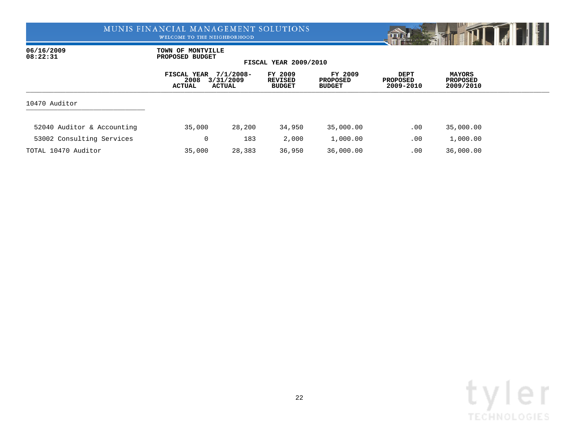WELCOME TO THE NEIGHBORHOOD



06/16/2009 **TOWN OF MONTVILLE**<br>08:22:31 **PROPOSED BUDGET 08:22:31 PROPOSED BUDGET**

|                            | FISCAL YEAR<br>2008<br>ACTUAL | $7/1/2008 -$<br>3/31/2009<br>ACTUAL | FY 2009<br><b>REVISED</b><br><b>BUDGET</b> | FY 2009<br>PROPOSED<br><b>BUDGET</b> | <b>DEPT</b><br><b>PROPOSED</b><br>2009-2010 | <b>MAYORS</b><br><b>PROPOSED</b><br>2009/2010 |  |
|----------------------------|-------------------------------|-------------------------------------|--------------------------------------------|--------------------------------------|---------------------------------------------|-----------------------------------------------|--|
| 10470 Auditor              |                               |                                     |                                            |                                      |                                             |                                               |  |
| 52040 Auditor & Accounting | 35,000                        | 28,200                              | 34,950                                     | 35,000.00                            | .00                                         | 35,000.00                                     |  |
| 53002 Consulting Services  | 0                             | 183                                 | 2,000                                      | 1,000.00                             | .00                                         | 1,000.00                                      |  |
| TOTAL 10470 Auditor        | 35,000                        | 28,383                              | 36,950                                     | 36,000.00                            | .00                                         | 36,000.00                                     |  |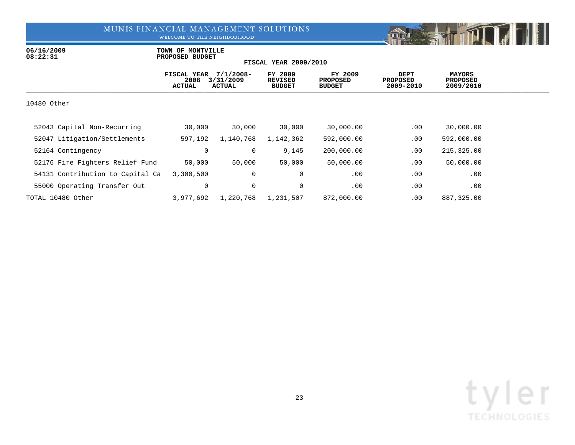WELCOME TO THE NEIGHBORHOOD



06/16/2009 **TOWN OF MONTVILLE**<br>08:22:31 **PROPOSED BUDGET 08:22:31 PROPOSED BUDGET**

|                                  | FISCAL YEAR<br>2008<br><b>ACTUAL</b> | $7/1/2008 -$<br>3/31/2009<br><b>ACTUAL</b> | FY 2009<br><b>REVISED</b><br><b>BUDGET</b> | FY 2009<br><b>PROPOSED</b><br><b>BUDGET</b> | <b>DEPT</b><br>PROPOSED<br>2009-2010 | <b>MAYORS</b><br><b>PROPOSED</b><br>2009/2010 |  |
|----------------------------------|--------------------------------------|--------------------------------------------|--------------------------------------------|---------------------------------------------|--------------------------------------|-----------------------------------------------|--|
| 10480 Other                      |                                      |                                            |                                            |                                             |                                      |                                               |  |
| 52043 Capital Non-Recurring      | 30,000                               | 30,000                                     | 30,000                                     | 30,000.00                                   | .00                                  | 30,000.00                                     |  |
| 52047 Litigation/Settlements     | 597,192                              | 1,140,768                                  | 1,142,362                                  | 592,000.00                                  | .00                                  | 592,000.00                                    |  |
| 52164 Contingency                | $\mathbf 0$                          | 0                                          | 9,145                                      | 200,000.00                                  | .00                                  | 215,325.00                                    |  |
| 52176 Fire Fighters Relief Fund  | 50,000                               | 50,000                                     | 50,000                                     | 50,000.00                                   | .00                                  | 50,000.00                                     |  |
| 54131 Contribution to Capital Ca | 3,300,500                            | 0                                          | 0                                          | .00                                         | .00                                  | .00                                           |  |
| 55000 Operating Transfer Out     | 0                                    | 0                                          | 0                                          | .00                                         | .00                                  | .00                                           |  |
| TOTAL 10480 Other                | 3,977,692                            | 1,220,768                                  | 1,231,507                                  | 872,000.00                                  | .00                                  | 887,325.00                                    |  |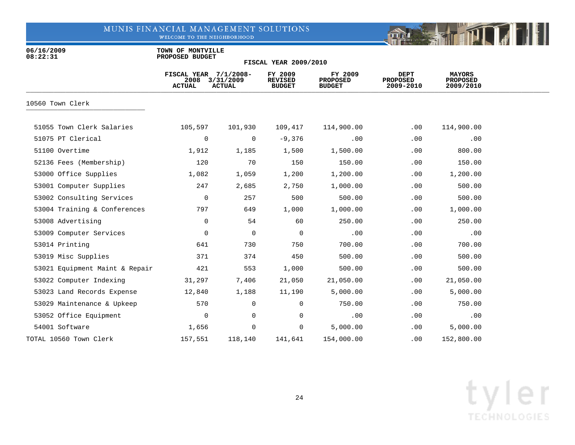WELCOME TO THE NEIGHBORHOOD



06/16/2009 **TOWN OF MONTVILLE**<br>08:22:31 **PROPOSED BUDGET 08:22:31 PROPOSED BUDGET**

|                                | FISCAL YEAR 7/1/2008-<br>2008<br><b>ACTUAL</b> | 3/31/2009<br><b>ACTUAL</b> | FY 2009<br><b>REVISED</b><br><b>BUDGET</b> | FY 2009<br><b>PROPOSED</b><br><b>BUDGET</b> | <b>DEPT</b><br><b>PROPOSED</b><br>2009-2010 | <b>MAYORS</b><br><b>PROPOSED</b><br>2009/2010 |  |
|--------------------------------|------------------------------------------------|----------------------------|--------------------------------------------|---------------------------------------------|---------------------------------------------|-----------------------------------------------|--|
| 10560 Town Clerk               |                                                |                            |                                            |                                             |                                             |                                               |  |
| 51055 Town Clerk Salaries      | 105,597                                        | 101,930                    | 109,417                                    | 114,900.00                                  | .00                                         | 114,900.00                                    |  |
| 51075 PT Clerical              | 0                                              | 0                          | $-9,376$                                   | .00                                         | .00                                         | .00                                           |  |
| 51100 Overtime                 | 1,912                                          | 1,185                      | 1,500                                      | 1,500.00                                    | .00                                         | 800.00                                        |  |
| 52136 Fees (Membership)        | 120                                            | 70                         | 150                                        | 150.00                                      | .00                                         | 150.00                                        |  |
| 53000 Office Supplies          | 1,082                                          | 1,059                      | 1,200                                      | 1,200.00                                    | .00                                         | 1,200.00                                      |  |
| 53001 Computer Supplies        | 247                                            | 2,685                      | 2,750                                      | 1,000.00                                    | .00                                         | 500.00                                        |  |
| 53002 Consulting Services      | $\mathbf 0$                                    | 257                        | 500                                        | 500.00                                      | .00                                         | 500.00                                        |  |
| 53004 Training & Conferences   | 797                                            | 649                        | 1,000                                      | 1,000.00                                    | .00                                         | 1,000.00                                      |  |
| 53008 Advertising              | 0                                              | 54                         | 60                                         | 250.00                                      | .00                                         | 250.00                                        |  |
| 53009 Computer Services        | 0                                              | $\mathbf 0$                | $\mathbf 0$                                | .00                                         | .00                                         | .00                                           |  |
| 53014 Printing                 | 641                                            | 730                        | 750                                        | 700.00                                      | .00                                         | 700.00                                        |  |
| 53019 Misc Supplies            | 371                                            | 374                        | 450                                        | 500.00                                      | .00                                         | 500.00                                        |  |
| 53021 Equipment Maint & Repair | 421                                            | 553                        | 1,000                                      | 500.00                                      | .00                                         | 500.00                                        |  |
| 53022 Computer Indexing        | 31,297                                         | 7,406                      | 21,050                                     | 21,050.00                                   | .00                                         | 21,050.00                                     |  |
| 53023 Land Records Expense     | 12,840                                         | 1,188                      | 11,190                                     | 5,000.00                                    | .00                                         | 5,000.00                                      |  |
| 53029 Maintenance & Upkeep     | 570                                            | 0                          | 0                                          | 750.00                                      | .00                                         | 750.00                                        |  |
| 53052 Office Equipment         | 0                                              | $\mathbf 0$                | 0                                          | .00                                         | .00                                         | .00                                           |  |
| 54001 Software                 | 1,656                                          | 0                          | 0                                          | 5,000.00                                    | $.00 \,$                                    | 5,000.00                                      |  |
| TOTAL 10560 Town Clerk         | 157,551                                        | 118,140                    | 141,641                                    | 154,000.00                                  | .00                                         | 152,800.00                                    |  |

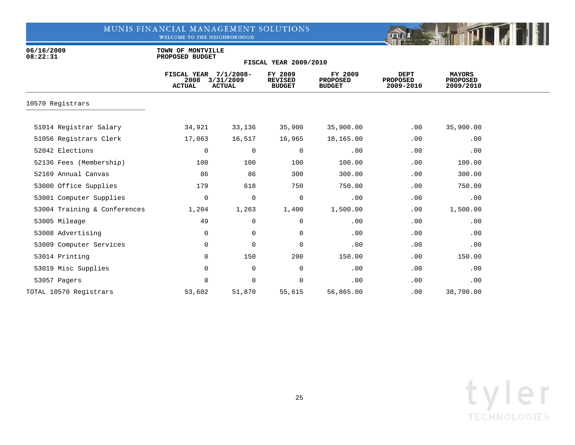WELCOME TO THE NEIGHBORHOOD



06/16/2009 **TOWN OF MONTVILLE**<br>08:22:31 **PROPOSED BUDGET 08:22:31 PROPOSED BUDGET**

|                              | FISCAL YEAR 7/1/2008-<br>2008<br><b>ACTUAL</b> | 3/31/2009<br><b>ACTUAL</b> | FY 2009<br><b>REVISED</b><br><b>BUDGET</b> | FY 2009<br><b>PROPOSED</b><br><b>BUDGET</b> | <b>DEPT</b><br><b>PROPOSED</b><br>2009-2010 | <b>MAYORS</b><br><b>PROPOSED</b><br>2009/2010 |  |
|------------------------------|------------------------------------------------|----------------------------|--------------------------------------------|---------------------------------------------|---------------------------------------------|-----------------------------------------------|--|
| 10570 Registrars             |                                                |                            |                                            |                                             |                                             |                                               |  |
| 51014 Registrar Salary       | 34,921                                         | 33,136                     | 35,900                                     | 35,900.00                                   | .00                                         | 35,900.00                                     |  |
| 51056 Registrars Clerk       | 17,063                                         | 16,517                     | 16,965                                     | 18,165.00                                   | .00                                         | .00                                           |  |
| 52042 Elections              | 0                                              | 0                          | 0                                          | .00                                         | .00                                         | .00                                           |  |
| 52136 Fees (Membership)      | 100                                            | 100                        | 100                                        | 100.00                                      | .00                                         | 100.00                                        |  |
| 52169 Annual Canvas          | 86                                             | 86                         | 300                                        | 300.00                                      | .00                                         | 300.00                                        |  |
| 53000 Office Supplies        | 179                                            | 618                        | 750                                        | 750.00                                      | .00                                         | 750.00                                        |  |
| 53001 Computer Supplies      | 0                                              | $\mathbf 0$                | 0                                          | .00                                         | .00                                         | .00                                           |  |
| 53004 Training & Conferences | 1,204                                          | 1,263                      | 1,400                                      | 1,500.00                                    | .00                                         | 1,500.00                                      |  |
| 53005 Mileage                | 49                                             | $\mathbf 0$                | $\mathbf 0$                                | .00                                         | .00                                         | .00                                           |  |
| 53008 Advertising            | $\mathbf 0$                                    | $\mathbf 0$                | $\mathbf 0$                                | .00                                         | .00                                         | .00                                           |  |
| 53009 Computer Services      | 0                                              | $\mathbf 0$                | $\mathbf 0$                                | .00                                         | .00                                         | .00                                           |  |
| 53014 Printing               | 0                                              | 150                        | 200                                        | 150.00                                      | .00                                         | 150.00                                        |  |
| 53019 Misc Supplies          | 0                                              | $\mathbf 0$                | $\mathbf 0$                                | .00                                         | .00                                         | .00                                           |  |
| 53057 Pagers                 | 0                                              | $\mathbf 0$                | $\mathbf 0$                                | .00                                         | .00                                         | .00                                           |  |
| TOTAL 10570 Registrars       | 53,602                                         | 51,870                     | 55,615                                     | 56,865.00                                   | .00                                         | 38,700.00                                     |  |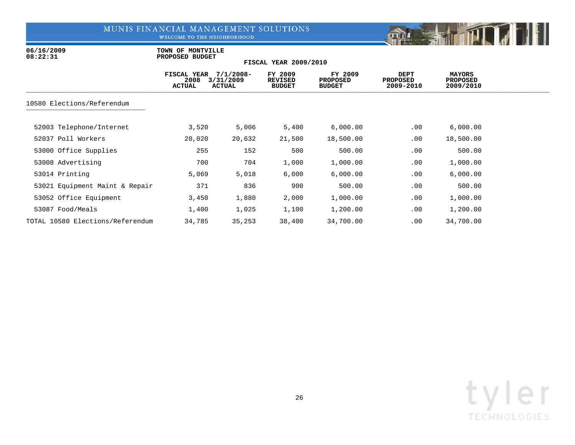WELCOME TO THE NEIGHBORHOOD



06/16/2009 **TOWN OF MONTVILLE**<br>08:22:31 **PROPOSED BUDGET 08:22:31 PROPOSED BUDGET**

|                                  | FISCAL YEAR<br>2008<br><b>ACTUAL</b> | $7/1/2008 -$<br>3/31/2009<br><b>ACTUAL</b> | FY 2009<br><b>REVISED</b><br><b>BUDGET</b> | FY 2009<br><b>PROPOSED</b><br><b>BUDGET</b> | <b>DEPT</b><br><b>PROPOSED</b><br>2009-2010 | <b>MAYORS</b><br>PROPOSED<br>2009/2010 |  |
|----------------------------------|--------------------------------------|--------------------------------------------|--------------------------------------------|---------------------------------------------|---------------------------------------------|----------------------------------------|--|
| 10580 Elections/Referendum       |                                      |                                            |                                            |                                             |                                             |                                        |  |
| 52003 Telephone/Internet         | 3,520                                | 5,006                                      | 5,400                                      | 6,000.00                                    | .00                                         | 6,000.00                               |  |
| 52037 Poll Workers               | 20,020                               | 20,632                                     | 21,500                                     | 18,500.00                                   | .00                                         | 18,500.00                              |  |
| 53000 Office Supplies            | 255                                  | 152                                        | 500                                        | 500.00                                      | .00                                         | 500.00                                 |  |
| 53008 Advertising                | 700                                  | 704                                        | 1,000                                      | 1,000.00                                    | .00                                         | 1,000.00                               |  |
| 53014 Printing                   | 5,069                                | 5,018                                      | 6,000                                      | 6,000.00                                    | .00                                         | 6,000.00                               |  |
| 53021 Equipment Maint & Repair   | 371                                  | 836                                        | 900                                        | 500.00                                      | .00                                         | 500.00                                 |  |
| 53052 Office Equipment           | 3,450                                | 1,880                                      | 2,000                                      | 1,000.00                                    | .00                                         | 1,000.00                               |  |
| 53087 Food/Meals                 | 1,400                                | 1,025                                      | 1,100                                      | 1,200.00                                    | .00                                         | 1,200.00                               |  |
| TOTAL 10580 Elections/Referendum | 34,785                               | 35,253                                     | 38,400                                     | 34,700.00                                   | .00                                         | 34,700.00                              |  |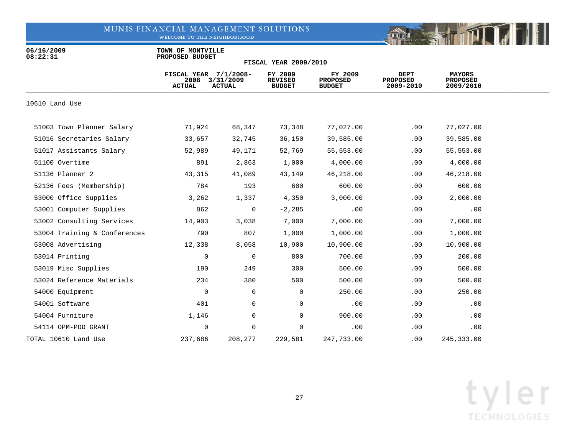WELCOME TO THE NEIGHBORHOOD



06/16/2009 **TOWN OF MONTVILLE**<br>08:22:31 **PROPOSED BUDGET 08:22:31 PROPOSED BUDGET**

| <b>FISCAL YEAR 2009/2010</b> |  |  |  |  |
|------------------------------|--|--|--|--|
|------------------------------|--|--|--|--|

|                              | FISCAL YEAR 7/1/2008-<br>2008<br><b>ACTUAL</b> | 3/31/2009<br><b>ACTUAL</b> | FY 2009<br><b>REVISED</b><br><b>BUDGET</b> | FY 2009<br><b>PROPOSED</b><br><b>BUDGET</b> | <b>DEPT</b><br><b>PROPOSED</b><br>2009-2010 | <b>MAYORS</b><br><b>PROPOSED</b><br>2009/2010 |  |
|------------------------------|------------------------------------------------|----------------------------|--------------------------------------------|---------------------------------------------|---------------------------------------------|-----------------------------------------------|--|
| 10610 Land Use               |                                                |                            |                                            |                                             |                                             |                                               |  |
| 51003 Town Planner Salary    | 71,924                                         | 68,347                     | 73,348                                     | 77,027.00                                   | .00                                         | 77,027.00                                     |  |
| 51016 Secretaries Salary     | 33,657                                         | 32,745                     | 36,150                                     | 39,585.00                                   | .00                                         | 39,585.00                                     |  |
| 51017 Assistants Salary      | 52,989                                         | 49,171                     | 52,769                                     | 55,553.00                                   | .00                                         | 55,553.00                                     |  |
| 51100 Overtime               | 891                                            | 2,863                      | 1,000                                      | 4,000.00                                    | .00                                         | 4,000.00                                      |  |
| 51136 Planner 2              | 43,315                                         | 41,089                     | 43,149                                     | 46,218.00                                   | .00                                         | 46,218.00                                     |  |
| 52136 Fees (Membership)      | 784                                            | 193                        | 600                                        | 600.00                                      | .00                                         | 600.00                                        |  |
| 53000 Office Supplies        | 3,262                                          | 1,337                      | 4,350                                      | 3,000.00                                    | .00                                         | 2,000.00                                      |  |
| 53001 Computer Supplies      | 862                                            | 0                          | $-2,285$                                   | .00                                         | .00                                         | .00                                           |  |
| 53002 Consulting Services    | 14,903                                         | 3,038                      | 7,000                                      | 7,000.00                                    | .00                                         | 7,000.00                                      |  |
| 53004 Training & Conferences | 790                                            | 807                        | 1,000                                      | 1,000.00                                    | .00                                         | 1,000.00                                      |  |
| 53008 Advertising            | 12,338                                         | 8,058                      | 10,900                                     | 10,900.00                                   | .00                                         | 10,900.00                                     |  |
| 53014 Printing               | 0                                              | $\mathbf 0$                | 800                                        | 700.00                                      | .00                                         | 200.00                                        |  |
| 53019 Misc Supplies          | 190                                            | 249                        | 300                                        | 500.00                                      | .00                                         | 500.00                                        |  |
| 53024 Reference Materials    | 234                                            | 380                        | 500                                        | 500.00                                      | .00                                         | 500.00                                        |  |
| 54000 Equipment              | 0                                              | $\mathbf 0$                | $\mathbf 0$                                | 250.00                                      | .00                                         | 250.00                                        |  |
| 54001 Software               | 401                                            | 0                          | 0                                          | .00                                         | .00                                         | .00                                           |  |
| 54004 Furniture              | 1,146                                          | $\mathbf 0$                | $\mathbf 0$                                | 900.00                                      | .00                                         | .00                                           |  |
| 54114 OPM-POD GRANT          | 0                                              | 0                          | $\mathbf 0$                                | .00                                         | $.00 \ \rm$                                 | .00                                           |  |
| TOTAL 10610 Land Use         | 237,686                                        | 208,277                    | 229,581                                    | 247,733.00                                  | .00                                         | 245, 333.00                                   |  |

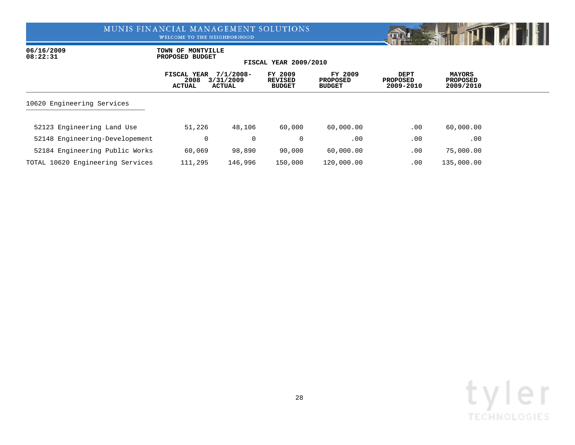WELCOME TO THE NEIGHBORHOOD



06/16/2009 **TOWN OF MONTVILLE**<br>08:22:31 **PROPOSED BUDGET 08:22:31 PROPOSED BUDGET**

|                                  | FISCAL YEAR<br>2008<br>ACTUAL | $7/1/2008 -$<br>3/31/2009<br><b>ACTUAL</b> | FY 2009<br><b>REVISED</b><br><b>BUDGET</b> | FY 2009<br><b>PROPOSED</b><br><b>BUDGET</b> | DEPT<br><b>PROPOSED</b><br>2009-2010 | <b>MAYORS</b><br><b>PROPOSED</b><br>2009/2010 |  |
|----------------------------------|-------------------------------|--------------------------------------------|--------------------------------------------|---------------------------------------------|--------------------------------------|-----------------------------------------------|--|
| 10620 Engineering Services       |                               |                                            |                                            |                                             |                                      |                                               |  |
| 52123 Engineering Land Use       | 51,226                        | 48,106                                     | 60,000                                     | 60,000.00                                   | .00                                  | 60,000.00                                     |  |
| 52148 Engineering-Developement   | 0                             | $\overline{0}$                             | 0                                          | .00.                                        | .00                                  | .00                                           |  |
| 52184 Engineering Public Works   | 60,069                        | 98,890                                     | 90,000                                     | 60,000.00                                   | .00                                  | 75,000.00                                     |  |
| TOTAL 10620 Engineering Services | 111,295                       | 146,996                                    | 150,000                                    | 120,000.00                                  | .00                                  | 135,000.00                                    |  |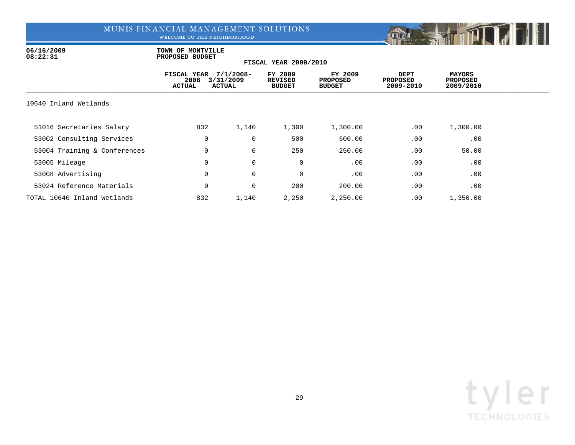WELCOME TO THE NEIGHBORHOOD



06/16/2009 **TOWN OF MONTVILLE**<br>08:22:31 **PROPOSED BUDGET 08:22:31 PROPOSED BUDGET**

|                              | FISCAL YEAR<br>2008<br><b>ACTUAL</b> | $7/1/2008 -$<br>3/31/2009<br><b>ACTUAL</b> | FY 2009<br><b>REVISED</b><br><b>BUDGET</b> | FY 2009<br><b>PROPOSED</b><br><b>BUDGET</b> | <b>DEPT</b><br><b>PROPOSED</b><br>2009-2010 | <b>MAYORS</b><br><b>PROPOSED</b><br>2009/2010 |  |
|------------------------------|--------------------------------------|--------------------------------------------|--------------------------------------------|---------------------------------------------|---------------------------------------------|-----------------------------------------------|--|
| 10640 Inland Wetlands        |                                      |                                            |                                            |                                             |                                             |                                               |  |
| 51016 Secretaries Salary     | 832                                  | 1,140                                      | 1,300                                      | 1,300.00                                    | .00                                         | 1,300.00                                      |  |
| 53002 Consulting Services    | 0                                    | 0                                          | 500                                        | 500.00                                      | .00                                         | .00                                           |  |
| 53004 Training & Conferences | 0                                    | $\mathbf 0$                                | 250                                        | 250.00                                      | .00                                         | 50.00                                         |  |
| 53005 Mileage                | 0                                    | $\mathbf 0$                                | 0                                          | .00                                         | .00                                         | .00                                           |  |
| 53008 Advertising            | 0                                    | 0                                          | 0                                          | .00                                         | .00                                         | .00                                           |  |
| 53024 Reference Materials    | 0                                    | 0                                          | 200                                        | 200.00                                      | .00                                         | .00                                           |  |
| TOTAL 10640 Inland Wetlands  | 832                                  | 1,140                                      | 2,250                                      | 2,250.00                                    | .00                                         | 1,350.00                                      |  |

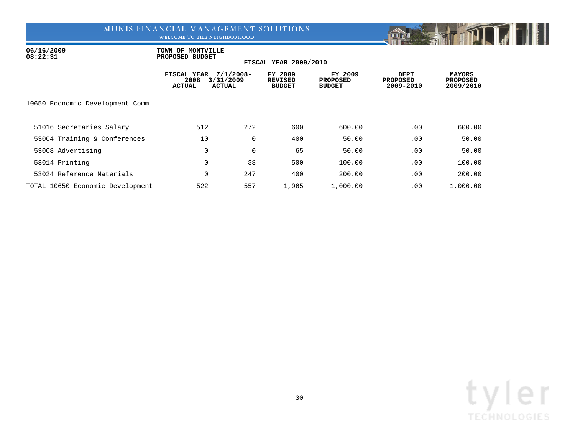WELCOME TO THE NEIGHBORHOOD



06/16/2009 **TOWN OF MONTVILLE**<br>08:22:31 **PROPOSED BUDGET 08:22:31 PROPOSED BUDGET**

|                                  | FISCAL YEAR<br>2008<br><b>ACTUAL</b> | $7/1/2008 -$<br>3/31/2009<br><b>ACTUAL</b> | FY 2009<br><b>REVISED</b><br><b>BUDGET</b> | FY 2009<br><b>PROPOSED</b><br><b>BUDGET</b> | DEPT<br><b>PROPOSED</b><br>2009-2010 | <b>MAYORS</b><br><b>PROPOSED</b><br>2009/2010 |  |
|----------------------------------|--------------------------------------|--------------------------------------------|--------------------------------------------|---------------------------------------------|--------------------------------------|-----------------------------------------------|--|
| 10650 Economic Development Comm  |                                      |                                            |                                            |                                             |                                      |                                               |  |
| 51016 Secretaries Salary         | 512                                  | 272                                        | 600                                        | 600.00                                      | .00                                  | 600.00                                        |  |
| 53004 Training & Conferences     | 10                                   | $\mathbf{0}$                               | 400                                        | 50.00                                       | .00                                  | 50.00                                         |  |
| 53008 Advertising                | 0                                    | $\overline{0}$                             | 65                                         | 50.00                                       | .00                                  | 50.00                                         |  |
| 53014 Printing                   | 0                                    | 38                                         | 500                                        | 100.00                                      | .00                                  | 100.00                                        |  |
| 53024 Reference Materials        | 0                                    | 247                                        | 400                                        | 200.00                                      | .00                                  | 200.00                                        |  |
| TOTAL 10650 Economic Development | 522                                  | 557                                        | 1,965                                      | 1,000.00                                    | .00                                  | 1,000.00                                      |  |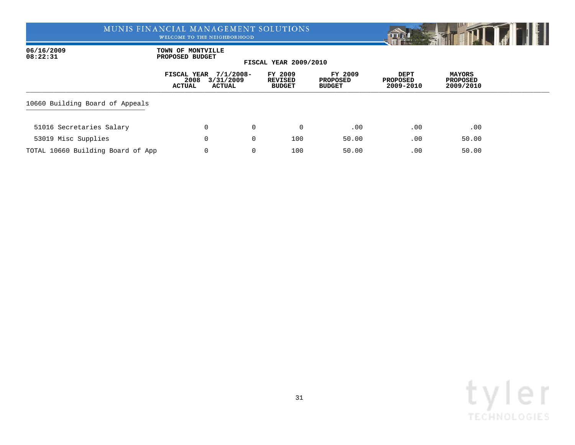WELCOME TO THE NEIGHBORHOOD



06/16/2009 **TOWN OF MONTVILLE**<br>08:22:31 **PROPOSED BUDGET 08:22:31 PROPOSED BUDGET**

|                                   | FISCAL YEAR<br>2008<br>ACTUAL | $7/1/2008 -$<br>3/31/2009<br>ACTUAL |                | FY 2009<br><b>REVISED</b><br><b>BUDGET</b> | FY 2009<br><b>PROPOSED</b><br><b>BUDGET</b> | DEPT<br><b>PROPOSED</b><br>2009-2010 | <b>MAYORS</b><br><b>PROPOSED</b><br>2009/2010 |  |
|-----------------------------------|-------------------------------|-------------------------------------|----------------|--------------------------------------------|---------------------------------------------|--------------------------------------|-----------------------------------------------|--|
| 10660 Building Board of Appeals   |                               |                                     |                |                                            |                                             |                                      |                                               |  |
| 51016 Secretaries Salary          |                               | 0                                   | $\Omega$       | $\Omega$                                   | .00                                         | .00                                  | .00                                           |  |
| 53019 Misc Supplies               |                               | 0                                   | $\overline{0}$ | 100                                        | 50.00                                       | .00                                  | 50.00                                         |  |
| TOTAL 10660 Building Board of App |                               | 0                                   | 0              | 100                                        | 50.00                                       | .00                                  | 50.00                                         |  |

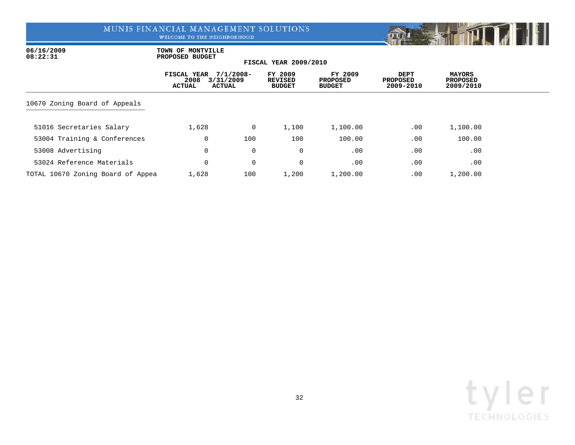WELCOME TO THE NEIGHBORHOOD



06/16/2009 **TOWN OF MONTVILLE**<br>08:22:31 **PROPOSED BUDGET 08:22:31 PROPOSED BUDGET**

|                                   | FISCAL YEAR<br>2008<br><b>ACTUAL</b> | $7/1/2008 -$<br>3/31/2009<br>ACTUAL | FY 2009<br><b>REVISED</b><br><b>BUDGET</b> | FY 2009<br><b>PROPOSED</b><br><b>BUDGET</b> | DEPT<br><b>PROPOSED</b><br>2009-2010 | <b>MAYORS</b><br><b>PROPOSED</b><br>2009/2010 |  |
|-----------------------------------|--------------------------------------|-------------------------------------|--------------------------------------------|---------------------------------------------|--------------------------------------|-----------------------------------------------|--|
| 10670 Zoning Board of Appeals     |                                      |                                     |                                            |                                             |                                      |                                               |  |
| 51016 Secretaries Salary          | 1,628                                | 0                                   | 1,100                                      | 1,100.00                                    | .00                                  | 1,100.00                                      |  |
| 53004 Training & Conferences      | 0                                    | 100                                 | 100                                        | 100.00                                      | .00                                  | 100.00                                        |  |
| 53008 Advertising                 | 0                                    | 0                                   | 0                                          | .00                                         | .00                                  | .00                                           |  |
| 53024 Reference Materials         | 0                                    | $\mathbf 0$                         | 0                                          | .00                                         | .00                                  | .00                                           |  |
| TOTAL 10670 Zoning Board of Appea | 1,628                                | 100                                 | 1,200                                      | 1,200.00                                    | .00                                  | 1,200.00                                      |  |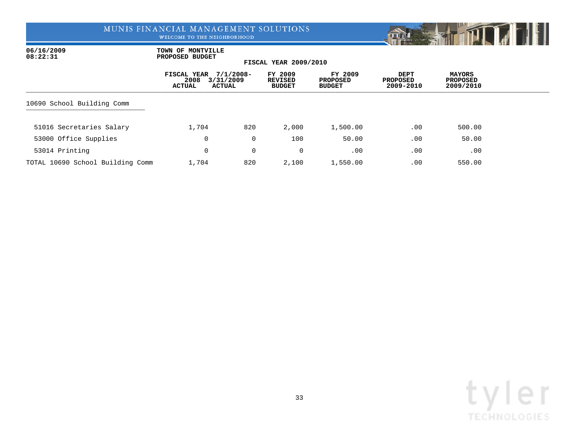WELCOME TO THE NEIGHBORHOOD



06/16/2009 **TOWN OF MONTVILLE**<br>08:22:31 **PROPOSED BUDGET 08:22:31 PROPOSED BUDGET**

|                                  | FISCAL YEAR<br>2008<br><b>ACTUAL</b><br>ACTUAL | $7/1/2008 -$<br>3/31/2009 | FY 2009<br><b>REVISED</b><br><b>BUDGET</b> | FY 2009<br><b>PROPOSED</b><br><b>BUDGET</b> | <b>DEPT</b><br>PROPOSED<br>2009-2010 | MAYORS<br><b>PROPOSED</b><br>2009/2010 |  |
|----------------------------------|------------------------------------------------|---------------------------|--------------------------------------------|---------------------------------------------|--------------------------------------|----------------------------------------|--|
| 10690 School Building Comm       |                                                |                           |                                            |                                             |                                      |                                        |  |
| 51016 Secretaries Salary         | 1,704                                          | 820                       | 2,000                                      | 1,500.00                                    | .00                                  | 500.00                                 |  |
| 53000 Office Supplies            | 0                                              | 0                         | 100                                        | 50.00                                       | .00                                  | 50.00                                  |  |
| 53014 Printing                   | 0                                              | 0                         | 0                                          | .00                                         | .00                                  | .00                                    |  |
| TOTAL 10690 School Building Comm | 1,704                                          | 820                       | 2,100                                      | 1,550.00                                    | .00                                  | 550.00                                 |  |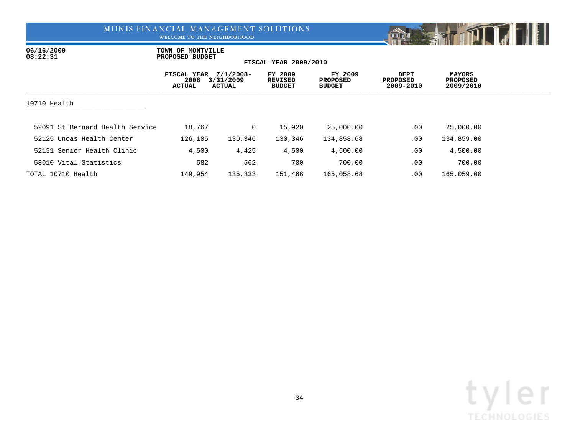WELCOME TO THE NEIGHBORHOOD



06/16/2009 **TOWN OF MONTVILLE**<br>08:22:31 **PROPOSED BUDGET 08:22:31 PROPOSED BUDGET**

|                                 | FISCAL YEAR<br>2008<br><b>ACTUAL</b> | $7/1/2008 -$<br>3/31/2009<br>ACTUAL | FY 2009<br><b>REVISED</b><br><b>BUDGET</b> | FY 2009<br><b>PROPOSED</b><br><b>BUDGET</b> | <b>DEPT</b><br><b>PROPOSED</b><br>2009-2010 | <b>MAYORS</b><br><b>PROPOSED</b><br>2009/2010 |  |
|---------------------------------|--------------------------------------|-------------------------------------|--------------------------------------------|---------------------------------------------|---------------------------------------------|-----------------------------------------------|--|
| 10710 Health                    |                                      |                                     |                                            |                                             |                                             |                                               |  |
| 52091 St Bernard Health Service | 18,767                               | $\mathbf{0}$                        | 15,920                                     | 25,000.00                                   | .00                                         | 25,000.00                                     |  |
| 52125 Uncas Health Center       | 126,105                              | 130,346                             | 130,346                                    | 134,858.68                                  | .00                                         | 134,859.00                                    |  |
| 52131 Senior Health Clinic      | 4,500                                | 4,425                               | 4,500                                      | 4,500.00                                    | .00                                         | 4,500.00                                      |  |
| 53010 Vital Statistics          | 582                                  | 562                                 | 700                                        | 700.00                                      | .00                                         | 700.00                                        |  |
| TOTAL 10710 Health              | 149,954                              | 135,333                             | 151,466                                    | 165,058.68                                  | $.00 \,$                                    | 165,059.00                                    |  |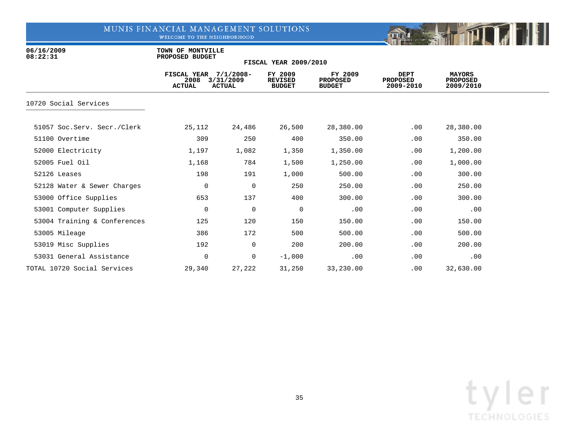WELCOME TO THE NEIGHBORHOOD



06/16/2009 **TOWN OF MONTVILLE**<br>08:22:31 **PROPOSED BUDGET 08:22:31 PROPOSED BUDGET**

|                              | FISCAL YEAR 7/1/2008-<br>2008<br>ACTUAL | 3/31/2009<br><b>ACTUAL</b> | FY 2009<br><b>REVISED</b><br><b>BUDGET</b> | FY 2009<br><b>PROPOSED</b><br><b>BUDGET</b> | <b>DEPT</b><br><b>PROPOSED</b><br>2009-2010 | <b>MAYORS</b><br><b>PROPOSED</b><br>2009/2010 |  |
|------------------------------|-----------------------------------------|----------------------------|--------------------------------------------|---------------------------------------------|---------------------------------------------|-----------------------------------------------|--|
| 10720 Social Services        |                                         |                            |                                            |                                             |                                             |                                               |  |
| 51057 Soc.Serv. Secr./Clerk  | 25,112                                  | 24,486                     | 26,500                                     | 28,380.00                                   | .00                                         | 28,380.00                                     |  |
| 51100 Overtime               | 309                                     | 250                        | 400                                        | 350.00                                      | .00                                         | 350.00                                        |  |
| 52000 Electricity            | 1,197                                   | 1,082                      | 1,350                                      | 1,350.00                                    | .00                                         | 1,200.00                                      |  |
| 52005 Fuel Oil               | 1,168                                   | 784                        | 1,500                                      | 1,250.00                                    | .00                                         | 1,000.00                                      |  |
| 52126 Leases                 | 198                                     | 191                        | 1,000                                      | 500.00                                      | .00                                         | 300.00                                        |  |
| 52128 Water & Sewer Charges  | $\mathbf 0$                             | $\mathbf 0$                | 250                                        | 250.00                                      | .00                                         | 250.00                                        |  |
| 53000 Office Supplies        | 653                                     | 137                        | 400                                        | 300.00                                      | .00                                         | 300.00                                        |  |
| 53001 Computer Supplies      | 0                                       | $\mathbf 0$                | 0                                          | .00                                         | .00                                         | .00                                           |  |
| 53004 Training & Conferences | 125                                     | 120                        | 150                                        | 150.00                                      | .00                                         | 150.00                                        |  |
| 53005 Mileage                | 386                                     | 172                        | 500                                        | 500.00                                      | .00                                         | 500.00                                        |  |
| 53019 Misc Supplies          | 192                                     | $\overline{0}$             | 200                                        | 200.00                                      | .00                                         | 200.00                                        |  |
| 53031 General Assistance     | 0                                       | $\overline{0}$             | $-1,000$                                   | .00                                         | .00                                         | .00                                           |  |
| TOTAL 10720 Social Services  | 29,340                                  | 27,222                     | 31,250                                     | 33,230.00                                   | .00                                         | 32,630.00                                     |  |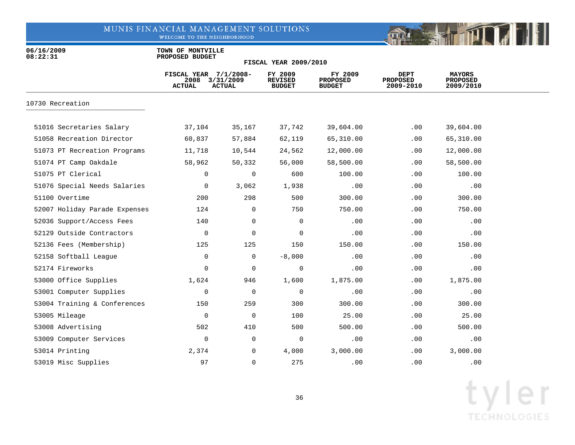WELCOME TO THE NEIGHBORHOOD



06/16/2009 **TOWN OF MONTVILLE**<br>08:22:31 **PROPOSED BUDGET 08:22:31 PROPOSED BUDGET**

|                               | FISCAL YEAR 7/1/2008-<br>2008<br><b>ACTUAL</b> | 3/31/2009<br><b>ACTUAL</b> | FY 2009<br><b>REVISED</b><br><b>BUDGET</b> | FY 2009<br><b>PROPOSED</b><br><b>BUDGET</b> | <b>DEPT</b><br><b>PROPOSED</b><br>2009-2010 | <b>MAYORS</b><br><b>PROPOSED</b><br>2009/2010 |  |
|-------------------------------|------------------------------------------------|----------------------------|--------------------------------------------|---------------------------------------------|---------------------------------------------|-----------------------------------------------|--|
| 10730 Recreation              |                                                |                            |                                            |                                             |                                             |                                               |  |
| 51016 Secretaries Salary      | 37,104                                         | 35,167                     | 37,742                                     | 39,604.00                                   | .00                                         | 39,604.00                                     |  |
| 51058 Recreation Director     | 60,837                                         | 57,884                     | 62,119                                     | 65,310.00                                   | .00                                         | 65,310.00                                     |  |
| 51073 PT Recreation Programs  | 11,718                                         | 10,544                     | 24,562                                     | 12,000.00                                   | .00                                         | 12,000.00                                     |  |
| 51074 PT Camp Oakdale         | 58,962                                         | 50,332                     | 56,000                                     | 58,500.00                                   | .00                                         | 58,500.00                                     |  |
| 51075 PT Clerical             | 0                                              | $\mathbf 0$                | 600                                        | 100.00                                      | .00                                         | 100.00                                        |  |
| 51076 Special Needs Salaries  | 0                                              | 3,062                      | 1,938                                      | .00                                         | .00                                         | .00                                           |  |
| 51100 Overtime                | 200                                            | 298                        | 500                                        | 300.00                                      | .00                                         | 300.00                                        |  |
| 52007 Holiday Parade Expenses | 124                                            | $\mathbf 0$                | 750                                        | 750.00                                      | .00                                         | 750.00                                        |  |
| 52036 Support/Access Fees     | 140                                            | 0                          | 0                                          | .00                                         | .00                                         | .00                                           |  |
| 52129 Outside Contractors     | 0                                              | 0                          | $\mathbf 0$                                | .00                                         | .00                                         | .00                                           |  |
| 52136 Fees (Membership)       | 125                                            | 125                        | 150                                        | 150.00                                      | .00                                         | 150.00                                        |  |
| 52158 Softball League         | 0                                              | 0                          | $-8,000$                                   | .00                                         | .00                                         | .00                                           |  |
| 52174 Fireworks               | 0                                              | $\mathbf 0$                | 0                                          | .00                                         | .00                                         | .00                                           |  |
| 53000 Office Supplies         | 1,624                                          | 946                        | 1,600                                      | 1,875.00                                    | .00                                         | 1,875.00                                      |  |
| 53001 Computer Supplies       | 0                                              | $\mathbf 0$                | 0                                          | .00                                         | .00                                         | .00                                           |  |
| 53004 Training & Conferences  | 150                                            | 259                        | 300                                        | 300.00                                      | .00                                         | 300.00                                        |  |
| 53005 Mileage                 | 0                                              | 0                          | 100                                        | 25.00                                       | .00                                         | 25.00                                         |  |
| 53008 Advertising             | 502                                            | 410                        | 500                                        | 500.00                                      | .00                                         | 500.00                                        |  |
| 53009 Computer Services       | 0                                              | 0                          | 0                                          | .00                                         | .00                                         | .00                                           |  |
| 53014 Printing                | 2,374                                          | 0                          | 4,000                                      | 3,000.00                                    | .00                                         | 3,000.00                                      |  |
| 53019 Misc Supplies           | 97                                             | 0                          | 275                                        | .00                                         | .00.                                        | .00                                           |  |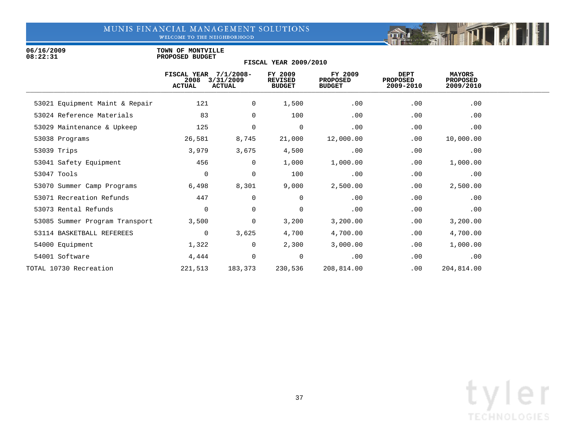WELCOME TO THE NEIGHBORHOOD

06/16/2009 **TOWN OF MONTVILLE**<br>08:22:31 **PROPOSED BUDGET 08:22:31 PROPOSED BUDGET**

|                                | FISCAL YEAR 7/1/2008-<br>2008<br><b>ACTUAL</b> | 3/31/2009<br><b>ACTUAL</b> | FY 2009<br>REVISED<br><b>BUDGET</b> | FY 2009<br><b>PROPOSED</b><br><b>BUDGET</b> | DEPT<br><b>PROPOSED</b><br>2009-2010 | MAYORS<br><b>PROPOSED</b><br>2009/2010 |  |
|--------------------------------|------------------------------------------------|----------------------------|-------------------------------------|---------------------------------------------|--------------------------------------|----------------------------------------|--|
| 53021 Equipment Maint & Repair | 121                                            | 0                          | 1,500                               | .00                                         | .00                                  | .00                                    |  |
| 53024 Reference Materials      | 83                                             | 0                          | 100                                 | .00                                         | .00                                  | .00                                    |  |
| 53029 Maintenance & Upkeep     | 125                                            | 0                          | 0                                   | .00                                         | .00                                  | .00                                    |  |
| 53038 Programs                 | 26,581                                         | 8,745                      | 21,000                              | 12,000.00                                   | .00                                  | 10,000.00                              |  |
| 53039 Trips                    | 3,979                                          | 3,675                      | 4,500                               | .00                                         | .00                                  | .00                                    |  |
| 53041 Safety Equipment         | 456                                            | 0                          | 1,000                               | 1,000.00                                    | .00                                  | 1,000.00                               |  |
| 53047 Tools                    | 0                                              | $\mathbf 0$                | 100                                 | .00                                         | .00                                  | .00                                    |  |
| 53070 Summer Camp Programs     | 6,498                                          | 8,301                      | 9,000                               | 2,500.00                                    | .00                                  | 2,500.00                               |  |
| 53071 Recreation Refunds       | 447                                            | 0                          | 0                                   | .00                                         | .00                                  | .00                                    |  |
| 53073 Rental Refunds           | $\mathbf 0$                                    | $\mathbf 0$                | 0                                   | .00                                         | .00                                  | .00                                    |  |
| 53085 Summer Program Transport | 3,500                                          | 0                          | 3,200                               | 3,200.00                                    | .00                                  | 3,200.00                               |  |
| 53114 BASKETBALL REFEREES      | $\mathbf 0$                                    | 3,625                      | 4,700                               | 4,700.00                                    | .00                                  | 4,700.00                               |  |
| 54000 Equipment                | 1,322                                          | 0                          | 2,300                               | 3,000.00                                    | .00                                  | 1,000.00                               |  |
| 54001 Software                 | 4,444                                          | 0                          | 0                                   | .00                                         | .00                                  | .00                                    |  |
| TOTAL 10730 Recreation         | 221,513                                        | 183,373                    | 230,536                             | 208,814.00                                  | .00                                  | 204,814.00                             |  |
|                                |                                                |                            |                                     |                                             |                                      |                                        |  |

**FISCAL YEAR 2009/2010**

Fill

mar is the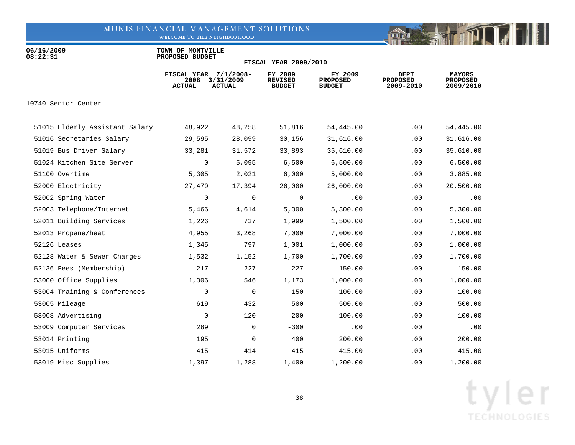WELCOME TO THE NEIGHBORHOOD



06/16/2009 **TOWN OF MONTVILLE**<br>08:22:31 **PROPOSED BUDGET 08:22:31 PROPOSED BUDGET**

|                                | FISCAL YEAR 7/1/2008-<br>2008<br><b>ACTUAL</b> | 3/31/2009<br><b>ACTUAL</b> | FY 2009<br><b>REVISED</b><br><b>BUDGET</b> | FY 2009<br><b>PROPOSED</b><br><b>BUDGET</b> | DEPT<br><b>PROPOSED</b><br>2009-2010 | <b>MAYORS</b><br><b>PROPOSED</b><br>2009/2010 |  |
|--------------------------------|------------------------------------------------|----------------------------|--------------------------------------------|---------------------------------------------|--------------------------------------|-----------------------------------------------|--|
| 10740 Senior Center            |                                                |                            |                                            |                                             |                                      |                                               |  |
| 51015 Elderly Assistant Salary | 48,922                                         | 48,258                     | 51,816                                     | 54,445.00                                   | $.00 \,$                             | 54,445.00                                     |  |
| 51016 Secretaries Salary       | 29,595                                         | 28,099                     | 30,156                                     | 31,616.00                                   | .00                                  | 31,616.00                                     |  |
| 51019 Bus Driver Salary        | 33,281                                         | 31,572                     | 33,893                                     | 35,610.00                                   | .00                                  | 35,610.00                                     |  |
| 51024 Kitchen Site Server      | 0                                              | 5,095                      | 6,500                                      | 6,500.00                                    | .00                                  | 6,500.00                                      |  |
| 51100 Overtime                 | 5,305                                          | 2,021                      | 6,000                                      | 5,000.00                                    | .00                                  | 3,885.00                                      |  |
| 52000 Electricity              | 27,479                                         | 17,394                     | 26,000                                     | 26,000.00                                   | .00                                  | 20,500.00                                     |  |
| 52002 Spring Water             | 0                                              | $\overline{0}$             | 0                                          | .00                                         | .00                                  | .00                                           |  |
| 52003 Telephone/Internet       | 5,466                                          | 4,614                      | 5,300                                      | 5,300.00                                    | .00                                  | 5,300.00                                      |  |
| 52011 Building Services        | 1,226                                          | 737                        | 1,999                                      | 1,500.00                                    | .00                                  | 1,500.00                                      |  |
| 52013 Propane/heat             | 4,955                                          | 3,268                      | 7,000                                      | 7,000.00                                    | .00                                  | 7,000.00                                      |  |
| 52126 Leases                   | 1,345                                          | 797                        | 1,001                                      | 1,000.00                                    | .00                                  | 1,000.00                                      |  |
| 52128 Water & Sewer Charges    | 1,532                                          | 1,152                      | 1,700                                      | 1,700.00                                    | .00                                  | 1,700.00                                      |  |
| 52136 Fees (Membership)        | 217                                            | 227                        | 227                                        | 150.00                                      | .00                                  | 150.00                                        |  |
| 53000 Office Supplies          | 1,306                                          | 546                        | 1,173                                      | 1,000.00                                    | .00                                  | 1,000.00                                      |  |
| 53004 Training & Conferences   | 0                                              | $\overline{0}$             | 150                                        | 100.00                                      | .00                                  | 100.00                                        |  |
| 53005 Mileage                  | 619                                            | 432                        | 500                                        | 500.00                                      | .00                                  | 500.00                                        |  |
| 53008 Advertising              | $\mathbf 0$                                    | 120                        | 200                                        | 100.00                                      | .00                                  | 100.00                                        |  |
| 53009 Computer Services        | 289                                            | $\mathsf{O}$               | $-300$                                     | .00                                         | .00                                  | .00                                           |  |
| 53014 Printing                 | 195                                            | 0                          | 400                                        | 200.00                                      | .00                                  | 200.00                                        |  |
| 53015 Uniforms                 | 415                                            | 414                        | 415                                        | 415.00                                      | .00                                  | 415.00                                        |  |
| 53019 Misc Supplies            | 1,397                                          | 1,288                      | 1,400                                      | 1,200.00                                    | $.00 \,$                             | 1,200.00                                      |  |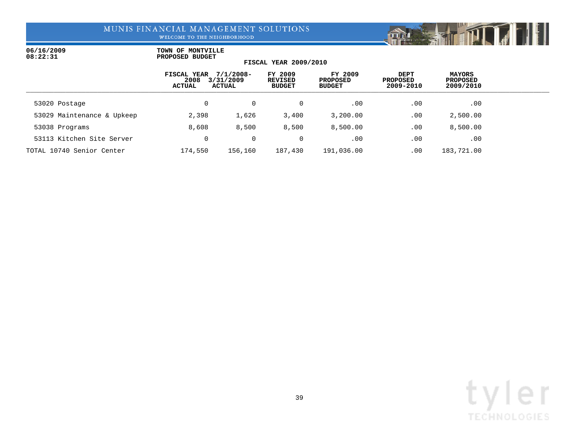WELCOME TO THE NEIGHBORHOOD

### 06/16/2009 **TOWN OF MONTVILLE**<br>08:22:31 **PROPOSED BUDGET 08:22:31 PROPOSED BUDGET**

|  | <b>FISCAL YEAR 2009/2010</b> |
|--|------------------------------|

|                            | FISCAL YEAR<br>2008<br>ACTUAL | $7/1/2008 -$<br>3/31/2009<br>ACTUAL | FY 2009<br><b>REVISED</b><br><b>BUDGET</b> | FY 2009<br><b>PROPOSED</b><br><b>BUDGET</b> | DEPT<br><b>PROPOSED</b><br>2009-2010 | <b>MAYORS</b><br><b>PROPOSED</b><br>2009/2010 |  |
|----------------------------|-------------------------------|-------------------------------------|--------------------------------------------|---------------------------------------------|--------------------------------------|-----------------------------------------------|--|
| 53020 Postage              |                               | 0                                   |                                            | .00                                         | $.00 \,$                             | .00                                           |  |
| 53029 Maintenance & Upkeep | 2,398                         | 1,626                               | 3,400                                      | 3,200.00                                    | .00                                  | 2,500.00                                      |  |
| 53038 Programs             | 8,608                         | 8,500                               | 8,500                                      | 8,500.00                                    | $.00 \,$                             | 8,500.00                                      |  |
| 53113 Kitchen Site Server  |                               | 0                                   |                                            | .00                                         | .00                                  | .00                                           |  |
| TOTAL 10740 Senior Center  | 174,550                       | 156,160                             | 187,430                                    | 191,036.00                                  | $.00 \,$                             | 183,721.00                                    |  |

**RESEARCH TO THE RESEARCH**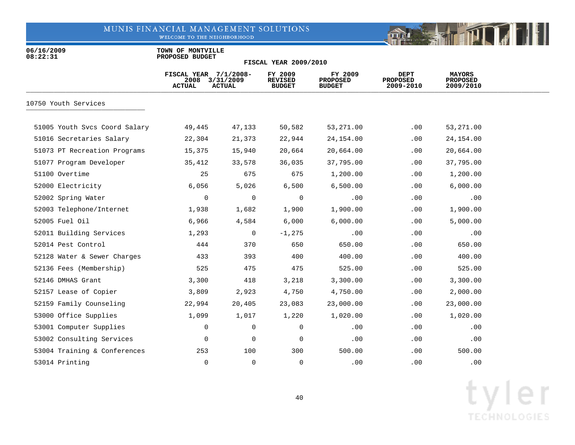WELCOME TO THE NEIGHBORHOOD



06/16/2009 **TOWN OF MONTVILLE**<br>08:22:31 **PROPOSED BUDGET 08:22:31 PROPOSED BUDGET**

|                               | FISCAL YEAR 7/1/2008-<br>2008<br><b>ACTUAL</b> | 3/31/2009<br><b>ACTUAL</b> | FY 2009<br><b>REVISED</b><br><b>BUDGET</b> | FY 2009<br><b>PROPOSED</b><br><b>BUDGET</b> | <b>DEPT</b><br><b>PROPOSED</b><br>2009-2010 | <b>MAYORS</b><br><b>PROPOSED</b><br>2009/2010 |  |
|-------------------------------|------------------------------------------------|----------------------------|--------------------------------------------|---------------------------------------------|---------------------------------------------|-----------------------------------------------|--|
| 10750 Youth Services          |                                                |                            |                                            |                                             |                                             |                                               |  |
| 51005 Youth Svcs Coord Salary | 49,445                                         | 47,133                     | 50,582                                     | 53,271.00                                   | .00                                         | 53,271.00                                     |  |
| 51016 Secretaries Salary      | 22,304                                         | 21,373                     | 22,944                                     | 24,154.00                                   | .00                                         | 24,154.00                                     |  |
| 51073 PT Recreation Programs  | 15,375                                         | 15,940                     | 20,664                                     | 20,664.00                                   | .00                                         | 20,664.00                                     |  |
| 51077 Program Developer       | 35,412                                         | 33,578                     | 36,035                                     | 37,795.00                                   | .00                                         | 37,795.00                                     |  |
| 51100 Overtime                | 25                                             | 675                        | 675                                        | 1,200.00                                    | .00                                         | 1,200.00                                      |  |
| 52000 Electricity             | 6,056                                          | 5,026                      | 6,500                                      | 6,500.00                                    | .00                                         | 6,000.00                                      |  |
| 52002 Spring Water            | 0                                              | 0                          | 0                                          | .00                                         | .00                                         | .00                                           |  |
| 52003 Telephone/Internet      | 1,938                                          | 1,682                      | 1,900                                      | 1,900.00                                    | .00                                         | 1,900.00                                      |  |
| 52005 Fuel Oil                | 6,966                                          | 4,584                      | 6,000                                      | 6,000.00                                    | .00                                         | 5,000.00                                      |  |
| 52011 Building Services       | 1,293                                          | $\overline{0}$             | $-1,275$                                   | .00                                         | .00                                         | .00                                           |  |
| 52014 Pest Control            | 444                                            | 370                        | 650                                        | 650.00                                      | .00                                         | 650.00                                        |  |
| 52128 Water & Sewer Charges   | 433                                            | 393                        | 400                                        | 400.00                                      | .00                                         | 400.00                                        |  |
| 52136 Fees (Membership)       | 525                                            | 475                        | 475                                        | 525.00                                      | .00                                         | 525.00                                        |  |
| 52146 DMHAS Grant             | 3,300                                          | 418                        | 3,218                                      | 3,300.00                                    | .00                                         | 3,300.00                                      |  |
| 52157 Lease of Copier         | 3,809                                          | 2,923                      | 4,750                                      | 4,750.00                                    | .00                                         | 2,000.00                                      |  |
| 52159 Family Counseling       | 22,994                                         | 20,405                     | 23,083                                     | 23,000.00                                   | .00                                         | 23,000.00                                     |  |
| 53000 Office Supplies         | 1,099                                          | 1,017                      | 1,220                                      | 1,020.00                                    | .00                                         | 1,020.00                                      |  |
| 53001 Computer Supplies       | 0                                              | 0                          | 0                                          | .00                                         | .00                                         | .00                                           |  |
| 53002 Consulting Services     | 0                                              | 0                          | 0                                          | .00                                         | .00                                         | .00                                           |  |
| 53004 Training & Conferences  | 253                                            | 100                        | 300                                        | 500.00                                      | .00                                         | 500.00                                        |  |
| 53014 Printing                | $\Omega$                                       | $\mathbf 0$                | 0                                          | .00                                         | $.00 \,$                                    | .00                                           |  |

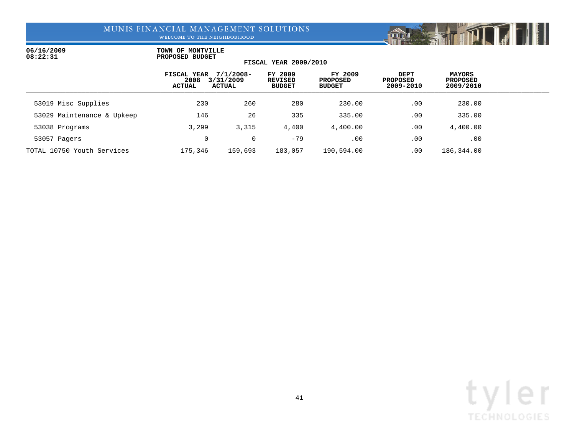WELCOME TO THE NEIGHBORHOOD

### 06/16/2009 **TOWN OF MONTVILLE**<br>08:22:31 **PROPOSED BUDGET 08:22:31 PROPOSED BUDGET**

### **FISCAL YEAR 2009/2010 FISCAL YEAR 7/1/2008- FY 2009 FY 2009 DEPT MAYORS**

|                            | FISCAL YEAR<br>2008<br>ACTUAL | 77172008-<br>3/31/2009<br>ACTUAL | FY ZOOS<br>REVISED<br><b>BUDGET</b> | FY ZOOS<br>PROPOSED<br><b>BUDGET</b> | DEP T<br>PROPOSED<br>2009-2010 | <b>MAYORS</b><br><b>PROPOSED</b><br>2009/2010 |  |
|----------------------------|-------------------------------|----------------------------------|-------------------------------------|--------------------------------------|--------------------------------|-----------------------------------------------|--|
| 53019 Misc Supplies        | 230                           | 260                              | 280                                 | 230.00                               | .00                            | 230.00                                        |  |
| 53029 Maintenance & Upkeep | 146                           | 26                               | 335                                 | 335.00                               | .00                            | 335.00                                        |  |
| 53038 Programs             | 3,299                         | 3,315                            | 4,400                               | 4,400.00                             | .00                            | 4,400.00                                      |  |
| 53057 Pagers               | $\Omega$                      | 0                                | $-79$                               | .00                                  | .00                            | .00                                           |  |
| TOTAL 10750 Youth Services | 175,346                       | 159,693                          | 183,057                             | 190,594.00                           | .00                            | 186,344.00                                    |  |

**TITT** 

min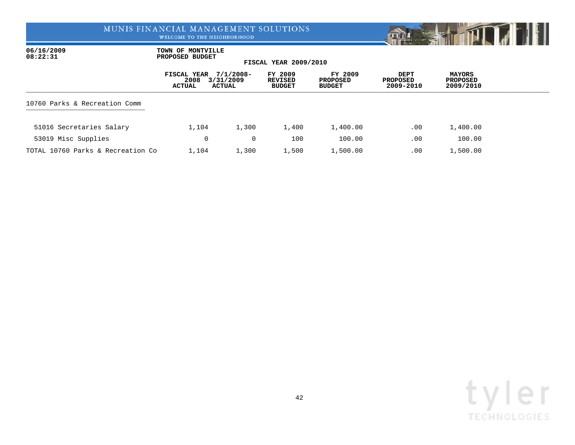WELCOME TO THE NEIGHBORHOOD



06/16/2009 **TOWN OF MONTVILLE**<br>08:22:31 **PROPOSED BUDGET 08:22:31 PROPOSED BUDGET**

|                                   | FISCAL YEAR<br>2008<br>ACTUAL | $7/1/2008 -$<br>3/31/2009<br>ACTUAL | FY 2009<br>REVISED<br><b>BUDGET</b> | FY 2009<br><b>PROPOSED</b><br><b>BUDGET</b> | <b>DEPT</b><br><b>PROPOSED</b><br>2009-2010 | <b>MAYORS</b><br><b>PROPOSED</b><br>2009/2010 |  |
|-----------------------------------|-------------------------------|-------------------------------------|-------------------------------------|---------------------------------------------|---------------------------------------------|-----------------------------------------------|--|
| 10760 Parks & Recreation Comm     |                               |                                     |                                     |                                             |                                             |                                               |  |
| 51016 Secretaries Salary          | 1,104                         | 1,300                               | 1,400                               | 1,400.00                                    | .00                                         | 1,400.00                                      |  |
| 53019 Misc Supplies               | 0                             | $\Omega$                            | 100                                 | 100.00                                      | .00                                         | 100.00                                        |  |
| TOTAL 10760 Parks & Recreation Co | 1,104                         | 1,300                               | 1,500                               | 1,500.00                                    | .00                                         | 1,500.00                                      |  |

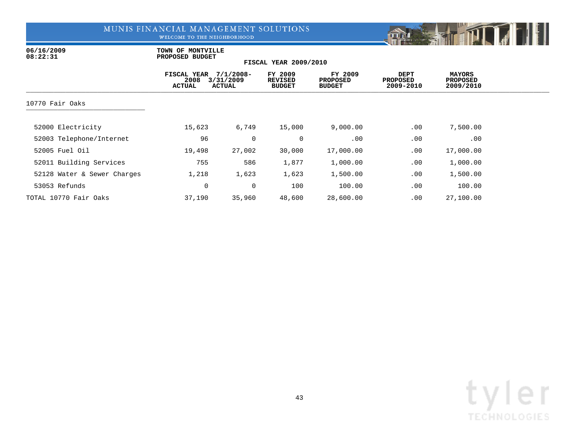WELCOME TO THE NEIGHBORHOOD



06/16/2009 **TOWN OF MONTVILLE**<br>08:22:31 **PROPOSED BUDGET 08:22:31 PROPOSED BUDGET**

|                             | FISCAL YEAR<br>2008<br><b>ACTUAL</b> | $7/1/2008 -$<br>3/31/2009<br><b>ACTUAL</b> | FY 2009<br><b>REVISED</b><br><b>BUDGET</b> | FY 2009<br>PROPOSED<br><b>BUDGET</b> | DEPT<br><b>PROPOSED</b><br>2009-2010 | <b>MAYORS</b><br><b>PROPOSED</b><br>2009/2010 |  |
|-----------------------------|--------------------------------------|--------------------------------------------|--------------------------------------------|--------------------------------------|--------------------------------------|-----------------------------------------------|--|
| 10770 Fair Oaks             |                                      |                                            |                                            |                                      |                                      |                                               |  |
| 52000 Electricity           | 15,623                               | 6,749                                      | 15,000                                     | 9,000.00                             | .00                                  | 7,500.00                                      |  |
| 52003 Telephone/Internet    | 96                                   | $\overline{0}$                             | 0                                          | .00                                  | .00                                  | .00                                           |  |
| 52005 Fuel Oil              | 19,498                               | 27,002                                     | 30,000                                     | 17,000.00                            | .00                                  | 17,000.00                                     |  |
| 52011 Building Services     | 755                                  | 586                                        | 1,877                                      | 1,000.00                             | .00                                  | 1,000.00                                      |  |
| 52128 Water & Sewer Charges | 1,218                                | 1,623                                      | 1,623                                      | 1,500.00                             | .00                                  | 1,500.00                                      |  |
| 53053 Refunds               | 0                                    | 0                                          | 100                                        | 100.00                               | .00                                  | 100.00                                        |  |
| TOTAL 10770 Fair Oaks       | 37,190                               | 35,960                                     | 48,600                                     | 28,600.00                            | .00                                  | 27,100.00                                     |  |

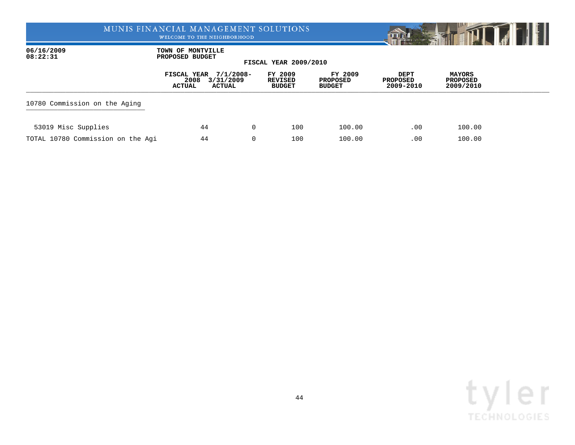WELCOME TO THE NEIGHBORHOOD



06/16/2009 **TOWN OF MONTVILLE**<br>08:22:31 **PROPOSED BUDGET 08:22:31 PROPOSED BUDGET**

|                                   | 2008<br>ACTUAL | FISCAL YEAR 7/1/2008-<br>3/31/2009<br>ACTUAL | FY 2009<br>REVISED<br><b>BUDGET</b> | FY 2009<br>PROPOSED<br><b>BUDGET</b> | DEPT<br>PROPOSED<br>2009-2010 | <b>MAYORS</b><br>PROPOSED<br>2009/2010 |  |
|-----------------------------------|----------------|----------------------------------------------|-------------------------------------|--------------------------------------|-------------------------------|----------------------------------------|--|
| 10780 Commission on the Aging     |                |                                              |                                     |                                      |                               |                                        |  |
| 53019 Misc Supplies               | 44             | $\Omega$                                     | 100                                 | 100.00                               | .00                           | 100.00                                 |  |
| TOTAL 10780 Commission on the Agi | 44             | 0                                            | 100                                 | 100.00                               | .00                           | 100.00                                 |  |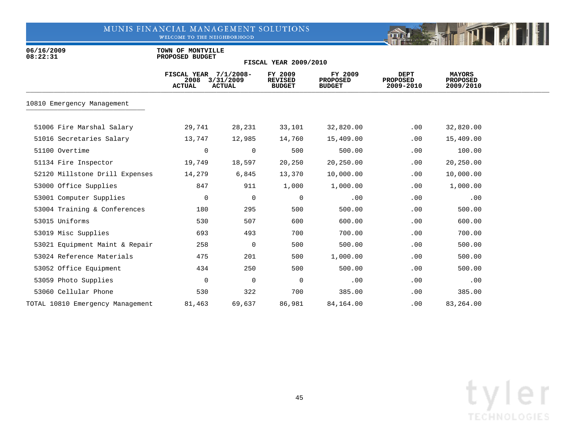WELCOME TO THE NEIGHBORHOOD



06/16/2009 **TOWN OF MONTVILLE**<br>08:22:31 **PROPOSED BUDGET 08:22:31 PROPOSED BUDGET**

|                                  | FISCAL YEAR 7/1/2008-<br>2008<br><b>ACTUAL</b> | 3/31/2009<br><b>ACTUAL</b> | FY 2009<br><b>REVISED</b><br><b>BUDGET</b> | FY 2009<br><b>PROPOSED</b><br><b>BUDGET</b> | <b>DEPT</b><br><b>PROPOSED</b><br>2009-2010 | <b>MAYORS</b><br><b>PROPOSED</b><br>2009/2010 |  |
|----------------------------------|------------------------------------------------|----------------------------|--------------------------------------------|---------------------------------------------|---------------------------------------------|-----------------------------------------------|--|
| 10810 Emergency Management       |                                                |                            |                                            |                                             |                                             |                                               |  |
| 51006 Fire Marshal Salary        | 29,741                                         | 28,231                     | 33,101                                     | 32,820.00                                   | .00                                         | 32,820.00                                     |  |
| 51016 Secretaries Salary         | 13,747                                         | 12,985                     | 14,760                                     | 15,409.00                                   | .00                                         | 15,409.00                                     |  |
| 51100 Overtime                   | 0                                              | $\overline{0}$             | 500                                        | 500.00                                      | .00                                         | 100.00                                        |  |
| 51134 Fire Inspector             | 19,749                                         | 18,597                     | 20,250                                     | 20,250.00                                   | .00                                         | 20,250.00                                     |  |
| 52120 Millstone Drill Expenses   | 14,279                                         | 6,845                      | 13,370                                     | 10,000.00                                   | .00                                         | 10,000.00                                     |  |
| 53000 Office Supplies            | 847                                            | 911                        | 1,000                                      | 1,000.00                                    | .00                                         | 1,000.00                                      |  |
| 53001 Computer Supplies          | 0                                              | $\overline{0}$             | 0                                          | .00                                         | .00                                         | .00                                           |  |
| 53004 Training & Conferences     | 180                                            | 295                        | 500                                        | 500.00                                      | .00                                         | 500.00                                        |  |
| 53015 Uniforms                   | 530                                            | 507                        | 600                                        | 600.00                                      | .00                                         | 600.00                                        |  |
| 53019 Misc Supplies              | 693                                            | 493                        | 700                                        | 700.00                                      | .00                                         | 700.00                                        |  |
| 53021 Equipment Maint & Repair   | 258                                            | $\Omega$                   | 500                                        | 500.00                                      | .00                                         | 500.00                                        |  |
| 53024 Reference Materials        | 475                                            | 201                        | 500                                        | 1,000.00                                    | .00                                         | 500.00                                        |  |
| 53052 Office Equipment           | 434                                            | 250                        | 500                                        | 500.00                                      | .00                                         | 500.00                                        |  |
| 53059 Photo Supplies             | 0                                              | 0                          | 0                                          | .00                                         | .00                                         | .00                                           |  |
| 53060 Cellular Phone             | 530                                            | 322                        | 700                                        | 385.00                                      | .00                                         | 385.00                                        |  |
| TOTAL 10810 Emergency Management | 81,463                                         | 69,637                     | 86,981                                     | 84,164.00                                   | .00                                         | 83,264.00                                     |  |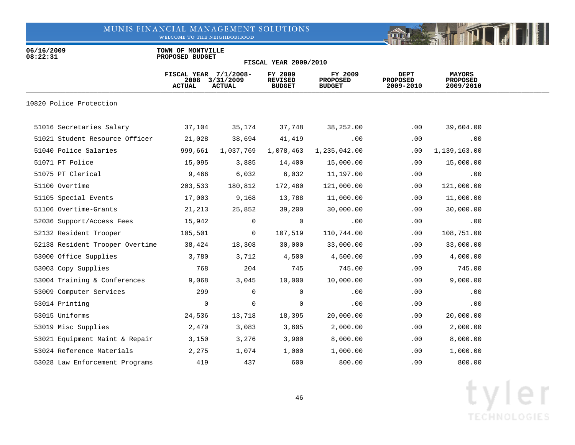WELCOME TO THE NEIGHBORHOOD



06/16/2009 **TOWN OF MONTVILLE**<br>08:22:31 **PROPOSED BUDGET 08:22:31 PROPOSED BUDGET**

|                                 | FISCAL YEAR 7/1/2008-<br>2008<br><b>ACTUAL</b> | 3/31/2009<br><b>ACTUAL</b> | FY 2009<br><b>REVISED</b><br><b>BUDGET</b> | FY 2009<br><b>PROPOSED</b><br><b>BUDGET</b> | DEPT<br><b>PROPOSED</b><br>2009-2010 | <b>MAYORS</b><br><b>PROPOSED</b><br>2009/2010 |  |
|---------------------------------|------------------------------------------------|----------------------------|--------------------------------------------|---------------------------------------------|--------------------------------------|-----------------------------------------------|--|
| 10820 Police Protection         |                                                |                            |                                            |                                             |                                      |                                               |  |
| 51016 Secretaries Salary        | 37,104                                         | 35,174                     | 37,748                                     | 38,252.00                                   | $.00 \,$                             | 39,604.00                                     |  |
| 51021 Student Resource Officer  | 21,028                                         | 38,694                     | 41,419                                     | .00                                         | .00                                  | .00                                           |  |
| 51040 Police Salaries           | 999,661                                        | 1,037,769                  | 1,078,463                                  | 1,235,042.00                                | .00                                  | 1,139,163.00                                  |  |
| 51071 PT Police                 | 15,095                                         | 3,885                      | 14,400                                     | 15,000.00                                   | .00                                  | 15,000.00                                     |  |
| 51075 PT Clerical               | 9,466                                          | 6,032                      | 6,032                                      | 11,197.00                                   | .00                                  | .00                                           |  |
| 51100 Overtime                  | 203,533                                        | 180,812                    | 172,480                                    | 121,000.00                                  | .00                                  | 121,000.00                                    |  |
| 51105 Special Events            | 17,003                                         | 9,168                      | 13,788                                     | 11,000.00                                   | .00                                  | 11,000.00                                     |  |
| 51106 Overtime-Grants           | 21,213                                         | 25,852                     | 39,200                                     | 30,000.00                                   | .00                                  | 30,000.00                                     |  |
| 52036 Support/Access Fees       | 15,942                                         | $\mathbf 0$                | 0                                          | .00                                         | .00                                  | .00                                           |  |
| 52132 Resident Trooper          | 105,501                                        | $\overline{0}$             | 107,519                                    | 110,744.00                                  | .00                                  | 108,751.00                                    |  |
| 52138 Resident Trooper Overtime | 38,424                                         | 18,308                     | 30,000                                     | 33,000.00                                   | .00                                  | 33,000.00                                     |  |
| 53000 Office Supplies           | 3,780                                          | 3,712                      | 4,500                                      | 4,500.00                                    | .00                                  | 4,000.00                                      |  |
| 53003 Copy Supplies             | 768                                            | 204                        | 745                                        | 745.00                                      | .00                                  | 745.00                                        |  |
| 53004 Training & Conferences    | 9,068                                          | 3,045                      | 10,000                                     | 10,000.00                                   | .00                                  | 9,000.00                                      |  |
| 53009 Computer Services         | 299                                            | $\mathbf 0$                | $\mathbf 0$                                | .00                                         | .00                                  | .00                                           |  |
| 53014 Printing                  | 0                                              | 0                          | 0                                          | .00                                         | .00                                  | .00                                           |  |
| 53015 Uniforms                  | 24,536                                         | 13,718                     | 18,395                                     | 20,000.00                                   | .00                                  | 20,000.00                                     |  |
| 53019 Misc Supplies             | 2,470                                          | 3,083                      | 3,605                                      | 2,000.00                                    | .00                                  | 2,000.00                                      |  |
| 53021 Equipment Maint & Repair  | 3,150                                          | 3,276                      | 3,900                                      | 8,000.00                                    | .00                                  | 8,000.00                                      |  |
| 53024 Reference Materials       | 2,275                                          | 1,074                      | 1,000                                      | 1,000.00                                    | .00                                  | 1,000.00                                      |  |
| 53028 Law Enforcement Programs  | 419                                            | 437                        | 600                                        | 800.00                                      | .00.                                 | 800.00                                        |  |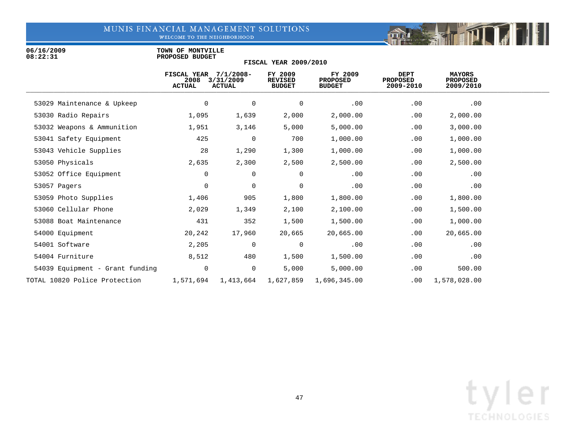WELCOME TO THE NEIGHBORHOOD

06/16/2009 **TOWN OF MONTVILLE**<br>08:22:31 **PROPOSED BUDGET 08:22:31 PROPOSED BUDGET**

| 2008<br><b>ACTUAL</b> | $7/1/2008 -$ | FY 2009<br><b>REVISED</b><br><b>BUDGET</b>                    | FY 2009<br><b>PROPOSED</b><br><b>BUDGET</b> | <b>DEPT</b><br><b>PROPOSED</b><br>2009-2010 | <b>MAYORS</b><br><b>PROPOSED</b><br>2009/2010 |  |
|-----------------------|--------------|---------------------------------------------------------------|---------------------------------------------|---------------------------------------------|-----------------------------------------------|--|
| $\mathbf 0$           | 0            | 0                                                             | .00                                         | .00                                         | .00                                           |  |
| 1,095                 | 1,639        | 2,000                                                         | 2,000.00                                    | .00                                         | 2,000.00                                      |  |
| 1,951                 | 3,146        | 5,000                                                         | 5,000.00                                    | .00                                         | 3,000.00                                      |  |
| 425                   | $\mathbf 0$  | 700                                                           | 1,000.00                                    | .00                                         | 1,000.00                                      |  |
| 28                    | 1,290        | 1,300                                                         | 1,000.00                                    | .00                                         | 1,000.00                                      |  |
| 2,635                 | 2,300        | 2,500                                                         | 2,500.00                                    | .00                                         | 2,500.00                                      |  |
| 0                     | 0            | 0                                                             | .00                                         | .00                                         | .00                                           |  |
| $\mathbf 0$           | 0            | 0                                                             | .00                                         | .00                                         | .00                                           |  |
| 1,406                 | 905          | 1,800                                                         | 1,800.00                                    | .00                                         | 1,800.00                                      |  |
| 2,029                 | 1,349        | 2,100                                                         | 2,100.00                                    | .00                                         | 1,500.00                                      |  |
| 431                   | 352          | 1,500                                                         | 1,500.00                                    | .00                                         | 1,000.00                                      |  |
| 20,242                | 17,960       | 20,665                                                        | 20,665.00                                   | .00                                         | 20,665.00                                     |  |
| 2,205                 | $\mathbf 0$  | $\mathbf 0$                                                   | .00                                         | .00                                         | .00                                           |  |
| 8,512                 | 480          | 1,500                                                         | 1,500.00                                    | .00                                         | .00                                           |  |
| $\mathbf 0$           | $\mathbf 0$  | 5,000                                                         | 5,000.00                                    | .00                                         | 500.00                                        |  |
|                       | 1,413,664    | 1,627,859                                                     | 1,696,345.00                                | .00                                         | 1,578,028.00                                  |  |
|                       |              | <b>FISCAL YEAR</b><br>3/31/2009<br><b>ACTUAL</b><br>1,571,694 |                                             |                                             |                                               |  |

**FISCAL YEAR 2009/2010**

**THEFT** 

**DREAM**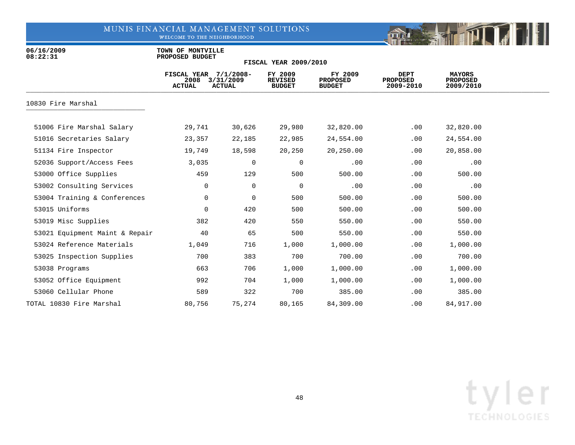WELCOME TO THE NEIGHBORHOOD



06/16/2009 **TOWN OF MONTVILLE**<br>08:22:31 **PROPOSED BUDGET 08:22:31 PROPOSED BUDGET**

|                                | <b>FISCAL YEAR</b><br>2008<br><b>ACTUAL</b> | $7/1/2008 -$<br>3/31/2009<br><b>ACTUAL</b> | FY 2009<br><b>REVISED</b><br><b>BUDGET</b> | FY 2009<br><b>PROPOSED</b><br><b>BUDGET</b> | <b>DEPT</b><br><b>PROPOSED</b><br>2009-2010 | <b>MAYORS</b><br><b>PROPOSED</b><br>2009/2010 |  |
|--------------------------------|---------------------------------------------|--------------------------------------------|--------------------------------------------|---------------------------------------------|---------------------------------------------|-----------------------------------------------|--|
| 10830 Fire Marshal             |                                             |                                            |                                            |                                             |                                             |                                               |  |
| 51006 Fire Marshal Salary      | 29,741                                      | 30,626                                     | 29,980                                     | 32,820.00                                   | .00                                         | 32,820.00                                     |  |
| 51016 Secretaries Salary       | 23,357                                      | 22,185                                     | 22,985                                     | 24,554.00                                   | .00                                         | 24,554.00                                     |  |
| 51134 Fire Inspector           | 19,749                                      | 18,598                                     | 20,250                                     | 20,250.00                                   | .00                                         | 20,858.00                                     |  |
| 52036 Support/Access Fees      | 3,035                                       | $\Omega$                                   | 0                                          | .00                                         | .00                                         | .00                                           |  |
| 53000 Office Supplies          | 459                                         | 129                                        | 500                                        | 500.00                                      | .00                                         | 500.00                                        |  |
| 53002 Consulting Services      | 0                                           | $\mathbf 0$                                | 0                                          | .00                                         | .00                                         | .00                                           |  |
| 53004 Training & Conferences   | 0                                           | $\mathbf 0$                                | 500                                        | 500.00                                      | .00                                         | 500.00                                        |  |
| 53015 Uniforms                 | 0                                           | 420                                        | 500                                        | 500.00                                      | .00                                         | 500.00                                        |  |
| 53019 Misc Supplies            | 382                                         | 420                                        | 550                                        | 550.00                                      | .00                                         | 550.00                                        |  |
| 53021 Equipment Maint & Repair | 40                                          | 65                                         | 500                                        | 550.00                                      | .00                                         | 550.00                                        |  |
| 53024 Reference Materials      | 1,049                                       | 716                                        | 1,000                                      | 1,000.00                                    | .00                                         | 1,000.00                                      |  |
| 53025 Inspection Supplies      | 700                                         | 383                                        | 700                                        | 700.00                                      | .00                                         | 700.00                                        |  |
| 53038 Programs                 | 663                                         | 706                                        | 1,000                                      | 1,000.00                                    | .00                                         | 1,000.00                                      |  |
| 53052 Office Equipment         | 992                                         | 704                                        | 1,000                                      | 1,000.00                                    | .00                                         | 1,000.00                                      |  |
| 53060 Cellular Phone           | 589                                         | 322                                        | 700                                        | 385.00                                      | .00                                         | 385.00                                        |  |
| TOTAL 10830 Fire Marshal       | 80,756                                      | 75,274                                     | 80,165                                     | 84,309.00                                   | .00                                         | 84,917.00                                     |  |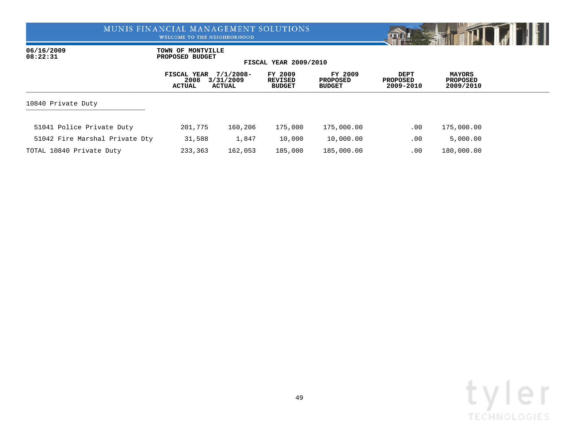WELCOME TO THE NEIGHBORHOOD



06/16/2009 **TOWN OF MONTVILLE**<br>08:22:31 **PROPOSED BUDGET 08:22:31 PROPOSED BUDGET**

|                                | FISCAL YEAR<br>2008<br>ACTUAL | $7/1/2008 -$<br>3/31/2009<br>ACTUAL | FY 2009<br><b>REVISED</b><br><b>BUDGET</b> | FY 2009<br><b>PROPOSED</b><br><b>BUDGET</b> | <b>DEPT</b><br><b>PROPOSED</b><br>2009-2010 | <b>MAYORS</b><br><b>PROPOSED</b><br>2009/2010 |  |
|--------------------------------|-------------------------------|-------------------------------------|--------------------------------------------|---------------------------------------------|---------------------------------------------|-----------------------------------------------|--|
| 10840 Private Duty             |                               |                                     |                                            |                                             |                                             |                                               |  |
| 51041 Police Private Duty      | 201,775                       | 160,206                             | 175,000                                    | 175,000.00                                  | $.00 \,$                                    | 175,000.00                                    |  |
| 51042 Fire Marshal Private Dty | 31,588                        | 1,847                               | 10,000                                     | 10,000.00                                   | .00                                         | 5,000.00                                      |  |
| TOTAL 10840 Private Duty       | 233,363                       | 162,053                             | 185,000                                    | 185,000.00                                  | .00                                         | 180,000.00                                    |  |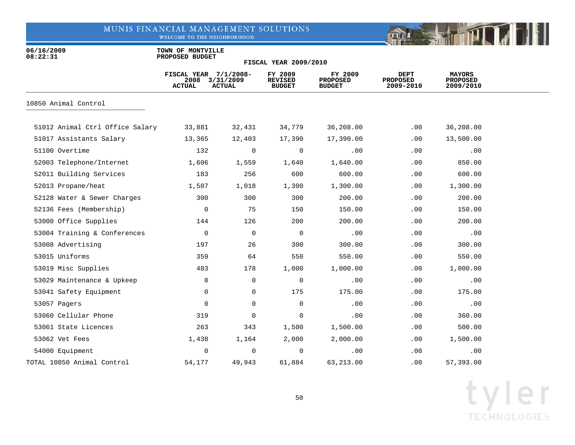WELCOME TO THE NEIGHBORHOOD



06/16/2009 **TOWN OF MONTVILLE**<br>08:22:31 **PROPOSED BUDGET 08:22:31 PROPOSED BUDGET**

|                                 | FISCAL YEAR 7/1/2008-<br>2008<br><b>ACTUAL</b> | 3/31/2009<br><b>ACTUAL</b> | FY 2009<br><b>REVISED</b><br><b>BUDGET</b> | FY 2009<br><b>PROPOSED</b><br><b>BUDGET</b> | DEPT<br><b>PROPOSED</b><br>2009-2010 | <b>MAYORS</b><br><b>PROPOSED</b><br>2009/2010 |  |
|---------------------------------|------------------------------------------------|----------------------------|--------------------------------------------|---------------------------------------------|--------------------------------------|-----------------------------------------------|--|
| 10850 Animal Control            |                                                |                            |                                            |                                             |                                      |                                               |  |
| 51012 Animal Ctrl Office Salary | 33,881                                         | 32,431                     | 34,779                                     | 36,208.00                                   | .00                                  | 36,208.00                                     |  |
| 51017 Assistants Salary         | 13,365                                         | 12,403                     | 17,390                                     | 17,390.00                                   | .00                                  | 13,500.00                                     |  |
| 51100 Overtime                  | 132                                            | 0                          | 0                                          | .00                                         | .00                                  | .00                                           |  |
| 52003 Telephone/Internet        | 1,606                                          | 1,559                      | 1,640                                      | 1,640.00                                    | .00                                  | 850.00                                        |  |
| 52011 Building Services         | 183                                            | 256                        | 600                                        | 600.00                                      | .00                                  | 600.00                                        |  |
| 52013 Propane/heat              | 1,507                                          | 1,018                      | 1,300                                      | 1,300.00                                    | .00                                  | 1,300.00                                      |  |
| 52128 Water & Sewer Charges     | 300                                            | 300                        | 300                                        | 200.00                                      | .00                                  | 200.00                                        |  |
| 52136 Fees (Membership)         | 0                                              | 75                         | 150                                        | 150.00                                      | .00                                  | 150.00                                        |  |
| 53000 Office Supplies           | 144                                            | 126                        | 200                                        | 200.00                                      | .00                                  | 200.00                                        |  |
| 53004 Training & Conferences    | 0                                              | $\mathbf 0$                | $\mathbf 0$                                | .00                                         | .00                                  | .00                                           |  |
| 53008 Advertising               | 197                                            | 26                         | 300                                        | 300.00                                      | .00                                  | 300.00                                        |  |
| 53015 Uniforms                  | 359                                            | 64                         | 550                                        | 550.00                                      | .00                                  | 550.00                                        |  |
| 53019 Misc Supplies             | 483                                            | 178                        | 1,000                                      | 1,000.00                                    | .00                                  | 1,000.00                                      |  |
| 53029 Maintenance & Upkeep      | 0                                              | $\mathbf 0$                | 0                                          | .00                                         | .00                                  | .00                                           |  |
| 53041 Safety Equipment          | 0                                              | 0                          | 175                                        | 175.00                                      | .00                                  | 175.00                                        |  |
| 53057 Pagers                    | 0                                              | $\mathbf 0$                | $\mathbf 0$                                | .00                                         | .00                                  | .00                                           |  |
| 53060 Cellular Phone            | 319                                            | 0                          | 0                                          | .00                                         | .00                                  | 360.00                                        |  |
| 53061 State Licences            | 263                                            | 343                        | 1,500                                      | 1,500.00                                    | .00                                  | 500.00                                        |  |
| 53062 Vet Fees                  | 1,438                                          | 1,164                      | 2,000                                      | 2,000.00                                    | .00                                  | 1,500.00                                      |  |
| 54000 Equipment                 | 0                                              | 0                          | $\mathbf 0$                                | .00                                         | .00                                  | .00                                           |  |
| TOTAL 10850 Animal Control      | 54,177                                         | 49,943                     | 61,884                                     | 63,213.00                                   | .00                                  | 57,393.00                                     |  |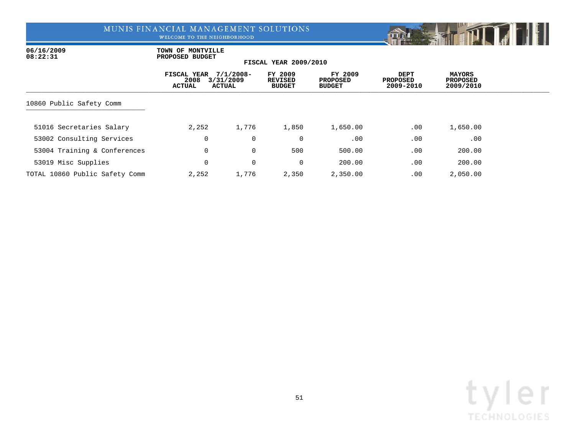WELCOME TO THE NEIGHBORHOOD



06/16/2009 **TOWN OF MONTVILLE**<br>08:22:31 **PROPOSED BUDGET 08:22:31 PROPOSED BUDGET**

|                                | FISCAL YEAR<br>2008<br><b>ACTUAL</b> | $7/1/2008 -$<br>3/31/2009<br><b>ACTUAL</b> | FY 2009<br>REVISED<br><b>BUDGET</b> | FY 2009<br><b>PROPOSED</b><br><b>BUDGET</b> | DEPT<br><b>PROPOSED</b><br>2009-2010 | <b>MAYORS</b><br><b>PROPOSED</b><br>2009/2010 |  |
|--------------------------------|--------------------------------------|--------------------------------------------|-------------------------------------|---------------------------------------------|--------------------------------------|-----------------------------------------------|--|
| 10860 Public Safety Comm       |                                      |                                            |                                     |                                             |                                      |                                               |  |
| 51016 Secretaries Salary       | 2,252                                | 1,776                                      | 1,850                               | 1,650.00                                    | .00                                  | 1,650.00                                      |  |
| 53002 Consulting Services      |                                      | 0<br>$\mathbf 0$                           | 0                                   | .00                                         | .00                                  | .00                                           |  |
| 53004 Training & Conferences   |                                      | 0<br>$\mathbf 0$                           | 500                                 | 500.00                                      | .00                                  | 200.00                                        |  |
| 53019 Misc Supplies            |                                      | 0<br>0                                     | 0                                   | 200.00                                      | .00                                  | 200.00                                        |  |
| TOTAL 10860 Public Safety Comm | 2,252                                | 1,776                                      | 2,350                               | 2,350.00                                    | .00                                  | 2,050.00                                      |  |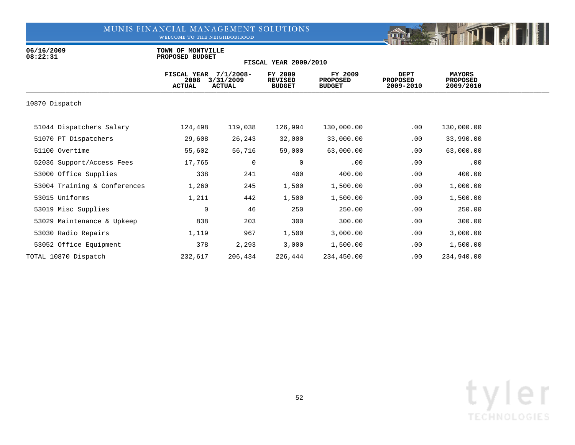WELCOME TO THE NEIGHBORHOOD



06/16/2009 **TOWN OF MONTVILLE**<br>08:22:31 **PROPOSED BUDGET 08:22:31 PROPOSED BUDGET**

|                              | FISCAL YEAR<br>2008<br><b>ACTUAL</b> | $7/1/2008 -$<br>3/31/2009<br><b>ACTUAL</b> | FY 2009<br><b>REVISED</b><br><b>BUDGET</b> | FY 2009<br><b>PROPOSED</b><br><b>BUDGET</b> | DEPT<br><b>PROPOSED</b><br>2009-2010 | <b>MAYORS</b><br><b>PROPOSED</b><br>2009/2010 |  |
|------------------------------|--------------------------------------|--------------------------------------------|--------------------------------------------|---------------------------------------------|--------------------------------------|-----------------------------------------------|--|
| 10870 Dispatch               |                                      |                                            |                                            |                                             |                                      |                                               |  |
| 51044 Dispatchers Salary     | 124,498                              | 119,038                                    | 126,994                                    | 130,000.00                                  | .00                                  | 130,000.00                                    |  |
| 51070 PT Dispatchers         | 29,608                               | 26,243                                     | 32,000                                     | 33,000.00                                   | .00                                  | 33,990.00                                     |  |
| 51100 Overtime               | 55,602                               | 56,716                                     | 59,000                                     | 63,000.00                                   | .00                                  | 63,000.00                                     |  |
| 52036 Support/Access Fees    | 17,765                               | 0                                          | 0                                          | .00                                         | .00                                  | .00                                           |  |
| 53000 Office Supplies        | 338                                  | 241                                        | 400                                        | 400.00                                      | .00                                  | 400.00                                        |  |
| 53004 Training & Conferences | 1,260                                | 245                                        | 1,500                                      | 1,500.00                                    | .00                                  | 1,000.00                                      |  |
| 53015 Uniforms               | 1,211                                | 442                                        | 1,500                                      | 1,500.00                                    | .00                                  | 1,500.00                                      |  |
| 53019 Misc Supplies          | 0                                    | 46                                         | 250                                        | 250.00                                      | .00                                  | 250.00                                        |  |
| 53029 Maintenance & Upkeep   | 838                                  | 203                                        | 300                                        | 300.00                                      | .00                                  | 300.00                                        |  |
| 53030 Radio Repairs          | 1,119                                | 967                                        | 1,500                                      | 3,000.00                                    | .00                                  | 3,000.00                                      |  |
| 53052 Office Equipment       | 378                                  | 2,293                                      | 3,000                                      | 1,500.00                                    | .00                                  | 1,500.00                                      |  |
| TOTAL 10870 Dispatch         | 232,617                              | 206,434                                    | 226,444                                    | 234,450.00                                  | .00                                  | 234,940.00                                    |  |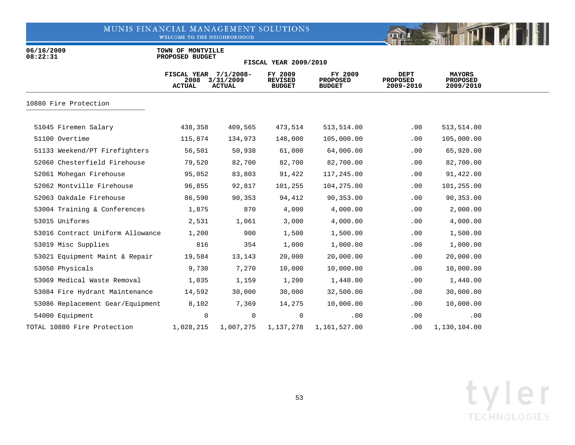WELCOME TO THE NEIGHBORHOOD



06/16/2009 **TOWN OF MONTVILLE**<br>08:22:31 **PROPOSED BUDGET 08:22:31 PROPOSED BUDGET**

|                                  | FISCAL YEAR $7/1/2008$ -<br>2008<br><b>ACTUAL</b> | 3/31/2009<br><b>ACTUAL</b> | FY 2009<br><b>REVISED</b><br><b>BUDGET</b> | FY 2009<br><b>PROPOSED</b><br><b>BUDGET</b> | DEPT<br><b>PROPOSED</b><br>2009-2010 | <b>MAYORS</b><br><b>PROPOSED</b><br>2009/2010 |  |
|----------------------------------|---------------------------------------------------|----------------------------|--------------------------------------------|---------------------------------------------|--------------------------------------|-----------------------------------------------|--|
| 10880 Fire Protection            |                                                   |                            |                                            |                                             |                                      |                                               |  |
| 51045 Firemen Salary             | 438,358                                           | 409,565                    | 473,514                                    | 513,514.00                                  | .00                                  | 513,514.00                                    |  |
| 51100 Overtime                   | 115,874                                           | 134,973                    | 148,000                                    | 105,000.00                                  | .00                                  | 105,000.00                                    |  |
| 51133 Weekend/PT Firefighters    | 56,501                                            | 50,938                     | 61,000                                     | 64,000.00                                   | .00                                  | 65,920.00                                     |  |
| 52060 Chesterfield Firehouse     | 79,520                                            | 82,700                     | 82,700                                     | 82,700.00                                   | .00                                  | 82,700.00                                     |  |
| 52061 Mohegan Firehouse          | 95,052                                            | 83,803                     | 91,422                                     | 117,245.00                                  | .00                                  | 91,422.00                                     |  |
| 52062 Montville Firehouse        | 96,855                                            | 92,817                     | 101,255                                    | 104,275.00                                  | .00                                  | 101,255.00                                    |  |
| 52063 Oakdale Firehouse          | 86,590                                            | 90,353                     | 94,412                                     | 90,353.00                                   | .00                                  | 90,353.00                                     |  |
| 53004 Training & Conferences     | 1,875                                             | 870                        | 4,000                                      | 4,000.00                                    | .00                                  | 2,000.00                                      |  |
| 53015 Uniforms                   | 2,531                                             | 1,061                      | 3,000                                      | 4,000.00                                    | .00                                  | 4,000.00                                      |  |
| 53016 Contract Uniform Allowance | 1,200                                             | 900                        | 1,500                                      | 1,500.00                                    | .00                                  | 1,500.00                                      |  |
| 53019 Misc Supplies              | 816                                               | 354                        | 1,000                                      | 1,000.00                                    | .00                                  | 1,000.00                                      |  |
| 53021 Equipment Maint & Repair   | 19,584                                            | 13,143                     | 20,000                                     | 20,000.00                                   | .00                                  | 20,000.00                                     |  |
| 53050 Physicals                  | 9,730                                             | 7,270                      | 10,000                                     | 10,000.00                                   | .00                                  | 10,000.00                                     |  |
| 53069 Medical Waste Removal      | 1,035                                             | 1,159                      | 1,200                                      | 1,440.00                                    | .00                                  | 1,440.00                                      |  |
| 53084 Fire Hydrant Maintenance   | 14,592                                            | 30,000                     | 30,000                                     | 32,500.00                                   | .00                                  | 30,000.00                                     |  |
| 53086 Replacement Gear/Equipment | 8,102                                             | 7,369                      | 14,275                                     | 10,000.00                                   | .00                                  | 10,000.00                                     |  |
| 54000 Equipment                  | 0                                                 | 0                          | 0                                          | .00                                         | .00                                  | .00                                           |  |
| TOTAL 10880 Fire Protection      | 1,028,215                                         | 1,007,275                  | 1,137,278                                  | 1,161,527.00                                | .00                                  | 1,130,104.00                                  |  |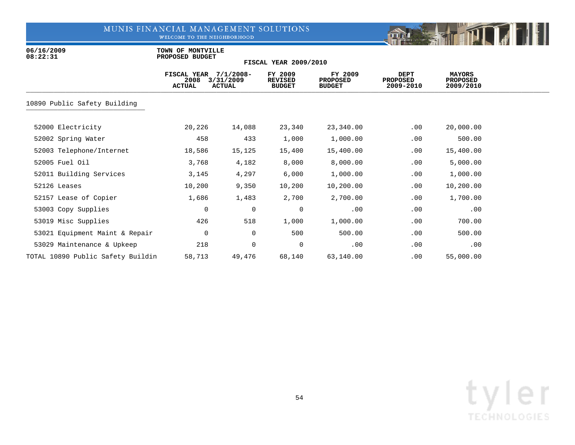WELCOME TO THE NEIGHBORHOOD



06/16/2009 **TOWN OF MONTVILLE**<br>08:22:31 **PROPOSED BUDGET 08:22:31 PROPOSED BUDGET**

|                                   | FISCAL YEAR<br>2008<br><b>ACTUAL</b> | $7/1/2008 -$<br>3/31/2009<br><b>ACTUAL</b> | FY 2009<br><b>REVISED</b><br><b>BUDGET</b> | FY 2009<br><b>PROPOSED</b><br><b>BUDGET</b> | <b>DEPT</b><br><b>PROPOSED</b><br>2009-2010 | <b>MAYORS</b><br><b>PROPOSED</b><br>2009/2010 |  |
|-----------------------------------|--------------------------------------|--------------------------------------------|--------------------------------------------|---------------------------------------------|---------------------------------------------|-----------------------------------------------|--|
| 10890 Public Safety Building      |                                      |                                            |                                            |                                             |                                             |                                               |  |
| 52000 Electricity                 | 20,226                               | 14,088                                     | 23,340                                     | 23,340.00                                   | .00                                         | 20,000.00                                     |  |
| 52002 Spring Water                | 458                                  | 433                                        | 1,000                                      | 1,000.00                                    | .00                                         | 500.00                                        |  |
| 52003 Telephone/Internet          | 18,586                               | 15,125                                     | 15,400                                     | 15,400.00                                   | .00                                         | 15,400.00                                     |  |
| 52005 Fuel Oil                    | 3,768                                | 4,182                                      | 8,000                                      | 8,000.00                                    | .00                                         | 5,000.00                                      |  |
| 52011 Building Services           | 3,145                                | 4,297                                      | 6,000                                      | 1,000.00                                    | .00                                         | 1,000.00                                      |  |
| 52126 Leases                      | 10,200                               | 9,350                                      | 10,200                                     | 10,200.00                                   | .00                                         | 10,200.00                                     |  |
| 52157 Lease of Copier             | 1,686                                | 1,483                                      | 2,700                                      | 2,700.00                                    | .00                                         | 1,700.00                                      |  |
| 53003 Copy Supplies               | 0                                    | $\mathbf 0$                                | $\mathbf 0$                                | .00                                         | .00                                         | .00                                           |  |
| 53019 Misc Supplies               | 426                                  | 518                                        | 1,000                                      | 1,000.00                                    | .00                                         | 700.00                                        |  |
| 53021 Equipment Maint & Repair    | 0                                    | $\mathbf 0$                                | 500                                        | 500.00                                      | .00                                         | 500.00                                        |  |
| 53029 Maintenance & Upkeep        | 218                                  | 0                                          | 0                                          | .00                                         | .00                                         | .00                                           |  |
| TOTAL 10890 Public Safety Buildin | 58,713                               | 49,476                                     | 68,140                                     | 63,140.00                                   | .00                                         | 55,000.00                                     |  |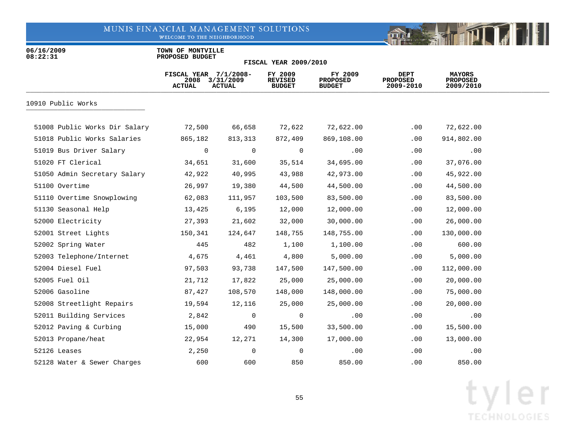WELCOME TO THE NEIGHBORHOOD



06/16/2009 **TOWN OF MONTVILLE**<br>08:22:31 **PROPOSED BUDGET 08:22:31 PROPOSED BUDGET**

|                               | FISCAL YEAR 7/1/2008-<br>2008<br><b>ACTUAL</b> | 3/31/2009<br><b>ACTUAL</b> | FY 2009<br><b>REVISED</b><br><b>BUDGET</b> | FY 2009<br><b>PROPOSED</b><br><b>BUDGET</b> | DEPT<br><b>PROPOSED</b><br>2009-2010 | <b>MAYORS</b><br><b>PROPOSED</b><br>2009/2010 |  |
|-------------------------------|------------------------------------------------|----------------------------|--------------------------------------------|---------------------------------------------|--------------------------------------|-----------------------------------------------|--|
| 10910 Public Works            |                                                |                            |                                            |                                             |                                      |                                               |  |
| 51008 Public Works Dir Salary | 72,500                                         | 66,658                     | 72,622                                     | 72,622.00                                   | .00                                  | 72,622.00                                     |  |
| 51018 Public Works Salaries   | 865,182                                        | 813,313                    | 872,409                                    | 869,108.00                                  | .00                                  | 914,802.00                                    |  |
| 51019 Bus Driver Salary       | 0                                              | $\mathbf 0$                | 0                                          | .00                                         | .00                                  | .00                                           |  |
| 51020 FT Clerical             | 34,651                                         | 31,600                     | 35,514                                     | 34,695.00                                   | .00                                  | 37,076.00                                     |  |
| 51050 Admin Secretary Salary  | 42,922                                         | 40,995                     | 43,988                                     | 42,973.00                                   | .00                                  | 45,922.00                                     |  |
| 51100 Overtime                | 26,997                                         | 19,380                     | 44,500                                     | 44,500.00                                   | .00                                  | 44,500.00                                     |  |
| 51110 Overtime Snowplowing    | 62,083                                         | 111,957                    | 103,500                                    | 83,500.00                                   | .00                                  | 83,500.00                                     |  |
| 51130 Seasonal Help           | 13,425                                         | 6,195                      | 12,000                                     | 12,000.00                                   | .00                                  | 12,000.00                                     |  |
| 52000 Electricity             | 27,393                                         | 21,602                     | 32,000                                     | 30,000.00                                   | .00                                  | 26,000.00                                     |  |
| 52001 Street Lights           | 150,341                                        | 124,647                    | 148,755                                    | 148,755.00                                  | .00                                  | 130,000.00                                    |  |
| 52002 Spring Water            | 445                                            | 482                        | 1,100                                      | 1,100.00                                    | .00                                  | 600.00                                        |  |
| 52003 Telephone/Internet      | 4,675                                          | 4,461                      | 4,800                                      | 5,000.00                                    | .00                                  | 5,000.00                                      |  |
| 52004 Diesel Fuel             | 97,503                                         | 93,738                     | 147,500                                    | 147,500.00                                  | .00                                  | 112,000.00                                    |  |
| 52005 Fuel Oil                | 21,712                                         | 17,822                     | 25,000                                     | 25,000.00                                   | $.00 \,$                             | 20,000.00                                     |  |
| 52006 Gasoline                | 87,427                                         | 108,570                    | 148,000                                    | 148,000.00                                  | .00                                  | 75,000.00                                     |  |
| 52008 Streetlight Repairs     | 19,594                                         | 12,116                     | 25,000                                     | 25,000.00                                   | .00                                  | 20,000.00                                     |  |
| 52011 Building Services       | 2,842                                          | $\overline{0}$             | 0                                          | .00                                         | .00                                  | .00                                           |  |
| 52012 Paving & Curbing        | 15,000                                         | 490                        | 15,500                                     | 33,500.00                                   | .00                                  | 15,500.00                                     |  |
| 52013 Propane/heat            | 22,954                                         | 12,271                     | 14,300                                     | 17,000.00                                   | .00                                  | 13,000.00                                     |  |
| 52126 Leases                  | 2,250                                          | $\mathbf 0$                | 0                                          | .00                                         | .00                                  | .00                                           |  |
| 52128 Water & Sewer Charges   | 600                                            | 600                        | 850                                        | 850.00                                      | .00.                                 | 850.00                                        |  |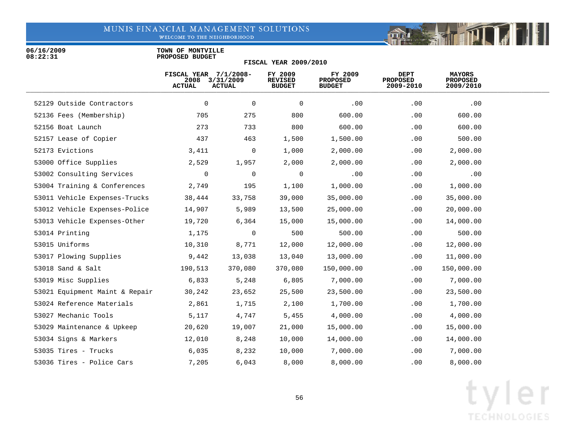WELCOME TO THE NEIGHBORHOOD



06/16/2009 **TOWN OF MONTVILLE**<br>08:22:31 **PROPOSED BUDGET 08:22:31 PROPOSED BUDGET**

#### **FISCAL YEAR 2009/2010**

|                                | FISCAL YEAR 7/1/2008-<br>2008<br><b>ACTUAL</b> | 3/31/2009<br><b>ACTUAL</b> | FY 2009<br><b>REVISED</b><br><b>BUDGET</b> | FY 2009<br><b>PROPOSED</b><br><b>BUDGET</b> | DEPT<br><b>PROPOSED</b><br>2009-2010 | <b>MAYORS</b><br><b>PROPOSED</b><br>2009/2010 |  |
|--------------------------------|------------------------------------------------|----------------------------|--------------------------------------------|---------------------------------------------|--------------------------------------|-----------------------------------------------|--|
| 52129 Outside Contractors      | 0                                              | $\mathbf 0$                | 0                                          | .00                                         | .00                                  | .00                                           |  |
| 52136 Fees (Membership)        | 705                                            | 275                        | 800                                        | 600.00                                      | .00                                  | 600.00                                        |  |
| 52156 Boat Launch              | 273                                            | 733                        | 800                                        | 600.00                                      | .00                                  | 600.00                                        |  |
| 52157 Lease of Copier          | 437                                            | 463                        | 1,500                                      | 1,500.00                                    | .00                                  | 500.00                                        |  |
| 52173 Evictions                | 3,411                                          | 0                          | 1,000                                      | 2,000.00                                    | .00                                  | 2,000.00                                      |  |
| 53000 Office Supplies          | 2,529                                          | 1,957                      | 2,000                                      | 2,000.00                                    | $.00 \,$                             | 2,000.00                                      |  |
| 53002 Consulting Services      | 0                                              | $\mathbf 0$                | $\mathbf 0$                                | .00                                         | .00                                  | .00                                           |  |
| 53004 Training & Conferences   | 2,749                                          | 195                        | 1,100                                      | 1,000.00                                    | $.00 \,$                             | 1,000.00                                      |  |
| 53011 Vehicle Expenses-Trucks  | 38,444                                         | 33,758                     | 39,000                                     | 35,000.00                                   | $.00 \,$                             | 35,000.00                                     |  |
| 53012 Vehicle Expenses-Police  | 14,907                                         | 5,989                      | 13,500                                     | 25,000.00                                   | .00                                  | 20,000.00                                     |  |
| 53013 Vehicle Expenses-Other   | 19,720                                         | 6,364                      | 15,000                                     | 15,000.00                                   | .00                                  | 14,000.00                                     |  |
| 53014 Printing                 | 1,175                                          | 0                          | 500                                        | 500.00                                      | .00                                  | 500.00                                        |  |
| 53015 Uniforms                 | 10,310                                         | 8,771                      | 12,000                                     | 12,000.00                                   | .00                                  | 12,000.00                                     |  |
| 53017 Plowing Supplies         | 9,442                                          | 13,038                     | 13,040                                     | 13,000.00                                   | .00                                  | 11,000.00                                     |  |
| 53018 Sand & Salt              | 190,513                                        | 370,080                    | 370,080                                    | 150,000.00                                  | .00                                  | 150,000.00                                    |  |
| 53019 Misc Supplies            | 6,833                                          | 5,248                      | 6,805                                      | 7,000.00                                    | .00                                  | 7,000.00                                      |  |
| 53021 Equipment Maint & Repair | 30,242                                         | 23,652                     | 25,500                                     | 23,500.00                                   | .00                                  | 23,500.00                                     |  |
| 53024 Reference Materials      | 2,861                                          | 1,715                      | 2,100                                      | 1,700.00                                    | .00                                  | 1,700.00                                      |  |
| 53027 Mechanic Tools           | 5,117                                          | 4,747                      | 5,455                                      | 4,000.00                                    | .00                                  | 4,000.00                                      |  |
| 53029 Maintenance & Upkeep     | 20,620                                         | 19,007                     | 21,000                                     | 15,000.00                                   | $.00 \,$                             | 15,000.00                                     |  |
| 53034 Signs & Markers          | 12,010                                         | 8,248                      | 10,000                                     | 14,000.00                                   | $.00 \,$                             | 14,000.00                                     |  |
| 53035 Tires - Trucks           | 6,035                                          | 8,232                      | 10,000                                     | 7,000.00                                    | .00                                  | 7,000.00                                      |  |
| 53036 Tires - Police Cars      | 7,205                                          | 6,043                      | 8,000                                      | 8,000.00                                    | .00                                  | 8,000.00                                      |  |

FITT

mar is the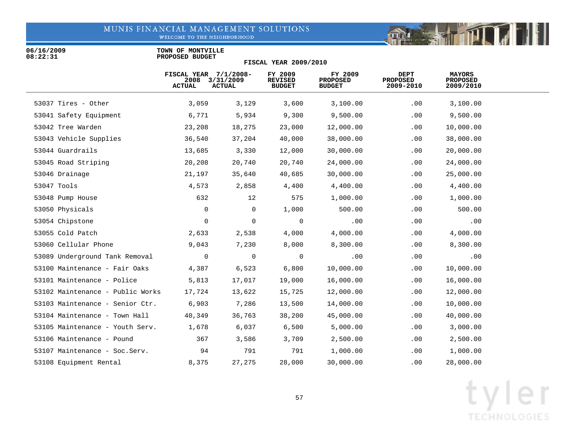WELCOME TO THE NEIGHBORHOOD

06/16/2009 **TOWN OF MONTVILLE**<br>08:22:31 **PROPOSED BUDGET 08:22:31 PROPOSED BUDGET**

| <b>FISCAL YEAR 2009/2010</b>     |                                                  |                            |                                            |                                             |                                      |                                               |  |  |  |
|----------------------------------|--------------------------------------------------|----------------------------|--------------------------------------------|---------------------------------------------|--------------------------------------|-----------------------------------------------|--|--|--|
|                                  | FISCAL YEAR $7/1/2008-$<br>2008<br><b>ACTUAL</b> | 3/31/2009<br><b>ACTUAL</b> | FY 2009<br><b>REVISED</b><br><b>BUDGET</b> | FY 2009<br><b>PROPOSED</b><br><b>BUDGET</b> | DEPT<br><b>PROPOSED</b><br>2009-2010 | <b>MAYORS</b><br><b>PROPOSED</b><br>2009/2010 |  |  |  |
| 53037 Tires - Other              | 3,059                                            | 3,129                      | 3,600                                      | 3,100.00                                    | .00                                  | 3,100.00                                      |  |  |  |
| 53041 Safety Equipment           | 6,771                                            | 5,934                      | 9,300                                      | 9,500.00                                    | .00                                  | 9,500.00                                      |  |  |  |
| 53042 Tree Warden                | 23,208                                           | 18,275                     | 23,000                                     | 12,000.00                                   | .00                                  | 10,000.00                                     |  |  |  |
| 53043 Vehicle Supplies           | 36,540                                           | 37,204                     | 40,000                                     | 38,000.00                                   | .00                                  | 38,000.00                                     |  |  |  |
| 53044 Guardrails                 | 13,685                                           | 3,330                      | 12,000                                     | 30,000.00                                   | $.00 \,$                             | 20,000.00                                     |  |  |  |
| 53045 Road Striping              | 20,208                                           | 20,740                     | 20,740                                     | 24,000.00                                   | .00                                  | 24,000.00                                     |  |  |  |
| 53046 Drainage                   | 21,197                                           | 35,640                     | 40,685                                     | 30,000.00                                   | .00                                  | 25,000.00                                     |  |  |  |
| 53047 Tools                      | 4,573                                            | 2,858                      | 4,400                                      | 4,400.00                                    | .00                                  | 4,400.00                                      |  |  |  |
| 53048 Pump House                 | 632                                              | 12                         | 575                                        | 1,000.00                                    | .00                                  | 1,000.00                                      |  |  |  |
| 53050 Physicals                  | $\mathbf 0$                                      | 0                          | 1,000                                      | 500.00                                      | .00                                  | 500.00                                        |  |  |  |
| 53054 Chipstone                  | 0                                                | 0                          | 0                                          | .00                                         | .00                                  | .00                                           |  |  |  |
| 53055 Cold Patch                 | 2,633                                            | 2,538                      | 4,000                                      | 4,000.00                                    | .00                                  | 4,000.00                                      |  |  |  |
| 53060 Cellular Phone             | 9,043                                            | 7,230                      | 8,000                                      | 8,300.00                                    | .00                                  | 8,300.00                                      |  |  |  |
| 53089 Underground Tank Removal   | 0                                                | $\mathbf 0$                | 0                                          | .00                                         | .00                                  | .00                                           |  |  |  |
| 53100 Maintenance - Fair Oaks    | 4,387                                            | 6,523                      | 6,800                                      | 10,000.00                                   | .00                                  | 10,000.00                                     |  |  |  |
| 53101 Maintenance - Police       | 5,813                                            | 17,017                     | 19,000                                     | 16,000.00                                   | .00                                  | 16,000.00                                     |  |  |  |
| 53102 Maintenance - Public Works | 17,724                                           | 13,622                     | 15,725                                     | 12,000.00                                   | .00                                  | 12,000.00                                     |  |  |  |
| 53103 Maintenance - Senior Ctr.  | 6,903                                            | 7,286                      | 13,500                                     | 14,000.00                                   | .00                                  | 10,000.00                                     |  |  |  |
| 53104 Maintenance - Town Hall    | 40,349                                           | 36,763                     | 38,200                                     | 45,000.00                                   | .00                                  | 40,000.00                                     |  |  |  |
| 53105 Maintenance - Youth Serv.  | 1,678                                            | 6,037                      | 6,500                                      | 5,000.00                                    | .00                                  | 3,000.00                                      |  |  |  |
| 53106 Maintenance - Pound        | 367                                              | 3,586                      | 3,709                                      | 2,500.00                                    | $.00 \,$                             | 2,500.00                                      |  |  |  |
| 53107 Maintenance - Soc. Serv.   | 94                                               | 791                        | 791                                        | 1,000.00                                    | .00                                  | 1,000.00                                      |  |  |  |
| 53108 Equipment Rental           | 8,375                                            | 27,275                     | 28,000                                     | 30,000.00                                   | .00                                  | 28,000.00                                     |  |  |  |
|                                  |                                                  |                            |                                            |                                             |                                      |                                               |  |  |  |

**THEFT** 

mar is the

 $\left\| \cdot \right\|$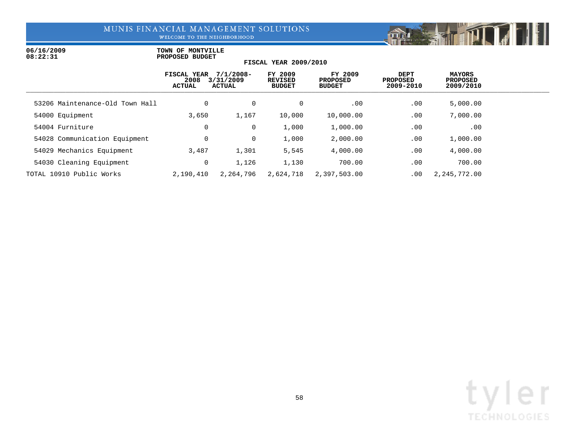WELCOME TO THE NEIGHBORHOOD

### 06/16/2009 **TOWN OF MONTVILLE**<br>08:22:31 **PROPOSED BUDGET 08:22:31 PROPOSED BUDGET**

| <b>FISCAL YEAR 2009/2010</b>    |                                      |                                            |                                            |                                             |                                      |                                 |  |  |  |  |
|---------------------------------|--------------------------------------|--------------------------------------------|--------------------------------------------|---------------------------------------------|--------------------------------------|---------------------------------|--|--|--|--|
|                                 | FISCAL YEAR<br>2008<br><b>ACTUAL</b> | $7/1/2008 -$<br>3/31/2009<br><b>ACTUAL</b> | FY 2009<br><b>REVISED</b><br><b>BUDGET</b> | FY 2009<br><b>PROPOSED</b><br><b>BUDGET</b> | DEPT<br><b>PROPOSED</b><br>2009-2010 | MAYORS<br>PROPOSED<br>2009/2010 |  |  |  |  |
| 53206 Maintenance-Old Town Hall | $\mathbf 0$                          | $\mathbf 0$                                | 0                                          | $.00 \,$                                    | .00                                  | 5,000.00                        |  |  |  |  |
| 54000 Equipment                 | 3,650                                | 1,167                                      | 10,000                                     | 10,000.00                                   | .00                                  | 7,000.00                        |  |  |  |  |
| 54004 Furniture                 | 0                                    | 0                                          | 1,000                                      | 1,000.00                                    | .00                                  | .00                             |  |  |  |  |
| 54028 Communication Equipment   | $\mathbf 0$                          | 0                                          | 1,000                                      | 2,000.00                                    | .00                                  | 1,000.00                        |  |  |  |  |
| 54029 Mechanics Equipment       | 3,487                                | 1,301                                      | 5,545                                      | 4,000.00                                    | .00                                  | 4,000.00                        |  |  |  |  |
| 54030 Cleaning Equipment        | 0                                    | 1,126                                      | 1,130                                      | 700.00                                      | .00                                  | 700.00                          |  |  |  |  |
| TOTAL 10910 Public Works        | 2,190,410                            | 2,264,796                                  | 2,624,718                                  | 2,397,503.00                                | .00                                  | 2, 245, 772.00                  |  |  |  |  |

Fill

**De State**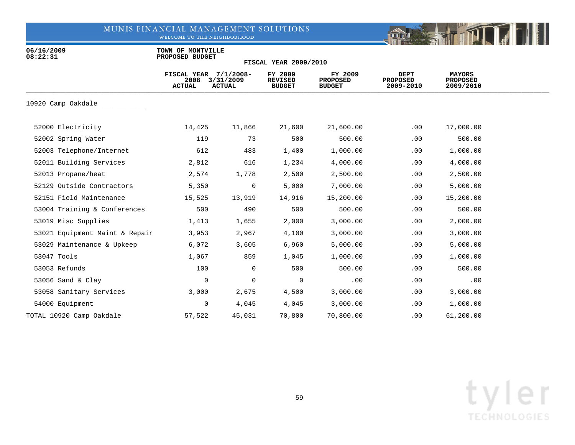WELCOME TO THE NEIGHBORHOOD



06/16/2009 **TOWN OF MONTVILLE**<br>08:22:31 **PROPOSED BUDGET 08:22:31 PROPOSED BUDGET**

|                                | FISCAL YEAR 7/1/2008-<br>2008<br><b>ACTUAL</b> | 3/31/2009<br><b>ACTUAL</b> | FY 2009<br><b>REVISED</b><br><b>BUDGET</b> | FY 2009<br><b>PROPOSED</b><br><b>BUDGET</b> | <b>DEPT</b><br><b>PROPOSED</b><br>2009-2010 | <b>MAYORS</b><br><b>PROPOSED</b><br>2009/2010 |  |
|--------------------------------|------------------------------------------------|----------------------------|--------------------------------------------|---------------------------------------------|---------------------------------------------|-----------------------------------------------|--|
| 10920 Camp Oakdale             |                                                |                            |                                            |                                             |                                             |                                               |  |
| 52000 Electricity              | 14,425                                         | 11,866                     | 21,600                                     | 21,600.00                                   | .00                                         | 17,000.00                                     |  |
| 52002 Spring Water             | 119                                            | 73                         | 500                                        | 500.00                                      | .00                                         | 500.00                                        |  |
| 52003 Telephone/Internet       | 612                                            | 483                        | 1,400                                      | 1,000.00                                    | .00                                         | 1,000.00                                      |  |
| 52011 Building Services        | 2,812                                          | 616                        | 1,234                                      | 4,000.00                                    | .00                                         | 4,000.00                                      |  |
| 52013 Propane/heat             | 2,574                                          | 1,778                      | 2,500                                      | 2,500.00                                    | .00                                         | 2,500.00                                      |  |
| 52129 Outside Contractors      | 5,350                                          | $\overline{0}$             | 5,000                                      | 7,000.00                                    | .00                                         | 5,000.00                                      |  |
| 52151 Field Maintenance        | 15,525                                         | 13,919                     | 14,916                                     | 15,200.00                                   | .00                                         | 15,200.00                                     |  |
| 53004 Training & Conferences   | 500                                            | 490                        | 500                                        | 500.00                                      | .00                                         | 500.00                                        |  |
| 53019 Misc Supplies            | 1,413                                          | 1,655                      | 2,000                                      | 3,000.00                                    | .00                                         | 2,000.00                                      |  |
| 53021 Equipment Maint & Repair | 3,953                                          | 2,967                      | 4,100                                      | 3,000.00                                    | .00                                         | 3,000.00                                      |  |
| 53029 Maintenance & Upkeep     | 6,072                                          | 3,605                      | 6,960                                      | 5,000.00                                    | .00                                         | 5,000.00                                      |  |
| 53047 Tools                    | 1,067                                          | 859                        | 1,045                                      | 1,000.00                                    | .00                                         | 1,000.00                                      |  |
| 53053 Refunds                  | 100                                            | $\overline{0}$             | 500                                        | 500.00                                      | .00                                         | 500.00                                        |  |
| 53056 Sand & Clay              | 0                                              | $\mathbf 0$                | $\mathbf 0$                                | .00                                         | .00                                         | .00                                           |  |
| 53058 Sanitary Services        | 3,000                                          | 2,675                      | 4,500                                      | 3,000.00                                    | .00                                         | 3,000.00                                      |  |
| 54000 Equipment                | 0                                              | 4,045                      | 4,045                                      | 3,000.00                                    | .00                                         | 1,000.00                                      |  |
| TOTAL 10920 Camp Oakdale       | 57,522                                         | 45,031                     | 70,800                                     | 70,800.00                                   | .00                                         | 61,200.00                                     |  |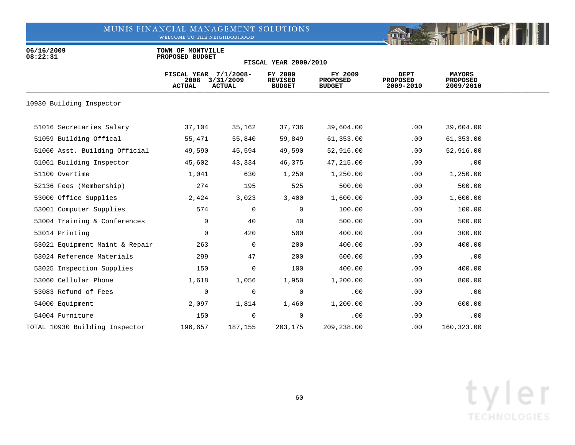WELCOME TO THE NEIGHBORHOOD



06/16/2009 **TOWN OF MONTVILLE**<br>08:22:31 **PROPOSED BUDGET 08:22:31 PROPOSED BUDGET**

| <b>FISCAL YEAR 2009/2010</b> |  |  |  |  |
|------------------------------|--|--|--|--|
|------------------------------|--|--|--|--|

|                                | FISCAL YEAR $7/1/2008-$<br>2008<br><b>ACTUAL</b> | 3/31/2009<br><b>ACTUAL</b> | FY 2009<br><b>REVISED</b><br><b>BUDGET</b> | FY 2009<br><b>PROPOSED</b><br><b>BUDGET</b> | DEPT<br><b>PROPOSED</b><br>2009-2010 | <b>MAYORS</b><br><b>PROPOSED</b><br>2009/2010 |  |
|--------------------------------|--------------------------------------------------|----------------------------|--------------------------------------------|---------------------------------------------|--------------------------------------|-----------------------------------------------|--|
| 10930 Building Inspector       |                                                  |                            |                                            |                                             |                                      |                                               |  |
|                                |                                                  |                            |                                            |                                             |                                      |                                               |  |
| 51016 Secretaries Salary       | 37,104                                           | 35,162                     | 37,736                                     | 39,604.00                                   | .00                                  | 39,604.00                                     |  |
| 51059 Building Offical         | 55,471                                           | 55,840                     | 59,849                                     | 61,353.00                                   | .00                                  | 61,353.00                                     |  |
| 51060 Asst. Building Official  | 49,590                                           | 45,594                     | 49,590                                     | 52,916.00                                   | .00                                  | 52,916.00                                     |  |
| 51061 Building Inspector       | 45,602                                           | 43,334                     | 46,375                                     | 47,215.00                                   | .00                                  | .00                                           |  |
| 51100 Overtime                 | 1,041                                            | 630                        | 1,250                                      | 1,250.00                                    | .00                                  | 1,250.00                                      |  |
| 52136 Fees (Membership)        | 274                                              | 195                        | 525                                        | 500.00                                      | .00                                  | 500.00                                        |  |
| 53000 Office Supplies          | 2,424                                            | 3,023                      | 3,400                                      | 1,600.00                                    | .00                                  | 1,600.00                                      |  |
| 53001 Computer Supplies        | 574                                              | $\mathbf 0$                | 0                                          | 100.00                                      | .00                                  | 100.00                                        |  |
| 53004 Training & Conferences   | $\mathbf 0$                                      | 40                         | 40                                         | 500.00                                      | .00                                  | 500.00                                        |  |
| 53014 Printing                 | $\mathbf 0$                                      | 420                        | 500                                        | 400.00                                      | .00                                  | 300.00                                        |  |
| 53021 Equipment Maint & Repair | 263                                              | $\mathbf 0$                | 200                                        | 400.00                                      | .00                                  | 400.00                                        |  |
| 53024 Reference Materials      | 299                                              | 47                         | 200                                        | 600.00                                      | .00                                  | .00                                           |  |
| 53025 Inspection Supplies      | 150                                              | 0                          | 100                                        | 400.00                                      | .00                                  | 400.00                                        |  |
| 53060 Cellular Phone           | 1,618                                            | 1,056                      | 1,950                                      | 1,200.00                                    | .00                                  | 800.00                                        |  |
| 53083 Refund of Fees           | 0                                                | $\mathbf 0$                | $\mathbf 0$                                | .00                                         | .00                                  | .00                                           |  |
| 54000 Equipment                | 2,097                                            | 1,814                      | 1,460                                      | 1,200.00                                    | .00                                  | 600.00                                        |  |
| 54004 Furniture                | 150                                              | 0                          | 0                                          | .00                                         | $.00 \,$                             | .00                                           |  |
| TOTAL 10930 Building Inspector | 196,657                                          | 187,155                    | 203,175                                    | 209,238.00                                  | .00                                  | 160,323.00                                    |  |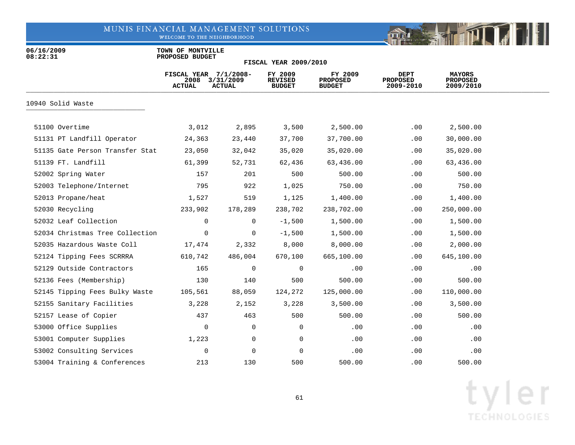WELCOME TO THE NEIGHBORHOOD



06/16/2009 **TOWN OF MONTVILLE**<br>08:22:31 **PROPOSED BUDGET 08:22:31 PROPOSED BUDGET**

| <b>FISCAL YEAR 2009/2010</b> |  |  |  |  |
|------------------------------|--|--|--|--|
|------------------------------|--|--|--|--|

|                                 | FISCAL YEAR 7/1/2008-<br>2008<br><b>ACTUAL</b> | 3/31/2009<br><b>ACTUAL</b> | FY 2009<br><b>REVISED</b><br><b>BUDGET</b> | FY 2009<br><b>PROPOSED</b><br><b>BUDGET</b> | <b>DEPT</b><br><b>PROPOSED</b><br>2009-2010 | <b>MAYORS</b><br><b>PROPOSED</b><br>2009/2010 |  |
|---------------------------------|------------------------------------------------|----------------------------|--------------------------------------------|---------------------------------------------|---------------------------------------------|-----------------------------------------------|--|
| 10940 Solid Waste               |                                                |                            |                                            |                                             |                                             |                                               |  |
| 51100 Overtime                  | 3,012                                          | 2,895                      | 3,500                                      | 2,500.00                                    | $.00 \,$                                    | 2,500.00                                      |  |
| 51131 PT Landfill Operator      | 24,363                                         | 23,440                     | 37,700                                     | 37,700.00                                   | .00                                         | 30,000.00                                     |  |
| 51135 Gate Person Transfer Stat | 23,050                                         | 32,042                     | 35,020                                     | 35,020.00                                   | .00                                         | 35,020.00                                     |  |
| 51139 FT. Landfill              | 61,399                                         | 52,731                     | 62,436                                     | 63,436.00                                   | .00                                         | 63,436.00                                     |  |
| 52002 Spring Water              | 157                                            | 201                        | 500                                        | 500.00                                      | .00                                         | 500.00                                        |  |
| 52003 Telephone/Internet        | 795                                            | 922                        | 1,025                                      | 750.00                                      | .00                                         | 750.00                                        |  |
| 52013 Propane/heat              | 1,527                                          | 519                        | 1,125                                      | 1,400.00                                    | .00                                         | 1,400.00                                      |  |
| 52030 Recycling                 | 233,902                                        | 178,289                    | 238,702                                    | 238,702.00                                  | .00                                         | 250,000.00                                    |  |
| 52032 Leaf Collection           | 0                                              | 0                          | $-1,500$                                   | 1,500.00                                    | .00                                         | 1,500.00                                      |  |
| 52034 Christmas Tree Collection | 0                                              | 0                          | $-1,500$                                   | 1,500.00                                    | .00                                         | 1,500.00                                      |  |
| 52035 Hazardous Waste Coll      | 17,474                                         | 2,332                      | 8,000                                      | 8,000.00                                    | .00                                         | 2,000.00                                      |  |
| 52124 Tipping Fees SCRRRA       | 610,742                                        | 486,004                    | 670,100                                    | 665,100.00                                  | .00                                         | 645,100.00                                    |  |
| 52129 Outside Contractors       | 165                                            | 0                          | 0                                          | .00                                         | .00                                         | .00                                           |  |
| 52136 Fees (Membership)         | 130                                            | 140                        | 500                                        | 500.00                                      | .00                                         | 500.00                                        |  |
| 52145 Tipping Fees Bulky Waste  | 105,561                                        | 88,059                     | 124,272                                    | 125,000.00                                  | .00                                         | 110,000.00                                    |  |
| 52155 Sanitary Facilities       | 3,228                                          | 2,152                      | 3,228                                      | 3,500.00                                    | .00                                         | 3,500.00                                      |  |
| 52157 Lease of Copier           | 437                                            | 463                        | 500                                        | 500.00                                      | .00                                         | 500.00                                        |  |
| 53000 Office Supplies           | 0                                              | $\mathbf 0$                | 0                                          | .00                                         | .00                                         | .00                                           |  |
| 53001 Computer Supplies         | 1,223                                          | 0                          | 0                                          | .00                                         | .00                                         | .00                                           |  |
| 53002 Consulting Services       | 0                                              | 0                          | $\mathbf 0$                                | .00                                         | .00                                         | .00                                           |  |
| 53004 Training & Conferences    | 213                                            | 130                        | 500                                        | 500.00                                      | $.00 \,$                                    | 500.00                                        |  |

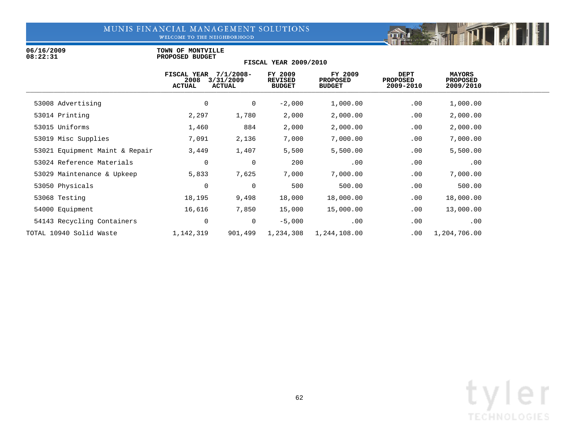WELCOME TO THE NEIGHBORHOOD

06/16/2009 **TOWN OF MONTVILLE**<br>08:22:31 **PROPOSED BUDGET 08:22:31 PROPOSED BUDGET**

|                                | FISCAL YEAR<br>2008<br><b>ACTUAL</b> | $7/1/2008 -$<br>3/31/2009<br><b>ACTUAL</b> | FY 2009<br><b>REVISED</b><br><b>BUDGET</b> | FY 2009<br><b>PROPOSED</b><br><b>BUDGET</b> | <b>DEPT</b><br><b>PROPOSED</b><br>2009-2010 | MAYORS<br><b>PROPOSED</b><br>2009/2010 |  |
|--------------------------------|--------------------------------------|--------------------------------------------|--------------------------------------------|---------------------------------------------|---------------------------------------------|----------------------------------------|--|
| 53008 Advertising              | 0                                    | $\mathbf 0$                                | $-2,000$                                   | 1,000.00                                    | .00                                         | 1,000.00                               |  |
| 53014 Printing                 | 2,297                                | 1,780                                      | 2,000                                      | 2,000.00                                    | .00                                         | 2,000.00                               |  |
| 53015 Uniforms                 | 1,460                                | 884                                        | 2,000                                      | 2,000.00                                    | .00                                         | 2,000.00                               |  |
| 53019 Misc Supplies            | 7,091                                | 2,136                                      | 7,000                                      | 7,000.00                                    | .00                                         | 7,000.00                               |  |
| 53021 Equipment Maint & Repair | 3,449                                | 1,407                                      | 5,500                                      | 5,500.00                                    | .00                                         | 5,500.00                               |  |
| 53024 Reference Materials      | 0                                    | 0                                          | 200                                        | .00                                         | .00                                         | .00                                    |  |
| 53029 Maintenance & Upkeep     | 5,833                                | 7,625                                      | 7,000                                      | 7,000.00                                    | .00                                         | 7,000.00                               |  |
| 53050 Physicals                | $\mathbf 0$                          | 0                                          | 500                                        | 500.00                                      | .00                                         | 500.00                                 |  |
| 53068 Testing                  | 18,195                               | 9,498                                      | 18,000                                     | 18,000.00                                   | .00                                         | 18,000.00                              |  |
| 54000 Equipment                | 16,616                               | 7,850                                      | 15,000                                     | 15,000.00                                   | .00                                         | 13,000.00                              |  |
| 54143 Recycling Containers     | $\overline{0}$                       | 0                                          | $-5,000$                                   | .00                                         | .00                                         | .00                                    |  |
| TOTAL 10940 Solid Waste        | 1,142,319                            | 901,499                                    | 1,234,308                                  | 1,244,108.00                                | .00                                         | 1,204,706.00                           |  |

**FISCAL YEAR 2009/2010**

Fill

mar isklu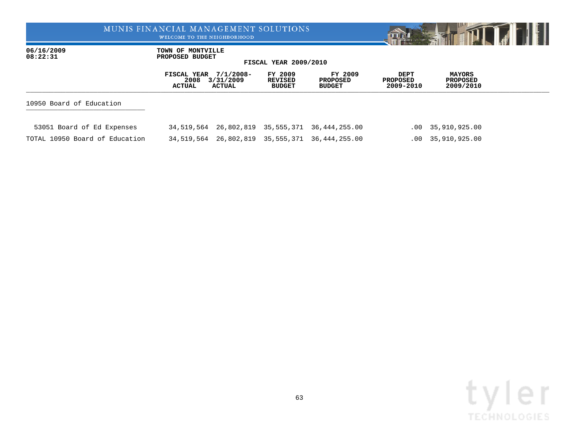WELCOME TO THE NEIGHBORHOOD



06/16/2009 **TOWN OF MONTVILLE**<br>08:22:31 **PROPOSED BUDGET 08:22:31 PROPOSED BUDGET**

|                                | FISCAL YEAR 7/1/2008-<br>2008<br>ACTUAL | 3/31/2009<br><b>ACTUAL</b>       | FY 2009<br>REVISED<br><b>BUDGET</b> | FY 2009<br>PROPOSED<br><b>BUDGET</b>           | DEPT<br><b>PROPOSED</b><br>2009-2010 | <b>MAYORS</b><br><b>PROPOSED</b><br>2009/2010 |  |
|--------------------------------|-----------------------------------------|----------------------------------|-------------------------------------|------------------------------------------------|--------------------------------------|-----------------------------------------------|--|
| 10950 Board of Education       |                                         |                                  |                                     |                                                |                                      |                                               |  |
| 53051 Board of Ed Expenses     |                                         |                                  |                                     | 34,519,564 26,802,819 35,555,371 36,444,255.00 |                                      | .00 35,910,925.00                             |  |
| TOTAL 10950 Board of Education |                                         | 34,519,564 26,802,819 35,555,371 |                                     | 36,444,255.00                                  |                                      | .00 35,910,925.00                             |  |

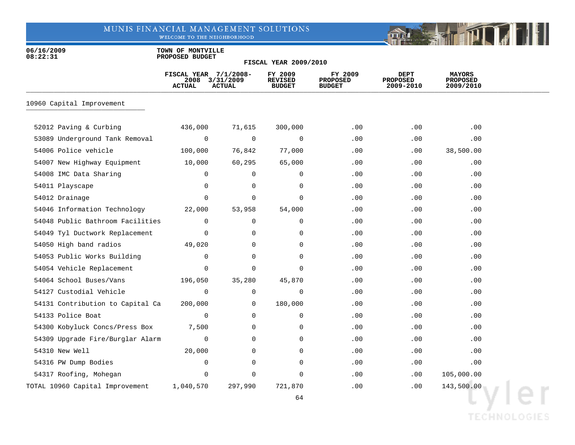WELCOME TO THE NEIGHBORHOOD



06/16/2009 **TOWN OF MONTVILLE**<br>08:22:31 **PROPOSED BUDGET 08:22:31 PROPOSED BUDGET**

### **FISCAL YEAR 2009/2010**

|                                  | FISCAL YEAR 7/1/2008-<br>2008<br><b>ACTUAL</b> | 3/31/2009<br><b>ACTUAL</b> | FY 2009<br><b>REVISED</b><br><b>BUDGET</b> | FY 2009<br><b>PROPOSED</b><br><b>BUDGET</b> | <b>DEPT</b><br>PROPOSED<br>2009-2010 | <b>MAYORS</b><br>PROPOSED<br>2009/2010 |  |
|----------------------------------|------------------------------------------------|----------------------------|--------------------------------------------|---------------------------------------------|--------------------------------------|----------------------------------------|--|
| 10960 Capital Improvement        |                                                |                            |                                            |                                             |                                      |                                        |  |
| 52012 Paving & Curbing           | 436,000                                        | 71,615                     | 300,000                                    | .00                                         | .00                                  | .00                                    |  |
| 53089 Underground Tank Removal   | $\mathbf 0$                                    | $\mathbf 0$                | $\mathbf 0$                                | .00                                         | .00                                  | .00                                    |  |
| 54006 Police vehicle             | 100,000                                        | 76,842                     | 77,000                                     | .00                                         | .00                                  | 38,500.00                              |  |
| 54007 New Highway Equipment      | 10,000                                         | 60,295                     | 65,000                                     | .00                                         | .00                                  | .00                                    |  |
| 54008 IMC Data Sharing           | 0                                              | 0                          | $\mathbf 0$                                | .00                                         | .00                                  | .00                                    |  |
| 54011 Playscape                  | 0                                              | 0                          | $\mathbf 0$                                | .00                                         | .00                                  | .00                                    |  |
| 54012 Drainage                   | $\Omega$                                       | $\mathbf 0$                | $\Omega$                                   | .00                                         | .00                                  | .00                                    |  |
| 54046 Information Technology     | 22,000                                         | 53,958                     | 54,000                                     | .00                                         | .00                                  | .00                                    |  |
| 54048 Public Bathroom Facilities | $\mathbf 0$                                    | 0                          | 0                                          | .00                                         | .00                                  | .00                                    |  |
| 54049 Tyl Ductwork Replacement   | $\mathbf 0$                                    | $\mathbf 0$                | $\mathbf 0$                                | .00                                         | .00                                  | .00                                    |  |
| 54050 High band radios           | 49,020                                         | 0                          | 0                                          | .00                                         | $.00 \,$                             | $.00 \,$                               |  |
| 54053 Public Works Building      | $\mathbf 0$                                    | $\mathbf 0$                | $\mathbf 0$                                | .00                                         | .00                                  | .00                                    |  |
| 54054 Vehicle Replacement        | 0                                              | 0                          | 0                                          | .00                                         | .00                                  | .00                                    |  |
| 54064 School Buses/Vans          | 196,050                                        | 35,280                     | 45,870                                     | .00                                         | .00                                  | .00                                    |  |
| 54127 Custodial Vehicle          | $\mathbf 0$                                    | $\mathbf 0$                | 0                                          | .00                                         | .00                                  | .00                                    |  |
| 54131 Contribution to Capital Ca | 200,000                                        | 0                          | 180,000                                    | .00                                         | .00                                  | .00                                    |  |
| 54133 Police Boat                | 0                                              | 0                          | 0                                          | .00                                         | .00                                  | .00                                    |  |
| 54300 Kobyluck Concs/Press Box   | 7,500                                          | 0                          | 0                                          | .00                                         | .00                                  | .00                                    |  |
| 54309 Upgrade Fire/Burglar Alarm | $\mathbf 0$                                    | $\Omega$                   | $\Omega$                                   | .00                                         | .00                                  | .00                                    |  |
| 54310 New Well                   | 20,000                                         | 0                          | 0                                          | .00                                         | .00                                  | .00                                    |  |
| 54316 PW Dump Bodies             | 0                                              | $\mathbf 0$                | 0                                          | .00                                         | .00                                  | .00                                    |  |
| 54317 Roofing, Mohegan           | 0                                              | 0                          | $\Omega$                                   | .00                                         | .00                                  | 105,000.00                             |  |
| TOTAL 10960 Capital Improvement  | 1,040,570                                      | 297,990                    | 721,870                                    | .00                                         | .00                                  | 143,500.00                             |  |

**TECHNOLOGIES**